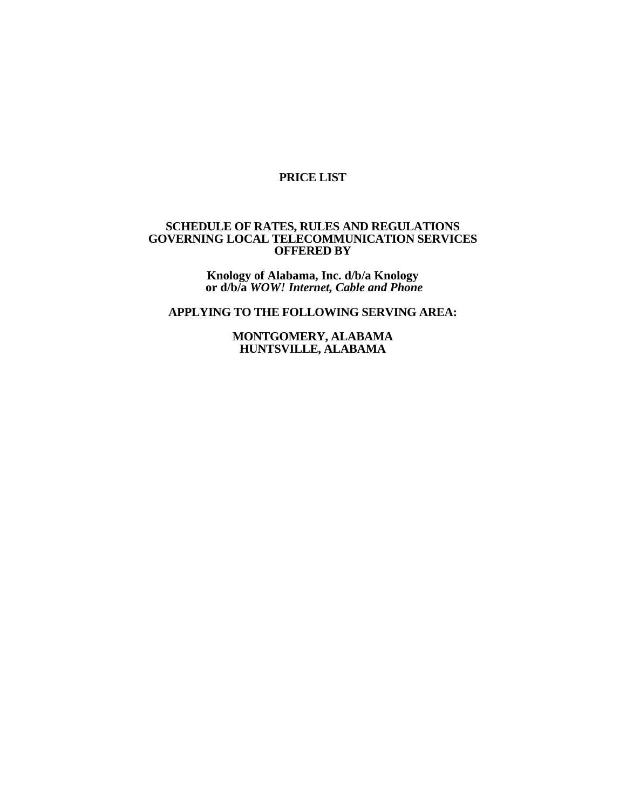# **PRICE LIST**

# **SCHEDULE OF RATES, RULES AND REGULATIONS GOVERNING LOCAL TELECOMMUNICATION SERVICES OFFERED BY**

**Knology of Alabama, Inc. d/b/a Knology or d/b/a** *WOW! Internet, Cable and Phone*

**APPLYING TO THE FOLLOWING SERVING AREA:** 

**MONTGOMERY, ALABAMA HUNTSVILLE, ALABAMA**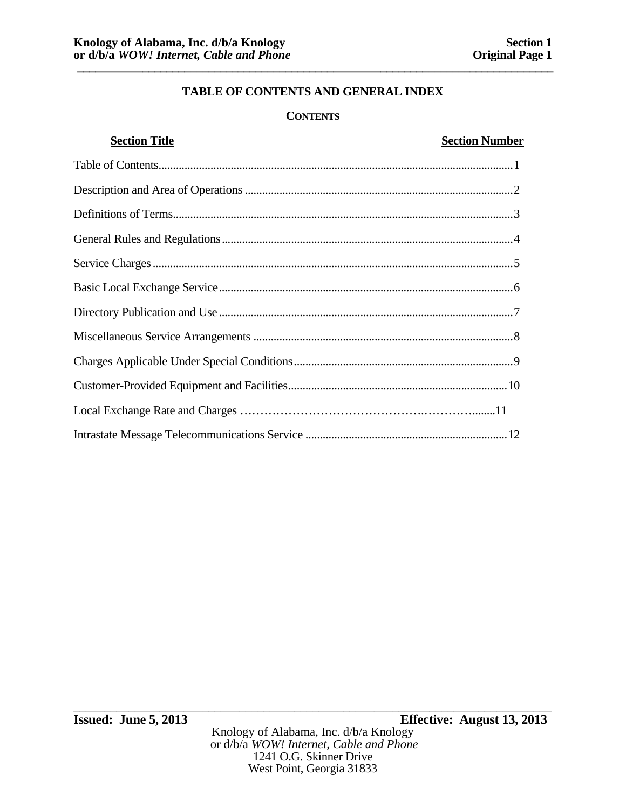# **CONTENTS**

| <b>Section Title</b> | <b>Section Number</b> |
|----------------------|-----------------------|
|                      |                       |
|                      |                       |
|                      |                       |
|                      |                       |
|                      |                       |
|                      |                       |
|                      |                       |
|                      |                       |
|                      |                       |
|                      |                       |
|                      |                       |
|                      |                       |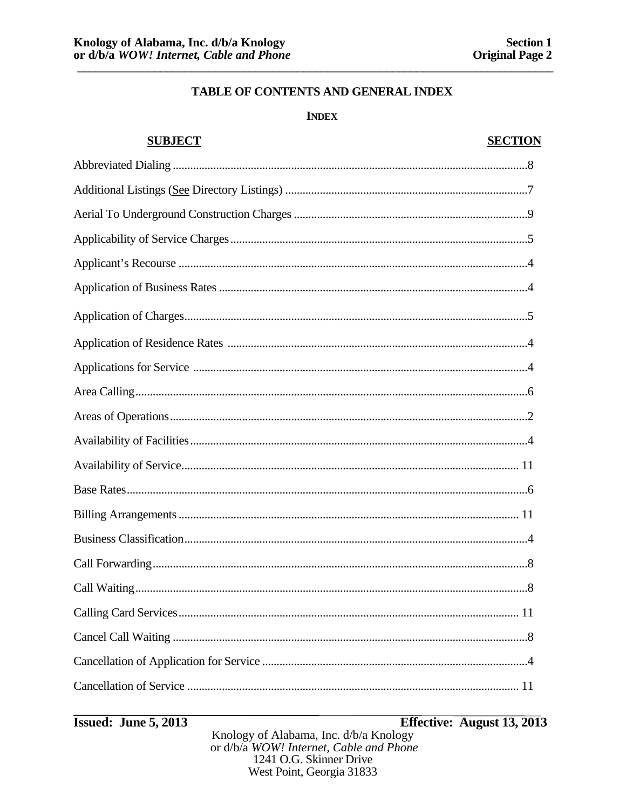## **INDEX**

| <b>SUBJECT</b> | <b>SECTION</b> |
|----------------|----------------|
|                |                |
|                |                |
|                |                |
|                |                |
|                |                |
|                |                |
|                |                |
|                |                |
|                |                |
|                |                |
|                |                |
|                |                |
|                |                |
|                |                |
|                |                |
|                |                |
|                |                |
|                |                |
|                |                |
|                |                |
|                |                |
|                |                |

**Issued: June 5, 2013** 

# Effective: August 13, 2013

Knology of Alabama, Inc. d/b/a Knology<br>or d/b/a WOW! Internet, Cable and Phone 1241 O.G. Skinner Drive West Point, Georgia 31833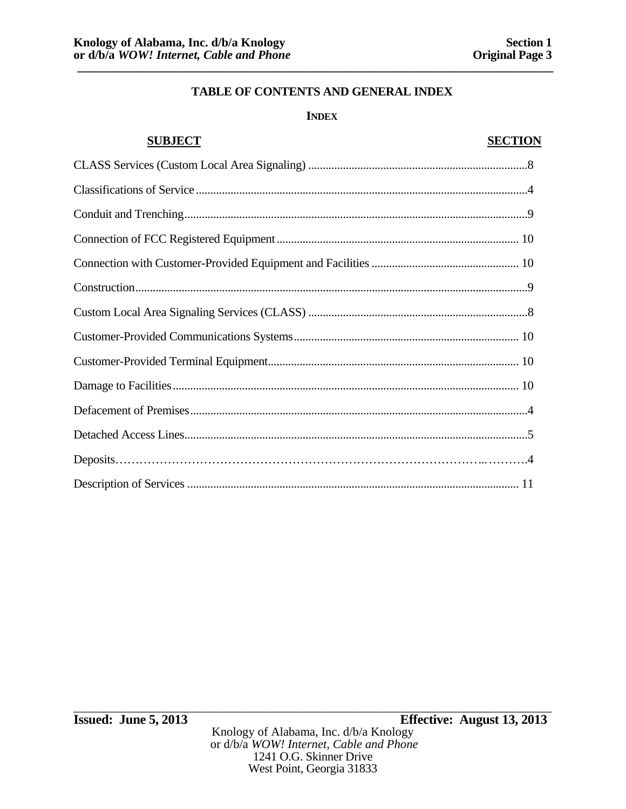# **INDEX**

# **SUBJECT SECTION** CLASS Services (Custom Local Area Signaling) ............................................................................ 8 Classifications of Service ................................................................................................................... 4 Conduit and Trenching ....................................................................................................................... 9 Connection of FCC Registered Equipment .................................................................................... 10 Connection with Customer-Provided Equipment and Facilities ................................................... 10 Construction ........................................................................................................................................ 9 Custom Local Area Signaling Services (CLASS) ............................................................................ 8 Customer-Provided Communications Systems .............................................................................. 10 Customer-Provided Terminal Equipment ....................................................................................... 10 Damage to Facilities ........................................................................................................................ 10 Defacement of Premises ..................................................................................................................... 4 Detached Access Lines ....................................................................................................................... 5 Deposits……………………………………………………………………………… ... ……….4 Description of Services ................................................................................................................... 11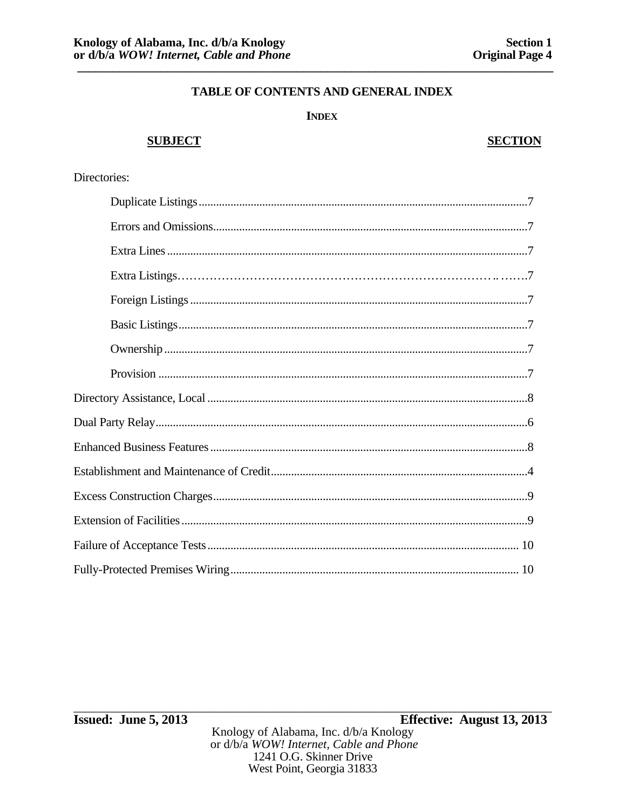## **INDEX**

# **SUBJECT**

# **SECTION**

# Directories: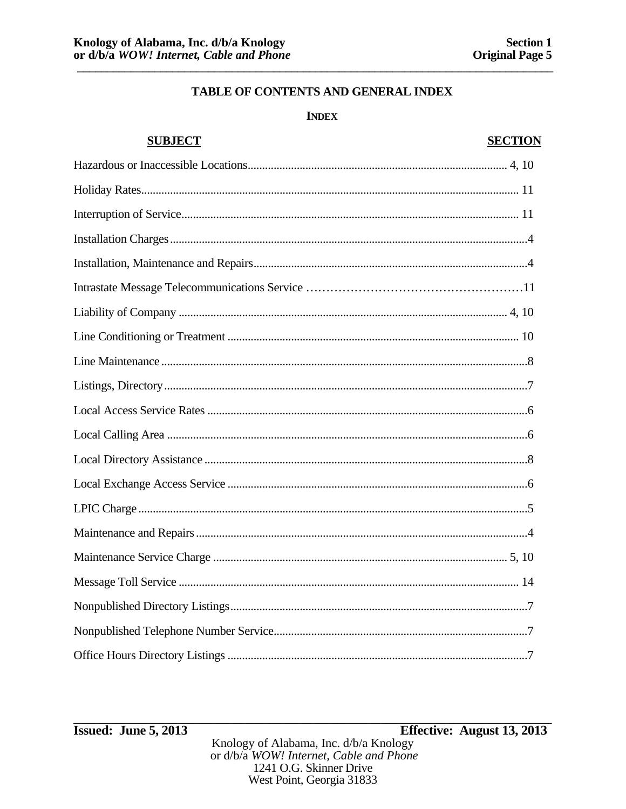# **INDEX**

| <b>SUBJECT</b> | <b>SECTION</b> |
|----------------|----------------|
|                |                |
|                |                |
|                |                |
|                |                |
|                |                |
|                |                |
|                |                |
|                |                |
|                |                |
|                |                |
|                |                |
|                |                |
|                |                |
|                |                |
|                |                |
|                |                |
|                |                |
|                |                |
|                |                |
|                |                |
|                |                |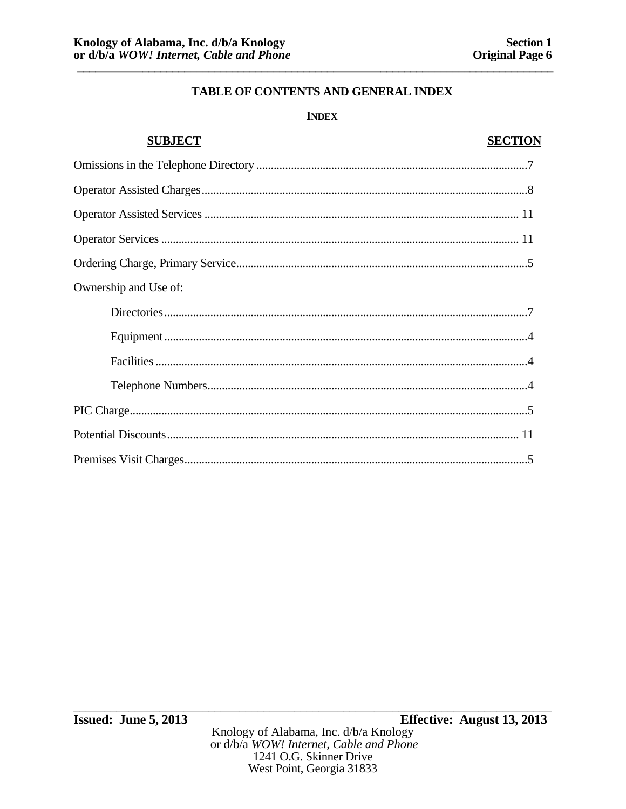# **INDEX**

# **SUBJECT SECTION** Ownership and Use of: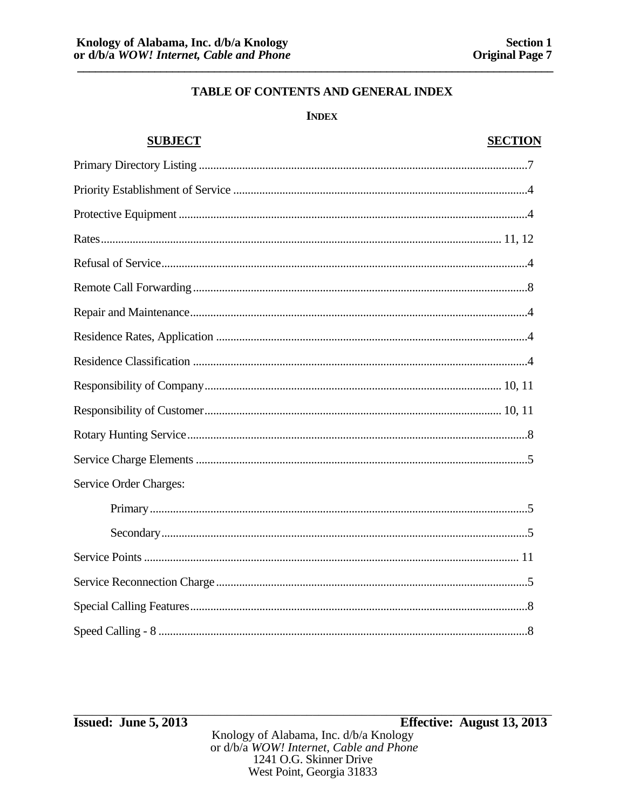# **INDEX**

# **SUBJECT SECTION** Service Order Charges: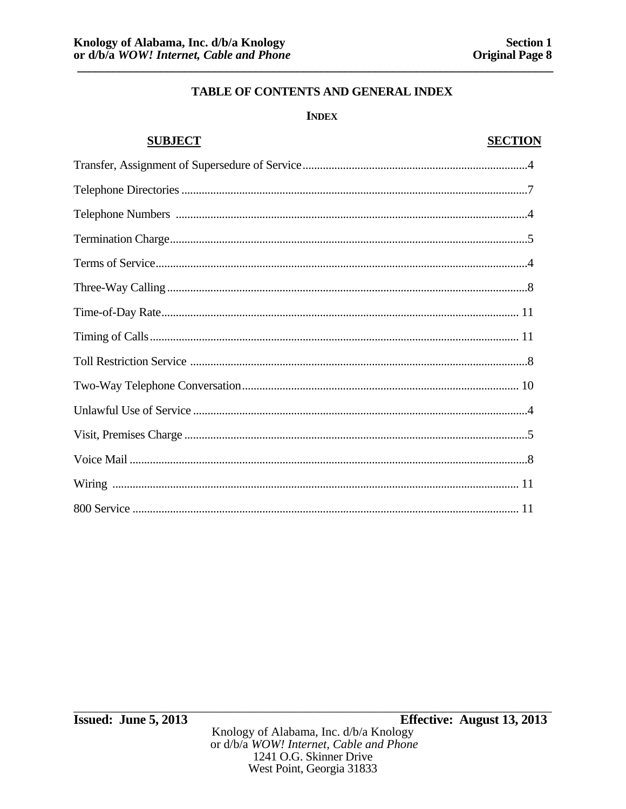## **INDEX**

# **SUBJECT SECTION**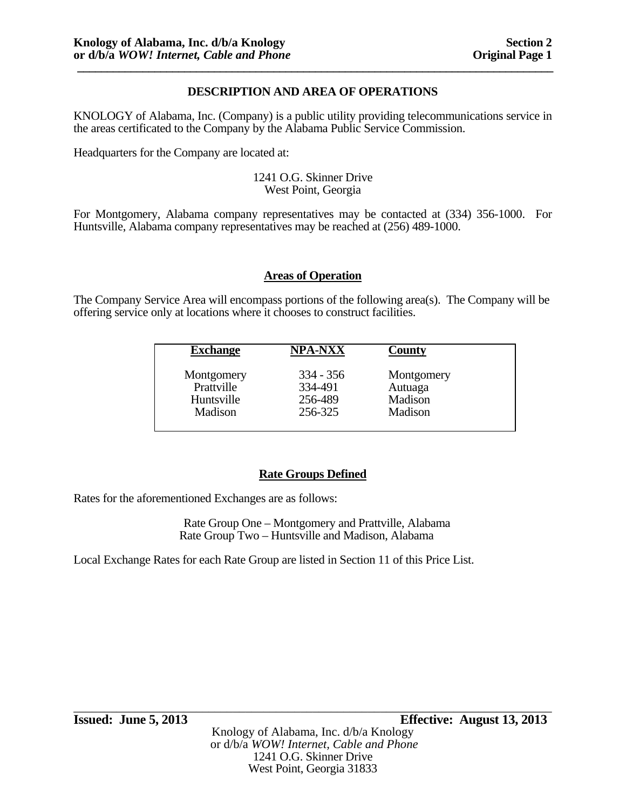# **DESCRIPTION AND AREA OF OPERATIONS**

KNOLOGY of Alabama, Inc. (Company) is a public utility providing telecommunications service in the areas certificated to the Company by the Alabama Public Service Commission.

Headquarters for the Company are located at:

#### 1241 O.G. Skinner Drive West Point, Georgia

For Montgomery, Alabama company representatives may be contacted at (334) 356-1000. For Huntsville, Alabama company representatives may be reached at (256) 489-1000.

## **Areas of Operation**

The Company Service Area will encompass portions of the following area(s). The Company will be offering service only at locations where it chooses to construct facilities.

| <b>Exchange</b> | <b>NPA-NXX</b> | County     |  |
|-----------------|----------------|------------|--|
| Montgomery      | $334 - 356$    | Montgomery |  |
| Prattville      | 334-491        | Autuaga    |  |
| Huntsville      | 256-489        | Madison    |  |
| Madison         | 256-325        | Madison    |  |

# **Rate Groups Defined**

Rates for the aforementioned Exchanges are as follows:

 Rate Group One – Montgomery and Prattville, Alabama Rate Group Two – Huntsville and Madison, Alabama

Local Exchange Rates for each Rate Group are listed in Section 11 of this Price List.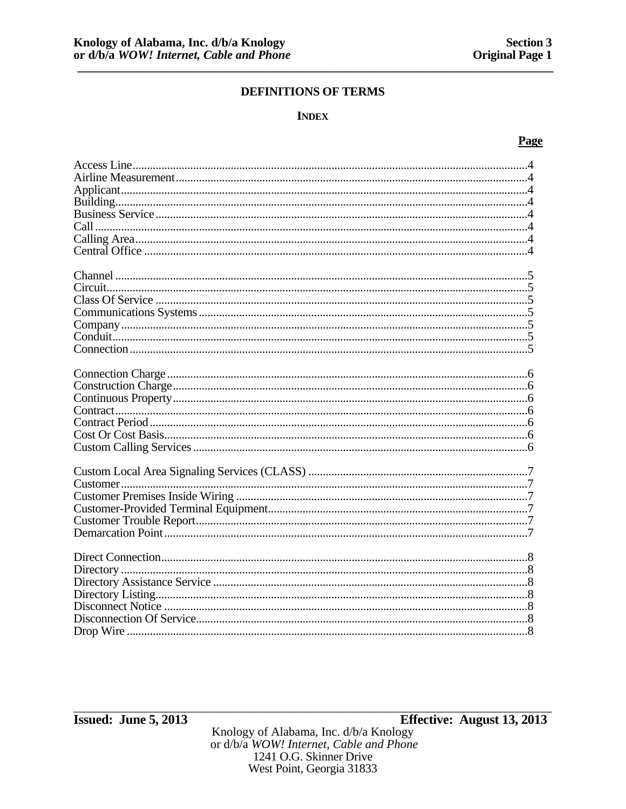#### **INDEX**

#### Page

| Customer |  |
|----------|--|
|          |  |
|          |  |
|          |  |
|          |  |
|          |  |
|          |  |
|          |  |
|          |  |
|          |  |
|          |  |
|          |  |
|          |  |
|          |  |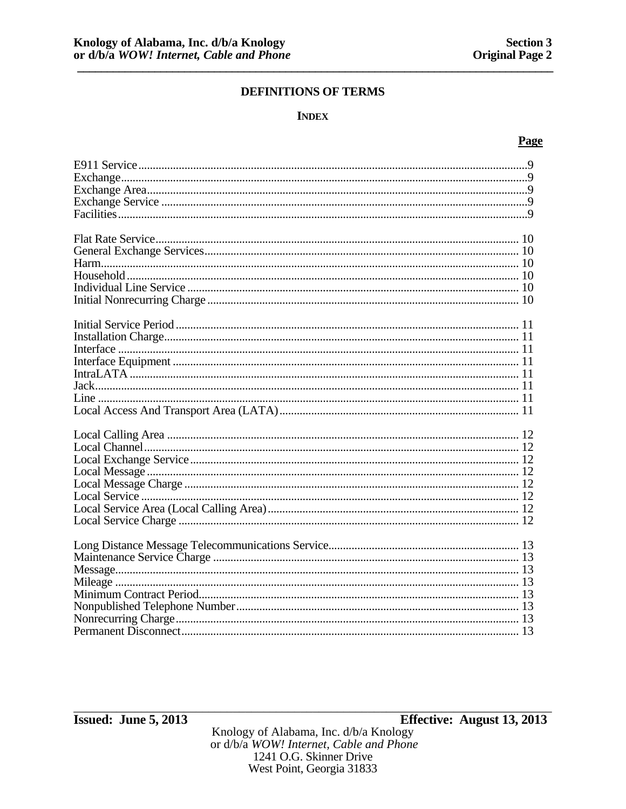### **INDEX**

### Page

1241 O.G. Skinner Drive West Point, Georgia 31833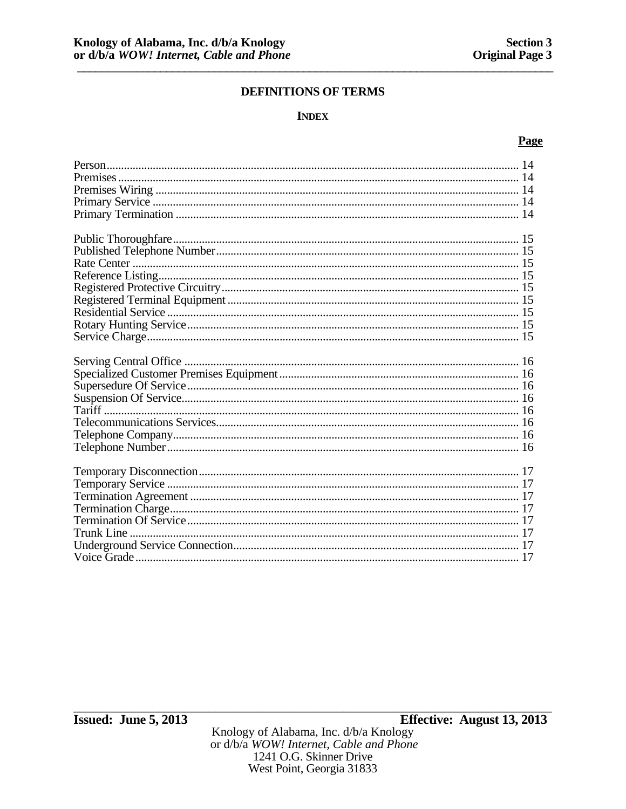### **INDEX**

#### Page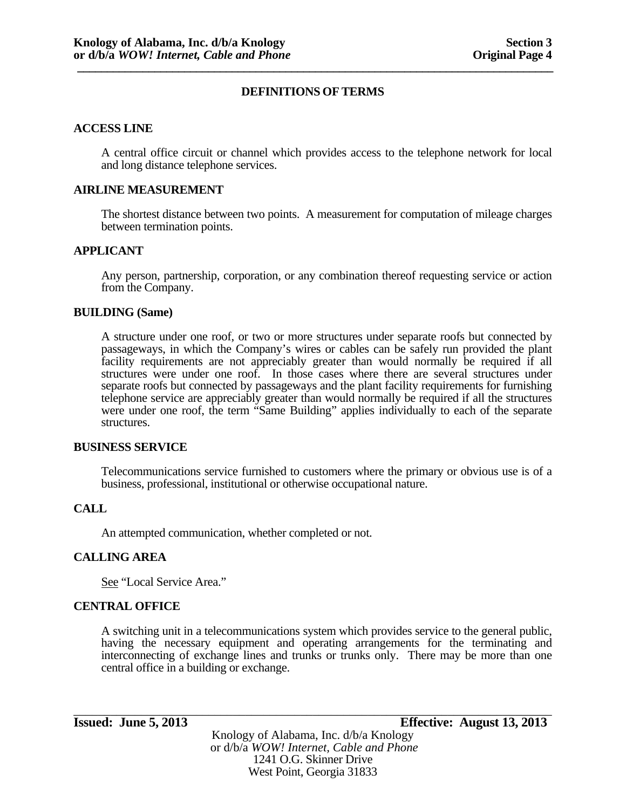#### **ACCESS LINE**

A central office circuit or channel which provides access to the telephone network for local and long distance telephone services.

#### **AIRLINE MEASUREMENT**

The shortest distance between two points. A measurement for computation of mileage charges between termination points.

#### **APPLICANT**

Any person, partnership, corporation, or any combination thereof requesting service or action from the Company.

#### **BUILDING (Same)**

A structure under one roof, or two or more structures under separate roofs but connected by passageways, in which the Company's wires or cables can be safely run provided the plant facility requirements are not appreciably greater than would normally be required if all structures were under one roof. In those cases where there are several structures under separate roofs but connected by passageways and the plant facility requirements for furnishing telephone service are appreciably greater than would normally be required if all the structures were under one roof, the term "Same Building" applies individually to each of the separate structures.

#### **BUSINESS SERVICE**

Telecommunications service furnished to customers where the primary or obvious use is of a business, professional, institutional or otherwise occupational nature.

#### **CALL**

An attempted communication, whether completed or not.

#### **CALLING AREA**

See "Local Service Area."

#### **CENTRAL OFFICE**

A switching unit in a telecommunications system which provides service to the general public, having the necessary equipment and operating arrangements for the terminating and interconnecting of exchange lines and trunks or trunks only. There may be more than one central office in a building or exchange.

\_\_\_\_\_\_\_\_\_\_\_\_\_\_\_\_\_\_\_\_\_\_\_\_\_\_\_\_\_\_\_\_\_\_\_\_\_\_\_\_\_\_\_\_\_\_\_\_\_\_\_\_\_\_\_\_\_\_\_\_\_\_\_\_\_\_\_\_\_\_\_\_\_\_\_\_\_\_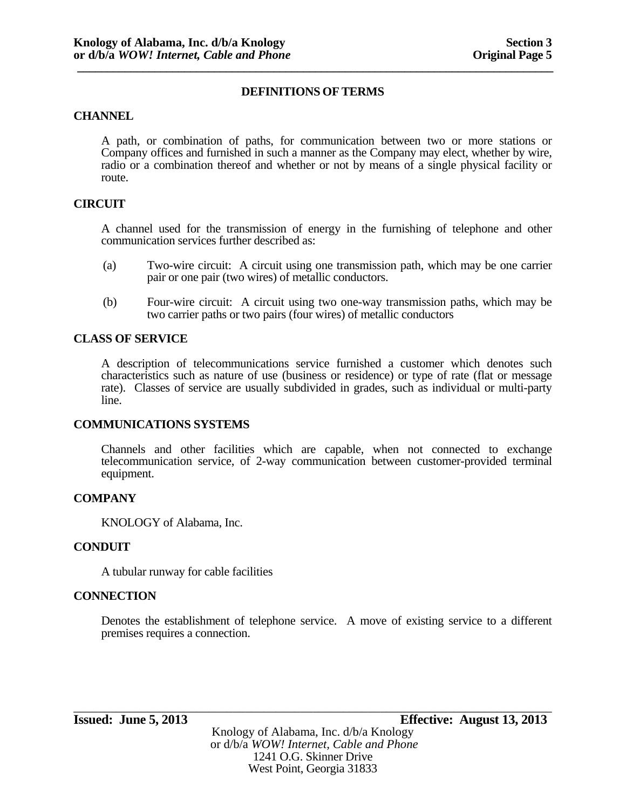#### **CHANNEL**

A path, or combination of paths, for communication between two or more stations or Company offices and furnished in such a manner as the Company may elect, whether by wire, radio or a combination thereof and whether or not by means of a single physical facility or route.

#### **CIRCUIT**

A channel used for the transmission of energy in the furnishing of telephone and other communication services further described as:

- (a) Two-wire circuit: A circuit using one transmission path, which may be one carrier pair or one pair (two wires) of metallic conductors.
- (b) Four-wire circuit: A circuit using two one-way transmission paths, which may be two carrier paths or two pairs (four wires) of metallic conductors

## **CLASS OF SERVICE**

A description of telecommunications service furnished a customer which denotes such characteristics such as nature of use (business or residence) or type of rate (flat or message rate). Classes of service are usually subdivided in grades, such as individual or multi-party line.

#### **COMMUNICATIONS SYSTEMS**

Channels and other facilities which are capable, when not connected to exchange telecommunication service, of 2-way communication between customer-provided terminal equipment.

#### **COMPANY**

KNOLOGY of Alabama, Inc.

#### **CONDUIT**

A tubular runway for cable facilities

#### **CONNECTION**

Denotes the establishment of telephone service. A move of existing service to a different premises requires a connection.

Knology of Alabama, Inc. d/b/a Knology or d/b/a *WOW! Internet, Cable and Phone* 1241 O.G. Skinner Drive West Point, Georgia 31833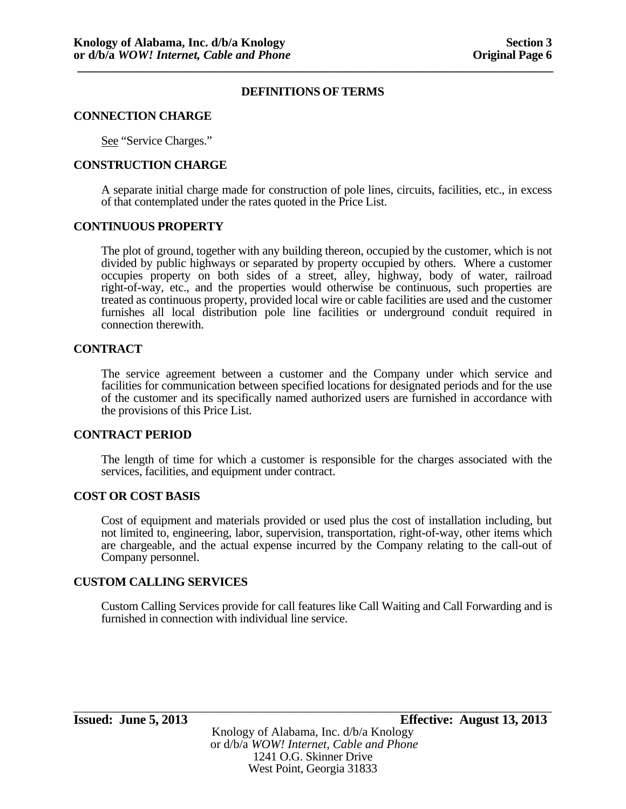#### **CONNECTION CHARGE**

See "Service Charges."

### **CONSTRUCTION CHARGE**

A separate initial charge made for construction of pole lines, circuits, facilities, etc., in excess of that contemplated under the rates quoted in the Price List.

#### **CONTINUOUS PROPERTY**

The plot of ground, together with any building thereon, occupied by the customer, which is not divided by public highways or separated by property occupied by others. Where a customer occupies property on both sides of a street, alley, highway, body of water, railroad right-of-way, etc., and the properties would otherwise be continuous, such properties are treated as continuous property, provided local wire or cable facilities are used and the customer furnishes all local distribution pole line facilities or underground conduit required in connection therewith.

#### **CONTRACT**

The service agreement between a customer and the Company under which service and facilities for communication between specified locations for designated periods and for the use of the customer and its specifically named authorized users are furnished in accordance with the provisions of this Price List.

#### **CONTRACT PERIOD**

The length of time for which a customer is responsible for the charges associated with the services, facilities, and equipment under contract.

#### **COST OR COST BASIS**

Cost of equipment and materials provided or used plus the cost of installation including, but not limited to, engineering, labor, supervision, transportation, right-of-way, other items which are chargeable, and the actual expense incurred by the Company relating to the call-out of Company personnel.

#### **CUSTOM CALLING SERVICES**

Custom Calling Services provide for call features like Call Waiting and Call Forwarding and is furnished in connection with individual line service.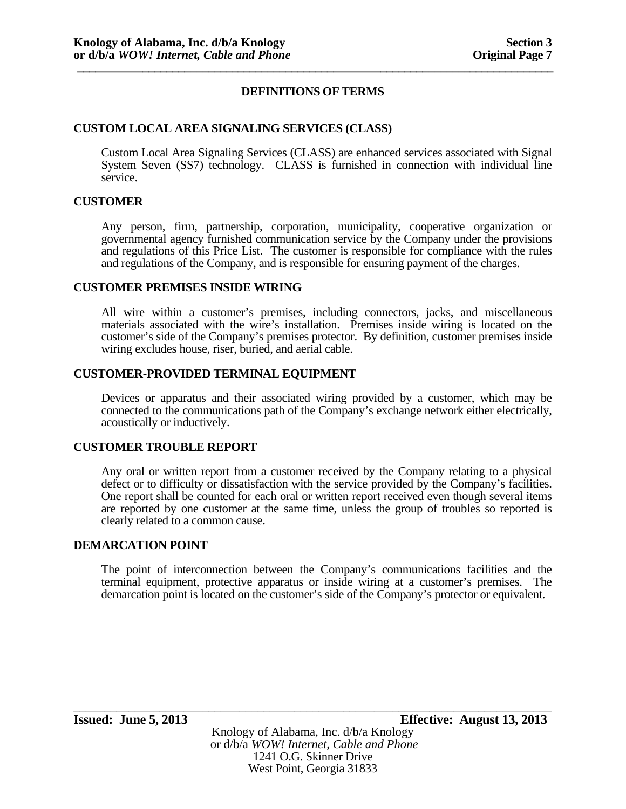## **CUSTOM LOCAL AREA SIGNALING SERVICES (CLASS)**

Custom Local Area Signaling Services (CLASS) are enhanced services associated with Signal System Seven (SS7) technology. CLASS is furnished in connection with individual line service.

#### **CUSTOMER**

Any person, firm, partnership, corporation, municipality, cooperative organization or governmental agency furnished communication service by the Company under the provisions and regulations of this Price List. The customer is responsible for compliance with the rules and regulations of the Company, and is responsible for ensuring payment of the charges.

#### **CUSTOMER PREMISES INSIDE WIRING**

All wire within a customer's premises, including connectors, jacks, and miscellaneous materials associated with the wire's installation. Premises inside wiring is located on the customer's side of the Company's premises protector. By definition, customer premises inside wiring excludes house, riser, buried, and aerial cable.

#### **CUSTOMER-PROVIDED TERMINAL EQUIPMENT**

Devices or apparatus and their associated wiring provided by a customer, which may be connected to the communications path of the Company's exchange network either electrically, acoustically or inductively.

#### **CUSTOMER TROUBLE REPORT**

Any oral or written report from a customer received by the Company relating to a physical defect or to difficulty or dissatisfaction with the service provided by the Company's facilities. One report shall be counted for each oral or written report received even though several items are reported by one customer at the same time, unless the group of troubles so reported is clearly related to a common cause.

#### **DEMARCATION POINT**

The point of interconnection between the Company's communications facilities and the terminal equipment, protective apparatus or inside wiring at a customer's premises. The demarcation point is located on the customer's side of the Company's protector or equivalent.

**Issued: June 5, 2013 Effective: August 13, 2013**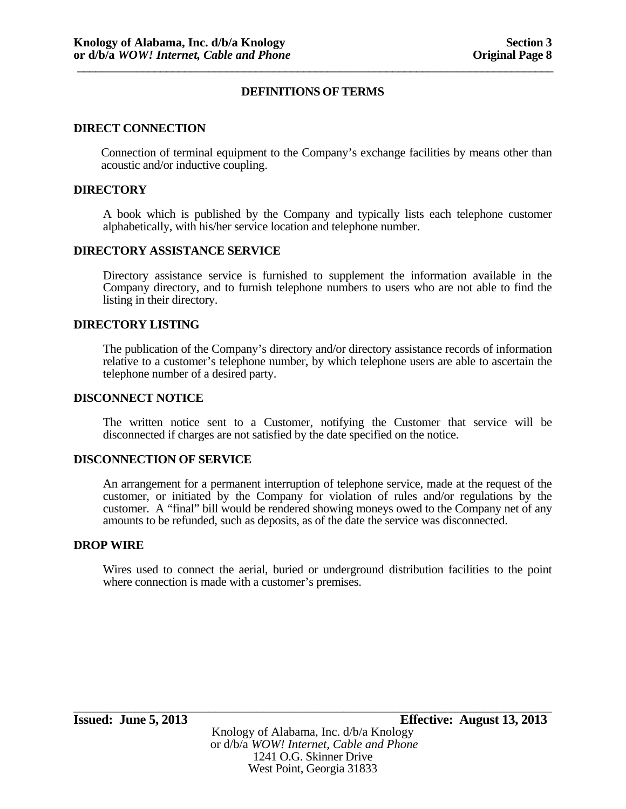#### **DIRECT CONNECTION**

Connection of terminal equipment to the Company's exchange facilities by means other than acoustic and/or inductive coupling.

#### **DIRECTORY**

A book which is published by the Company and typically lists each telephone customer alphabetically, with his/her service location and telephone number.

#### **DIRECTORY ASSISTANCE SERVICE**

Directory assistance service is furnished to supplement the information available in the Company directory, and to furnish telephone numbers to users who are not able to find the listing in their directory.

#### **DIRECTORY LISTING**

The publication of the Company's directory and/or directory assistance records of information relative to a customer's telephone number, by which telephone users are able to ascertain the telephone number of a desired party.

#### **DISCONNECT NOTICE**

The written notice sent to a Customer, notifying the Customer that service will be disconnected if charges are not satisfied by the date specified on the notice.

#### **DISCONNECTION OF SERVICE**

An arrangement for a permanent interruption of telephone service, made at the request of the customer, or initiated by the Company for violation of rules and/or regulations by the customer. A "final" bill would be rendered showing moneys owed to the Company net of any amounts to be refunded, such as deposits, as of the date the service was disconnected.

#### **DROP WIRE**

Wires used to connect the aerial, buried or underground distribution facilities to the point where connection is made with a customer's premises.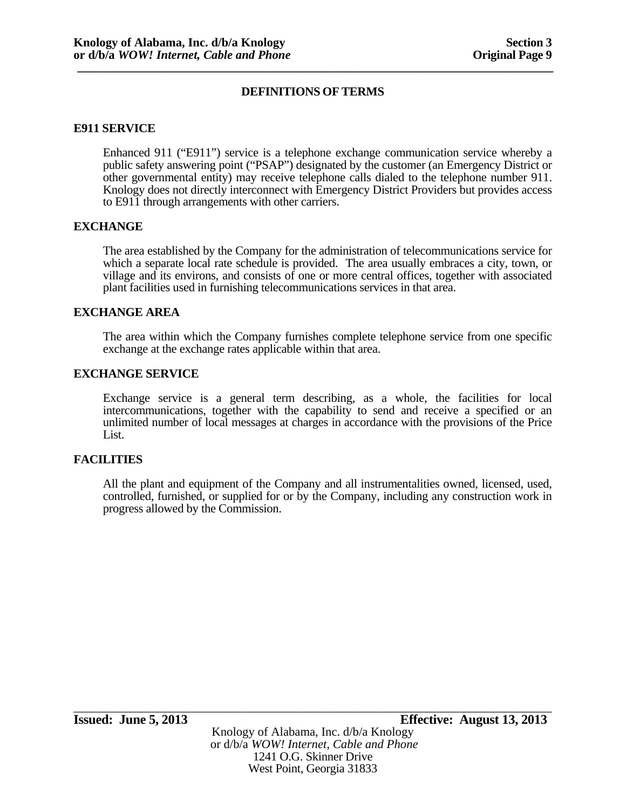#### **E911 SERVICE**

Enhanced 911 ("E911") service is a telephone exchange communication service whereby a public safety answering point ("PSAP") designated by the customer (an Emergency District or other governmental entity) may receive telephone calls dialed to the telephone number 911. Knology does not directly interconnect with Emergency District Providers but provides access to E911 through arrangements with other carriers.

#### **EXCHANGE**

The area established by the Company for the administration of telecommunications service for which a separate local rate schedule is provided. The area usually embraces a city, town, or village and its environs, and consists of one or more central offices, together with associated plant facilities used in furnishing telecommunications services in that area.

#### **EXCHANGE AREA**

The area within which the Company furnishes complete telephone service from one specific exchange at the exchange rates applicable within that area.

#### **EXCHANGE SERVICE**

Exchange service is a general term describing, as a whole, the facilities for local intercommunications, together with the capability to send and receive a specified or an unlimited number of local messages at charges in accordance with the provisions of the Price List.

#### **FACILITIES**

All the plant and equipment of the Company and all instrumentalities owned, licensed, used, controlled, furnished, or supplied for or by the Company, including any construction work in progress allowed by the Commission.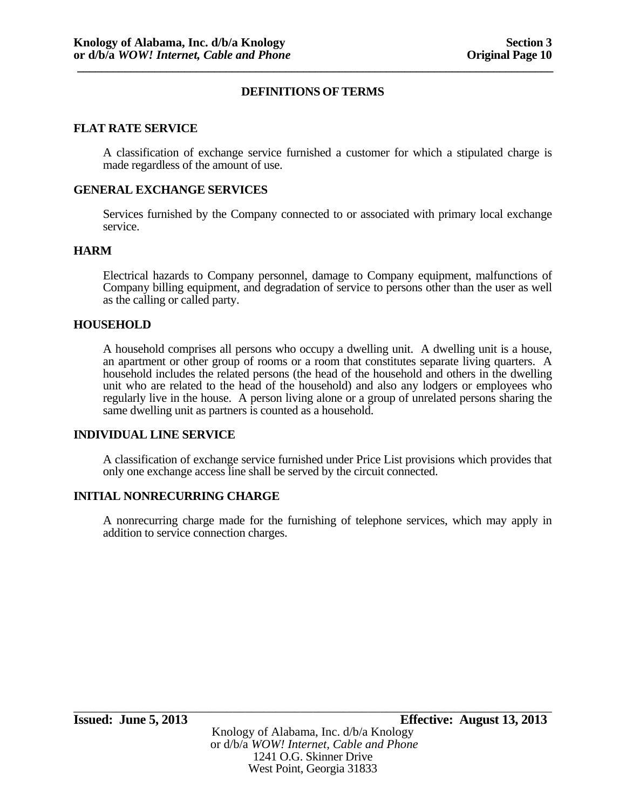### **FLAT RATE SERVICE**

A classification of exchange service furnished a customer for which a stipulated charge is made regardless of the amount of use.

#### **GENERAL EXCHANGE SERVICES**

Services furnished by the Company connected to or associated with primary local exchange service.

#### **HARM**

Electrical hazards to Company personnel, damage to Company equipment, malfunctions of Company billing equipment, and degradation of service to persons other than the user as well as the calling or called party.

#### **HOUSEHOLD**

A household comprises all persons who occupy a dwelling unit. A dwelling unit is a house, an apartment or other group of rooms or a room that constitutes separate living quarters. A household includes the related persons (the head of the household and others in the dwelling unit who are related to the head of the household) and also any lodgers or employees who regularly live in the house. A person living alone or a group of unrelated persons sharing the same dwelling unit as partners is counted as a household.

#### **INDIVIDUAL LINE SERVICE**

A classification of exchange service furnished under Price List provisions which provides that only one exchange access line shall be served by the circuit connected.

#### **INITIAL NONRECURRING CHARGE**

A nonrecurring charge made for the furnishing of telephone services, which may apply in addition to service connection charges.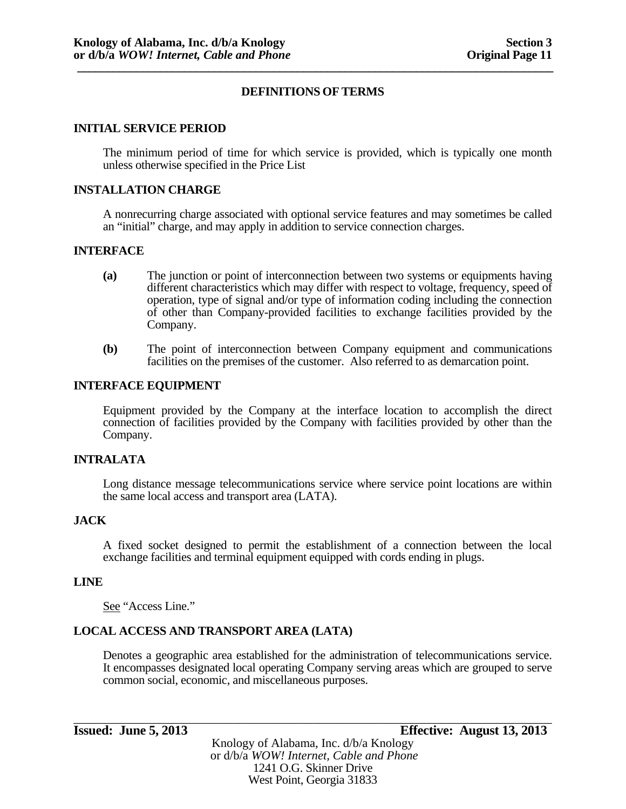#### **INITIAL SERVICE PERIOD**

The minimum period of time for which service is provided, which is typically one month unless otherwise specified in the Price List

#### **INSTALLATION CHARGE**

A nonrecurring charge associated with optional service features and may sometimes be called an "initial" charge, and may apply in addition to service connection charges.

#### **INTERFACE**

- **(a)** The junction or point of interconnection between two systems or equipments having different characteristics which may differ with respect to voltage, frequency, speed of operation, type of signal and/or type of information coding including the connection of other than Company-provided facilities to exchange facilities provided by the Company.
- **(b)** The point of interconnection between Company equipment and communications facilities on the premises of the customer. Also referred to as demarcation point.

#### **INTERFACE EQUIPMENT**

Equipment provided by the Company at the interface location to accomplish the direct connection of facilities provided by the Company with facilities provided by other than the Company.

#### **INTRALATA**

Long distance message telecommunications service where service point locations are within the same local access and transport area (LATA).

#### **JACK**

A fixed socket designed to permit the establishment of a connection between the local exchange facilities and terminal equipment equipped with cords ending in plugs.

#### **LINE**

See "Access Line."

#### **LOCAL ACCESS AND TRANSPORT AREA (LATA)**

Denotes a geographic area established for the administration of telecommunications service. It encompasses designated local operating Company serving areas which are grouped to serve common social, economic, and miscellaneous purposes.

**Issued: June 5, 2013 Effective: August 13, 2013** 

Knology of Alabama, Inc. d/b/a Knology or d/b/a *WOW! Internet, Cable and Phone* 1241 O.G. Skinner Drive West Point, Georgia 31833

\_\_\_\_\_\_\_\_\_\_\_\_\_\_\_\_\_\_\_\_\_\_\_\_\_\_\_\_\_\_\_\_\_\_\_\_\_\_\_\_\_\_\_\_\_\_\_\_\_\_\_\_\_\_\_\_\_\_\_\_\_\_\_\_\_\_\_\_\_\_\_\_\_\_\_\_\_\_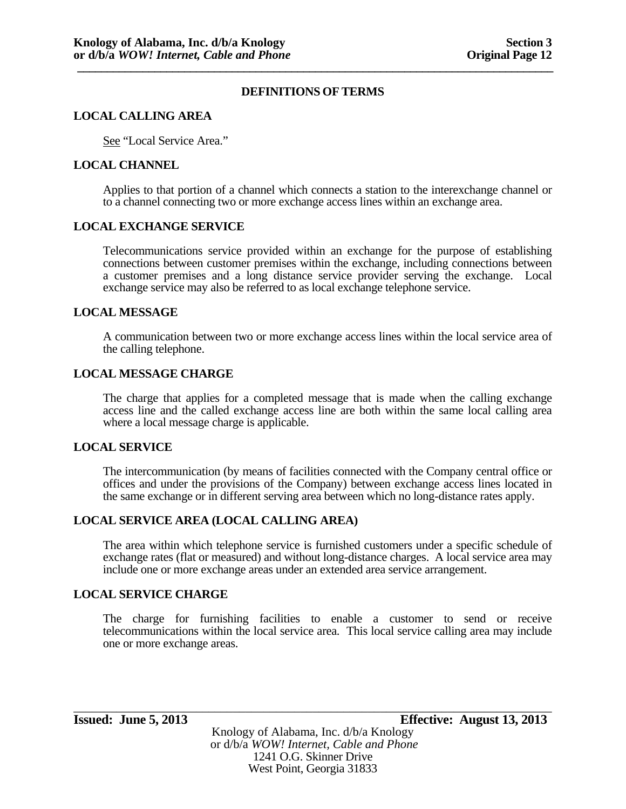### **LOCAL CALLING AREA**

See "Local Service Area."

### **LOCAL CHANNEL**

Applies to that portion of a channel which connects a station to the interexchange channel or to a channel connecting two or more exchange access lines within an exchange area.

#### **LOCAL EXCHANGE SERVICE**

Telecommunications service provided within an exchange for the purpose of establishing connections between customer premises within the exchange, including connections between a customer premises and a long distance service provider serving the exchange. Local exchange service may also be referred to as local exchange telephone service.

## **LOCAL MESSAGE**

A communication between two or more exchange access lines within the local service area of the calling telephone.

## **LOCAL MESSAGE CHARGE**

The charge that applies for a completed message that is made when the calling exchange access line and the called exchange access line are both within the same local calling area where a local message charge is applicable.

#### **LOCAL SERVICE**

The intercommunication (by means of facilities connected with the Company central office or offices and under the provisions of the Company) between exchange access lines located in the same exchange or in different serving area between which no long-distance rates apply.

# **LOCAL SERVICE AREA (LOCAL CALLING AREA)**

The area within which telephone service is furnished customers under a specific schedule of exchange rates (flat or measured) and without long-distance charges. A local service area may include one or more exchange areas under an extended area service arrangement.

#### **LOCAL SERVICE CHARGE**

The charge for furnishing facilities to enable a customer to send or receive telecommunications within the local service area. This local service calling area may include one or more exchange areas.

1241 O.G. Skinner Drive West Point, Georgia 31833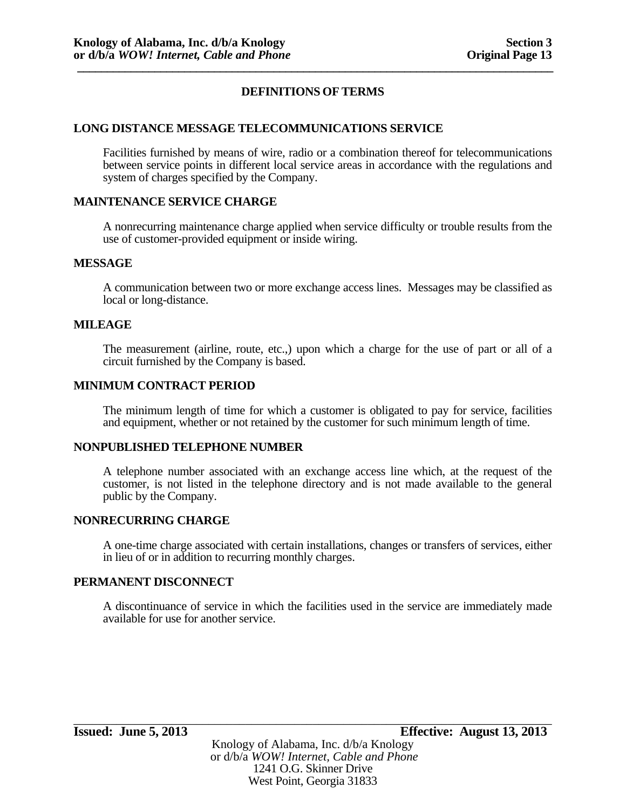### **LONG DISTANCE MESSAGE TELECOMMUNICATIONS SERVICE**

Facilities furnished by means of wire, radio or a combination thereof for telecommunications between service points in different local service areas in accordance with the regulations and system of charges specified by the Company.

## **MAINTENANCE SERVICE CHARGE**

A nonrecurring maintenance charge applied when service difficulty or trouble results from the use of customer-provided equipment or inside wiring.

#### **MESSAGE**

A communication between two or more exchange access lines. Messages may be classified as local or long-distance.

#### **MILEAGE**

The measurement (airline, route, etc.,) upon which a charge for the use of part or all of a circuit furnished by the Company is based.

#### **MINIMUM CONTRACT PERIOD**

The minimum length of time for which a customer is obligated to pay for service, facilities and equipment, whether or not retained by the customer for such minimum length of time.

#### **NONPUBLISHED TELEPHONE NUMBER**

A telephone number associated with an exchange access line which, at the request of the customer, is not listed in the telephone directory and is not made available to the general public by the Company.

#### **NONRECURRING CHARGE**

A one-time charge associated with certain installations, changes or transfers of services, either in lieu of or in addition to recurring monthly charges.

### **PERMANENT DISCONNECT**

A discontinuance of service in which the facilities used in the service are immediately made available for use for another service.

\_\_\_\_\_\_\_\_\_\_\_\_\_\_\_\_\_\_\_\_\_\_\_\_\_\_\_\_\_\_\_\_\_\_\_\_\_\_\_\_\_\_\_\_\_\_\_\_\_\_\_\_\_\_\_\_\_\_\_\_\_\_\_\_\_\_\_\_\_\_\_\_\_\_\_\_\_\_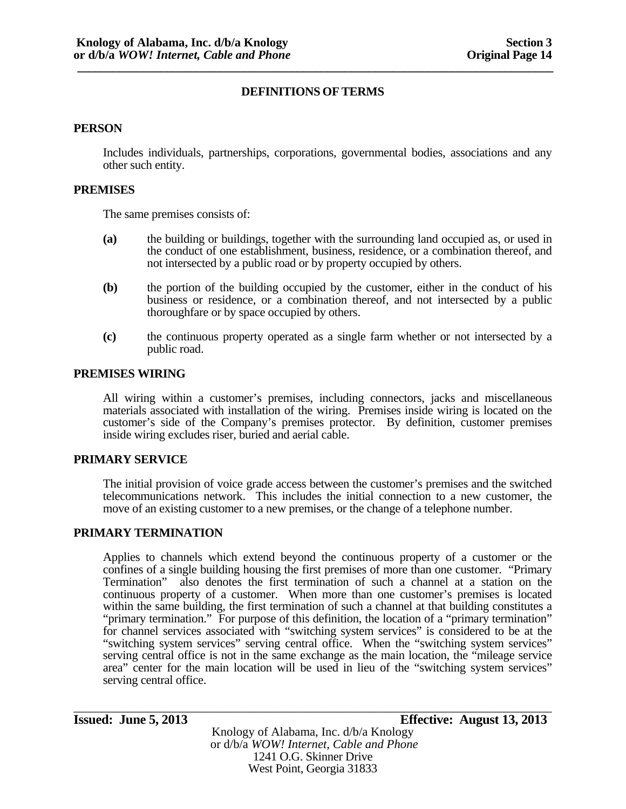#### **PERSON**

Includes individuals, partnerships, corporations, governmental bodies, associations and any other such entity.

#### **PREMISES**

The same premises consists of:

- **(a)** the building or buildings, together with the surrounding land occupied as, or used in the conduct of one establishment, business, residence, or a combination thereof, and not intersected by a public road or by property occupied by others.
- **(b)** the portion of the building occupied by the customer, either in the conduct of his business or residence, or a combination thereof, and not intersected by a public thoroughfare or by space occupied by others.
- **(c)** the continuous property operated as a single farm whether or not intersected by a public road.

#### **PREMISES WIRING**

All wiring within a customer's premises, including connectors, jacks and miscellaneous materials associated with installation of the wiring. Premises inside wiring is located on the customer's side of the Company's premises protector. By definition, customer premises inside wiring excludes riser, buried and aerial cable.

#### **PRIMARY SERVICE**

The initial provision of voice grade access between the customer's premises and the switched telecommunications network. This includes the initial connection to a new customer, the move of an existing customer to a new premises, or the change of a telephone number.

#### **PRIMARY TERMINATION**

Applies to channels which extend beyond the continuous property of a customer or the confines of a single building housing the first premises of more than one customer. "Primary Termination" also denotes the first termination of such a channel at a station on the continuous property of a customer. When more than one customer's premises is located within the same building, the first termination of such a channel at that building constitutes a "primary termination." For purpose of this definition, the location of a "primary termination" for channel services associated with "switching system services" is considered to be at the "switching system services" serving central office. When the "switching system services" serving central office is not in the same exchange as the main location, the "mileage service area" center for the main location will be used in lieu of the "switching system services" serving central office.

## **Issued: June 5, 2013 Effective: August 13, 2013**

Knology of Alabama, Inc. d/b/a Knology or d/b/a *WOW! Internet, Cable and Phone* 1241 O.G. Skinner Drive West Point, Georgia 31833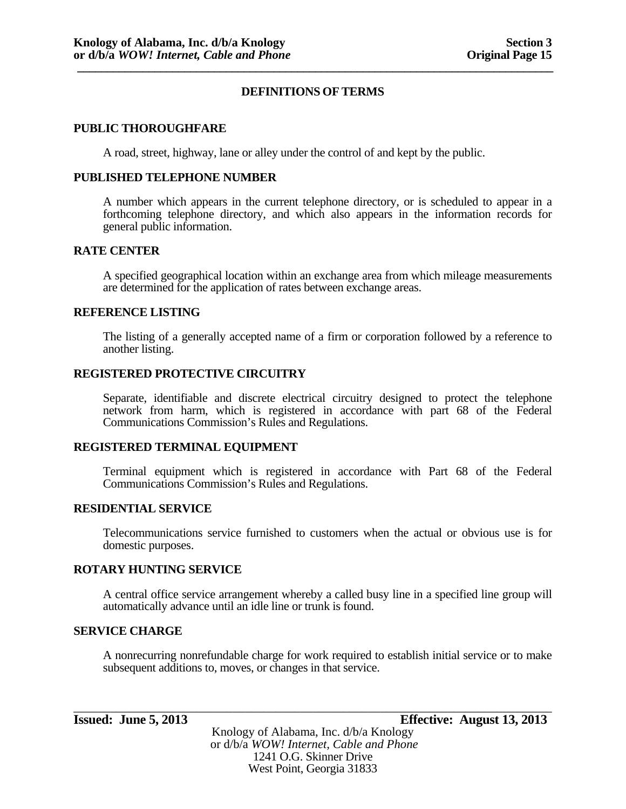#### **PUBLIC THOROUGHFARE**

A road, street, highway, lane or alley under the control of and kept by the public.

#### **PUBLISHED TELEPHONE NUMBER**

A number which appears in the current telephone directory, or is scheduled to appear in a forthcoming telephone directory, and which also appears in the information records for general public information.

#### **RATE CENTER**

A specified geographical location within an exchange area from which mileage measurements are determined for the application of rates between exchange areas.

#### **REFERENCE LISTING**

The listing of a generally accepted name of a firm or corporation followed by a reference to another listing.

#### **REGISTERED PROTECTIVE CIRCUITRY**

Separate, identifiable and discrete electrical circuitry designed to protect the telephone network from harm, which is registered in accordance with part 68 of the Federal Communications Commission's Rules and Regulations.

#### **REGISTERED TERMINAL EQUIPMENT**

Terminal equipment which is registered in accordance with Part 68 of the Federal Communications Commission's Rules and Regulations.

#### **RESIDENTIAL SERVICE**

Telecommunications service furnished to customers when the actual or obvious use is for domestic purposes.

#### **ROTARY HUNTING SERVICE**

A central office service arrangement whereby a called busy line in a specified line group will automatically advance until an idle line or trunk is found.

#### **SERVICE CHARGE**

A nonrecurring nonrefundable charge for work required to establish initial service or to make subsequent additions to, moves, or changes in that service.

Knology of Alabama, Inc. d/b/a Knology or d/b/a *WOW! Internet, Cable and Phone* 1241 O.G. Skinner Drive West Point, Georgia 31833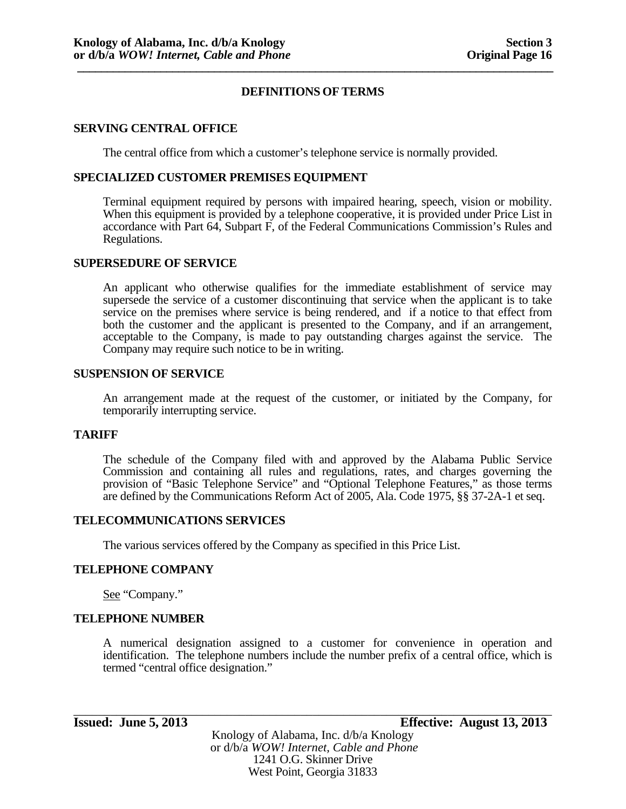## **SERVING CENTRAL OFFICE**

The central office from which a customer's telephone service is normally provided.

### **SPECIALIZED CUSTOMER PREMISES EQUIPMENT**

Terminal equipment required by persons with impaired hearing, speech, vision or mobility. When this equipment is provided by a telephone cooperative, it is provided under Price List in accordance with Part 64, Subpart F, of the Federal Communications Commission's Rules and Regulations.

#### **SUPERSEDURE OF SERVICE**

An applicant who otherwise qualifies for the immediate establishment of service may supersede the service of a customer discontinuing that service when the applicant is to take service on the premises where service is being rendered, and if a notice to that effect from both the customer and the applicant is presented to the Company, and if an arrangement, acceptable to the Company, is made to pay outstanding charges against the service. The Company may require such notice to be in writing.

#### **SUSPENSION OF SERVICE**

An arrangement made at the request of the customer, or initiated by the Company, for temporarily interrupting service.

#### **TARIFF**

The schedule of the Company filed with and approved by the Alabama Public Service Commission and containing all rules and regulations, rates, and charges governing the provision of "Basic Telephone Service" and "Optional Telephone Features," as those terms are defined by the Communications Reform Act of 2005, Ala. Code 1975, §§ 37-2A-1 et seq.

#### **TELECOMMUNICATIONS SERVICES**

The various services offered by the Company as specified in this Price List.

#### **TELEPHONE COMPANY**

See "Company."

### **TELEPHONE NUMBER**

A numerical designation assigned to a customer for convenience in operation and identification. The telephone numbers include the number prefix of a central office, which is termed "central office designation."

Knology of Alabama, Inc. d/b/a Knology or d/b/a *WOW! Internet, Cable and Phone* 1241 O.G. Skinner Drive West Point, Georgia 31833

\_\_\_\_\_\_\_\_\_\_\_\_\_\_\_\_\_\_\_\_\_\_\_\_\_\_\_\_\_\_\_\_\_\_\_\_\_\_\_\_\_\_\_\_\_\_\_\_\_\_\_\_\_\_\_\_\_\_\_\_\_\_\_\_\_\_\_\_\_\_\_\_\_\_\_\_\_\_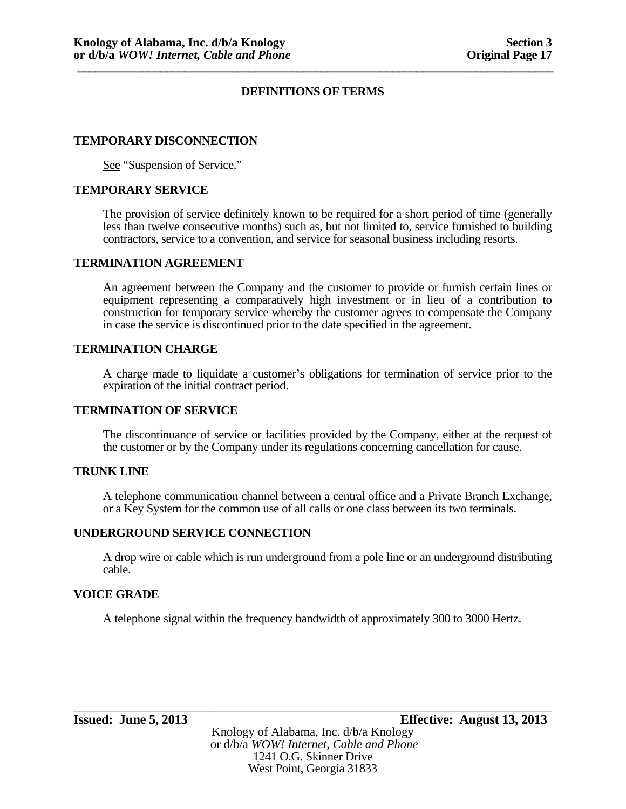### **TEMPORARY DISCONNECTION**

See "Suspension of Service."

#### **TEMPORARY SERVICE**

The provision of service definitely known to be required for a short period of time (generally less than twelve consecutive months) such as, but not limited to, service furnished to building contractors, service to a convention, and service for seasonal business including resorts.

#### **TERMINATION AGREEMENT**

An agreement between the Company and the customer to provide or furnish certain lines or equipment representing a comparatively high investment or in lieu of a contribution to construction for temporary service whereby the customer agrees to compensate the Company in case the service is discontinued prior to the date specified in the agreement.

## **TERMINATION CHARGE**

A charge made to liquidate a customer's obligations for termination of service prior to the expiration of the initial contract period.

#### **TERMINATION OF SERVICE**

The discontinuance of service or facilities provided by the Company, either at the request of the customer or by the Company under its regulations concerning cancellation for cause.

# **TRUNK LINE**

A telephone communication channel between a central office and a Private Branch Exchange, or a Key System for the common use of all calls or one class between its two terminals.

#### **UNDERGROUND SERVICE CONNECTION**

A drop wire or cable which is run underground from a pole line or an underground distributing cable.

#### **VOICE GRADE**

A telephone signal within the frequency bandwidth of approximately 300 to 3000 Hertz.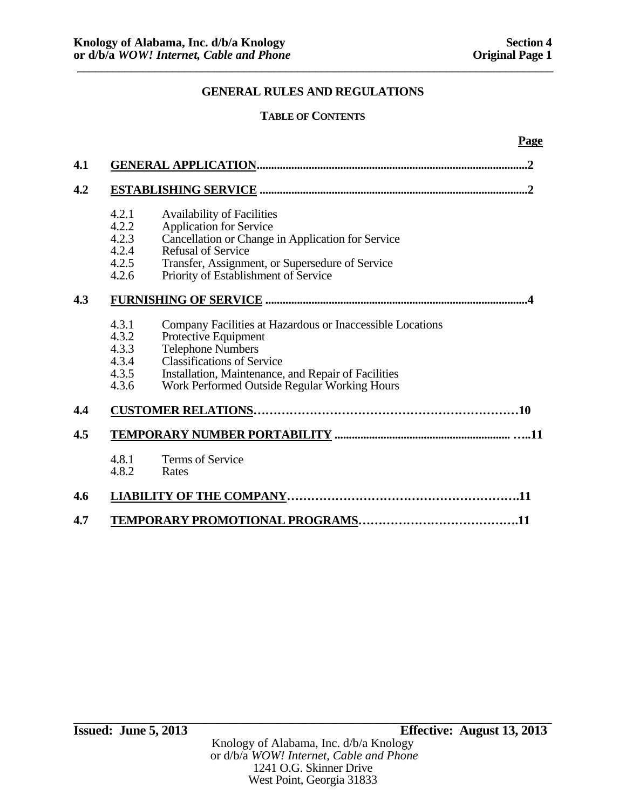**Page** 

# **GENERAL RULES AND REGULATIONS**

# **TABLE OF CONTENTS**

| 4.1 |       |                                                           |
|-----|-------|-----------------------------------------------------------|
| 4.2 |       |                                                           |
|     | 4.2.1 | <b>Availability of Facilities</b>                         |
|     | 4.2.2 | <b>Application for Service</b>                            |
|     | 4.2.3 | Cancellation or Change in Application for Service         |
|     | 4.2.4 | <b>Refusal of Service</b>                                 |
|     | 4.2.5 | Transfer, Assignment, or Supersedure of Service           |
|     | 4.2.6 | Priority of Establishment of Service                      |
| 4.3 |       |                                                           |
|     | 4.3.1 | Company Facilities at Hazardous or Inaccessible Locations |
|     | 4.3.2 | Protective Equipment                                      |
|     | 4.3.3 | Telephone Numbers                                         |
|     | 4.3.4 | <b>Classifications of Service</b>                         |
|     | 4.3.5 | Installation, Maintenance, and Repair of Facilities       |
|     | 4.3.6 | Work Performed Outside Regular Working Hours              |
| 4.4 |       |                                                           |
| 4.5 |       |                                                           |
|     | 4.8.1 | <b>Terms of Service</b>                                   |
|     | 4.8.2 | Rates                                                     |
| 4.6 |       |                                                           |
| 4.7 |       |                                                           |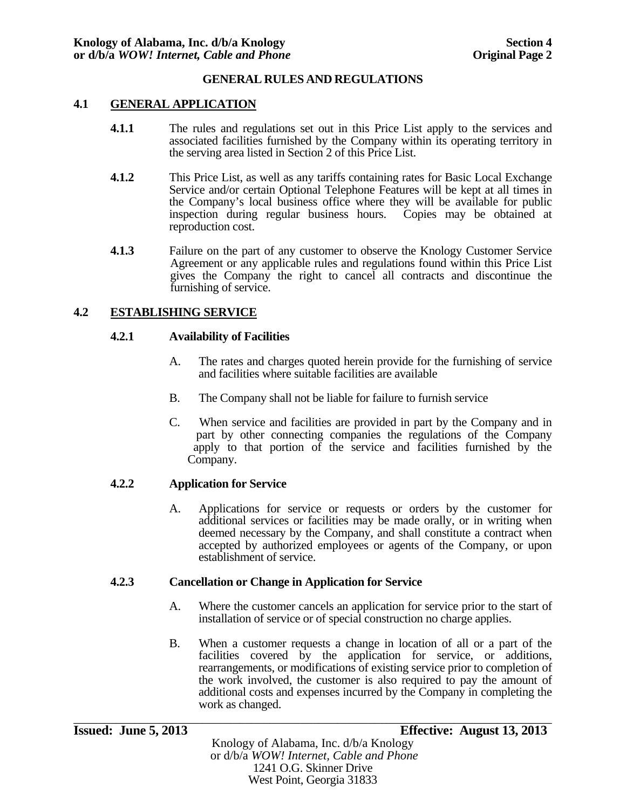# **4.1 GENERAL APPLICATION**

- **4.1.1** The rules and regulations set out in this Price List apply to the services and associated facilities furnished by the Company within its operating territory in the serving area listed in Section 2 of this Price List.
- **4.1.2** This Price List, as well as any tariffs containing rates for Basic Local Exchange Service and/or certain Optional Telephone Features will be kept at all times in the Company's local business office where they will be available for public inspection during regular business hours. Copies may be obtained at reproduction cost.
- **4.1.3** Failure on the part of any customer to observe the Knology Customer Service Agreement or any applicable rules and regulations found within this Price List gives the Company the right to cancel all contracts and discontinue the furnishing of service.

# **4.2 ESTABLISHING SERVICE**

## **4.2.1 Availability of Facilities**

- A. The rates and charges quoted herein provide for the furnishing of service and facilities where suitable facilities are available
- B. The Company shall not be liable for failure to furnish service
- C. When service and facilities are provided in part by the Company and in part by other connecting companies the regulations of the Company apply to that portion of the service and facilities furnished by the Company.

# **4.2.2 Application for Service**

A. Applications for service or requests or orders by the customer for additional services or facilities may be made orally, or in writing when deemed necessary by the Company, and shall constitute a contract when accepted by authorized employees or agents of the Company, or upon establishment of service.

#### **4.2.3 Cancellation or Change in Application for Service**

- A. Where the customer cancels an application for service prior to the start of installation of service or of special construction no charge applies.
- B. When a customer requests a change in location of all or a part of the facilities covered by the application for service, or additions, rearrangements, or modifications of existing service prior to completion of the work involved, the customer is also required to pay the amount of additional costs and expenses incurred by the Company in completing the work as changed.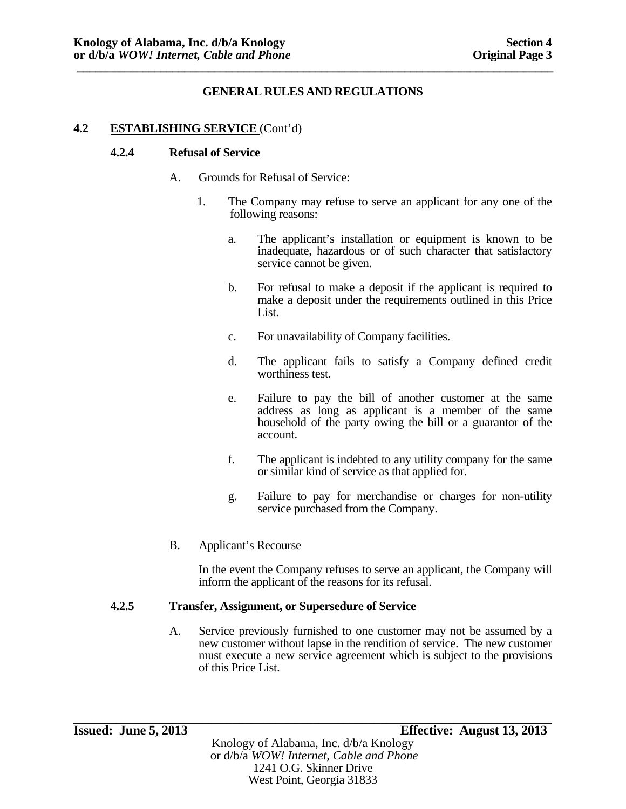## **4.2 ESTABLISHING SERVICE** (Cont'd)

#### **4.2.4 Refusal of Service**

- A. Grounds for Refusal of Service:
	- 1. The Company may refuse to serve an applicant for any one of the following reasons:
		- a. The applicant's installation or equipment is known to be inadequate, hazardous or of such character that satisfactory service cannot be given.
		- b. For refusal to make a deposit if the applicant is required to make a deposit under the requirements outlined in this Price List.
		- c. For unavailability of Company facilities.
		- d. The applicant fails to satisfy a Company defined credit worthiness test.
		- e. Failure to pay the bill of another customer at the same address as long as applicant is a member of the same household of the party owing the bill or a guarantor of the account.
		- f. The applicant is indebted to any utility company for the same or similar kind of service as that applied for.
		- g. Failure to pay for merchandise or charges for non-utility service purchased from the Company.
- B. Applicant's Recourse

 In the event the Company refuses to serve an applicant, the Company will inform the applicant of the reasons for its refusal.

### **4.2.5 Transfer, Assignment, or Supersedure of Service**

A. Service previously furnished to one customer may not be assumed by a new customer without lapse in the rendition of service. The new customer must execute a new service agreement which is subject to the provisions of this Price List.

\_\_\_\_\_\_\_\_\_\_\_\_\_\_\_\_\_\_\_\_\_\_\_\_\_\_\_\_\_\_\_\_\_\_\_\_\_\_\_\_\_\_\_\_\_\_\_\_\_\_\_\_\_\_\_\_\_\_\_\_\_\_\_\_\_\_\_\_\_\_\_\_\_\_\_\_\_\_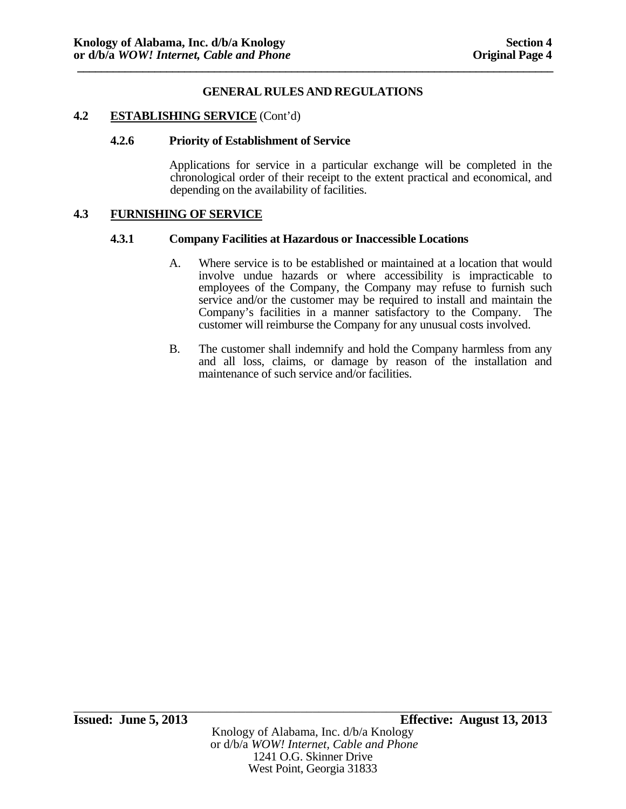#### **4.2 ESTABLISHING SERVICE** (Cont'd)

#### **4.2.6 Priority of Establishment of Service**

 Applications for service in a particular exchange will be completed in the chronological order of their receipt to the extent practical and economical, and depending on the availability of facilities.

### **4.3 FURNISHING OF SERVICE**

#### **4.3.1 Company Facilities at Hazardous or Inaccessible Locations**

- A. Where service is to be established or maintained at a location that would involve undue hazards or where accessibility is impracticable to employees of the Company, the Company may refuse to furnish such service and/or the customer may be required to install and maintain the Company's facilities in a manner satisfactory to the Company. The customer will reimburse the Company for any unusual costs involved.
- B. The customer shall indemnify and hold the Company harmless from any and all loss, claims, or damage by reason of the installation and maintenance of such service and/or facilities.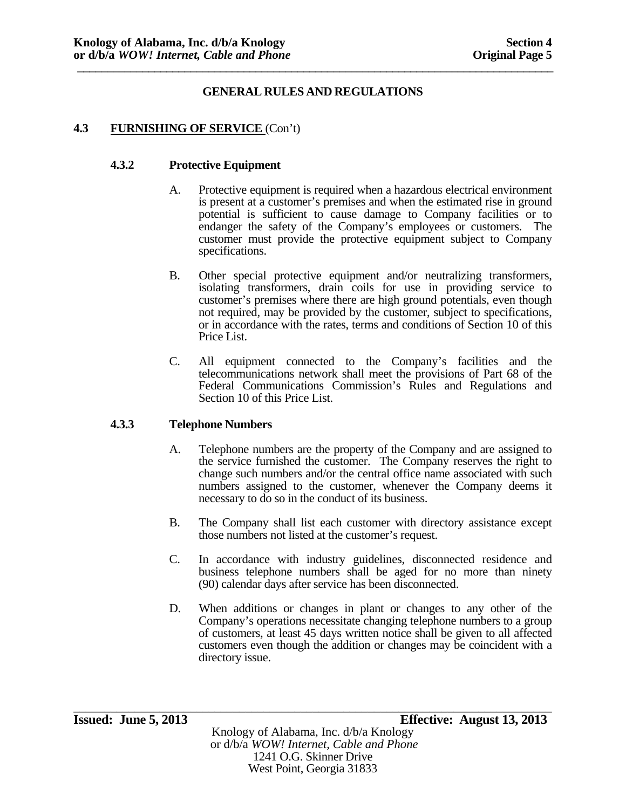# **4.3 FURNISHING OF SERVICE** (Con't)

### **4.3.2 Protective Equipment**

- A. Protective equipment is required when a hazardous electrical environment is present at a customer's premises and when the estimated rise in ground potential is sufficient to cause damage to Company facilities or to endanger the safety of the Company's employees or customers. The customer must provide the protective equipment subject to Company specifications.
- B. Other special protective equipment and/or neutralizing transformers, isolating transformers, drain coils for use in providing service to customer's premises where there are high ground potentials, even though not required, may be provided by the customer, subject to specifications, or in accordance with the rates, terms and conditions of Section 10 of this Price List.
- C. All equipment connected to the Company's facilities and the telecommunications network shall meet the provisions of Part 68 of the Federal Communications Commission's Rules and Regulations and Section 10 of this Price List.

#### **4.3.3 Telephone Numbers**

- A. Telephone numbers are the property of the Company and are assigned to the service furnished the customer. The Company reserves the right to change such numbers and/or the central office name associated with such numbers assigned to the customer, whenever the Company deems it necessary to do so in the conduct of its business.
- B. The Company shall list each customer with directory assistance except those numbers not listed at the customer's request.
- C. In accordance with industry guidelines, disconnected residence and business telephone numbers shall be aged for no more than ninety (90) calendar days after service has been disconnected.
- D. When additions or changes in plant or changes to any other of the Company's operations necessitate changing telephone numbers to a group of customers, at least 45 days written notice shall be given to all affected customers even though the addition or changes may be coincident with a directory issue.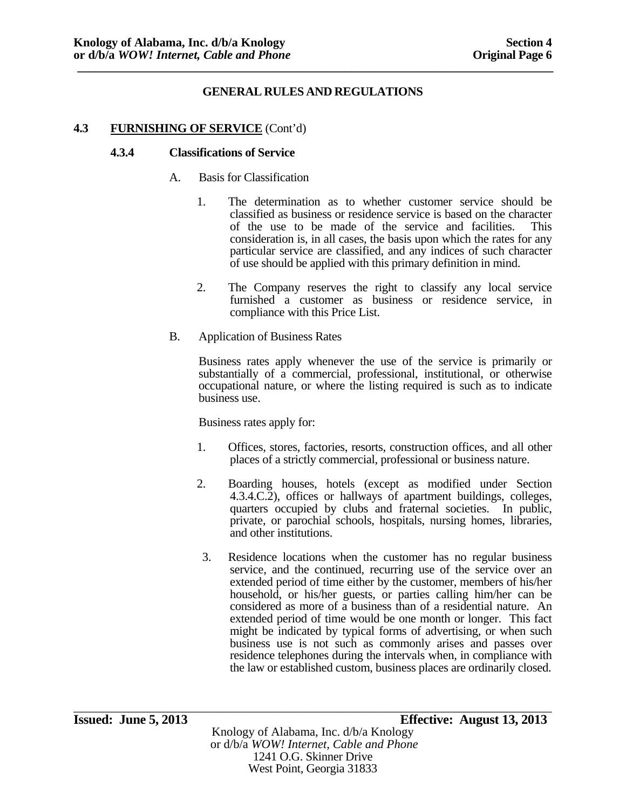## **4.3 FURNISHING OF SERVICE** (Cont'd)

#### **4.3.4 Classifications of Service**

- A. Basis for Classification
	- 1. The determination as to whether customer service should be classified as business or residence service is based on the character of the use to be made of the service and facilities. This consideration is, in all cases, the basis upon which the rates for any particular service are classified, and any indices of such character of use should be applied with this primary definition in mind.
	- 2. The Company reserves the right to classify any local service furnished a customer as business or residence service, in compliance with this Price List.
- B. Application of Business Rates

Business rates apply whenever the use of the service is primarily or substantially of a commercial, professional, institutional, or otherwise occupational nature, or where the listing required is such as to indicate business use.

Business rates apply for:

- 1. Offices, stores, factories, resorts, construction offices, and all other places of a strictly commercial, professional or business nature.
- 2. Boarding houses, hotels (except as modified under Section 4.3.4.C.2), offices or hallways of apartment buildings, colleges, quarters occupied by clubs and fraternal societies. In public, private, or parochial schools, hospitals, nursing homes, libraries, and other institutions.
- 3. Residence locations when the customer has no regular business service, and the continued, recurring use of the service over an extended period of time either by the customer, members of his/her household, or his/her guests, or parties calling him/her can be considered as more of a business than of a residential nature. An extended period of time would be one month or longer. This fact might be indicated by typical forms of advertising, or when such business use is not such as commonly arises and passes over residence telephones during the intervals when, in compliance with the law or established custom, business places are ordinarily closed.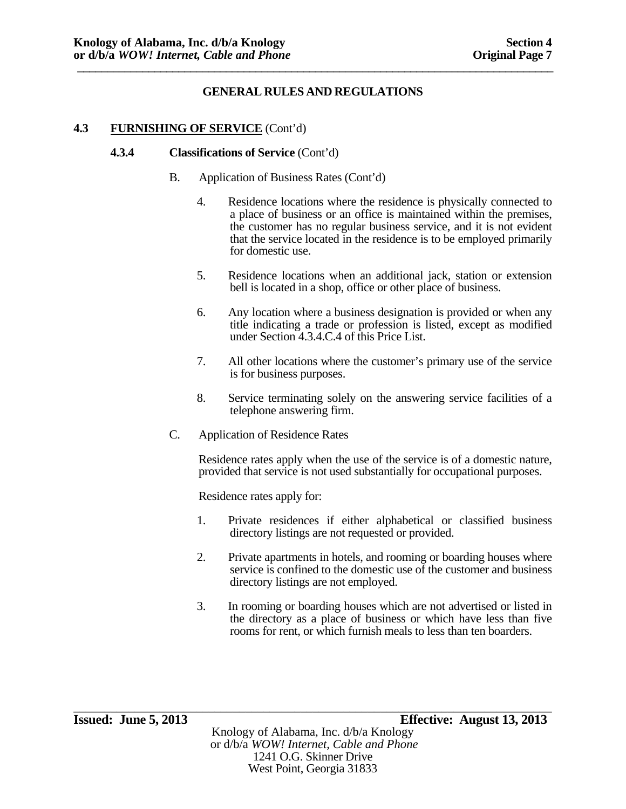# **4.3 FURNISHING OF SERVICE** (Cont'd)

#### **4.3.4 Classifications of Service** (Cont'd)

- B. Application of Business Rates (Cont'd)
	- 4. Residence locations where the residence is physically connected to a place of business or an office is maintained within the premises, the customer has no regular business service, and it is not evident that the service located in the residence is to be employed primarily for domestic use.
	- 5. Residence locations when an additional jack, station or extension bell is located in a shop, office or other place of business.
	- 6. Any location where a business designation is provided or when any title indicating a trade or profession is listed, except as modified under Section 4.3.4.C.4 of this Price List.
	- 7. All other locations where the customer's primary use of the service is for business purposes.
	- 8. Service terminating solely on the answering service facilities of a telephone answering firm.
- C. Application of Residence Rates

Residence rates apply when the use of the service is of a domestic nature, provided that service is not used substantially for occupational purposes.

Residence rates apply for:

- 1. Private residences if either alphabetical or classified business directory listings are not requested or provided.
- 2. Private apartments in hotels, and rooming or boarding houses where service is confined to the domestic use of the customer and business directory listings are not employed.
- 3. In rooming or boarding houses which are not advertised or listed in the directory as a place of business or which have less than five rooms for rent, or which furnish meals to less than ten boarders.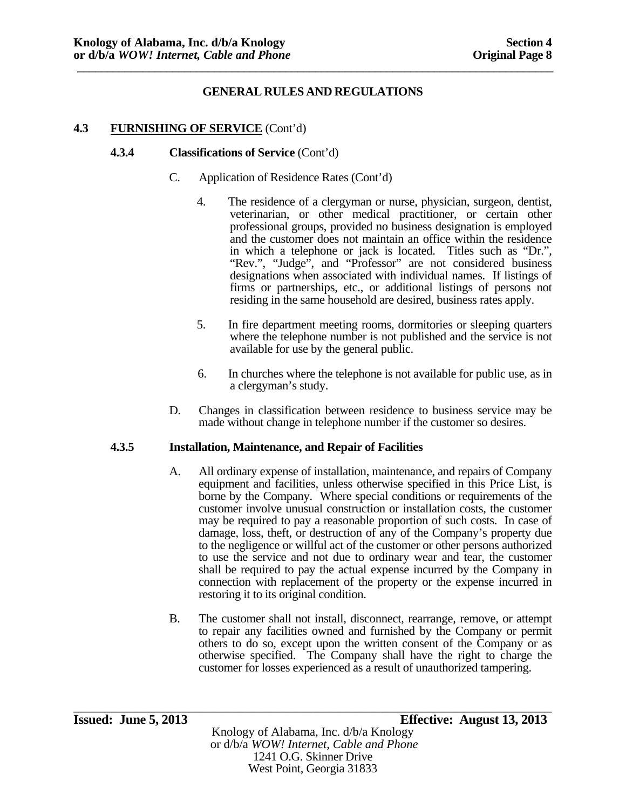# **4.3 FURNISHING OF SERVICE** (Cont'd)

### **4.3.4 Classifications of Service** (Cont'd)

- C. Application of Residence Rates (Cont'd)
	- 4. The residence of a clergyman or nurse, physician, surgeon, dentist, veterinarian, or other medical practitioner, or certain other professional groups, provided no business designation is employed and the customer does not maintain an office within the residence in which a telephone or jack is located. Titles such as "Dr.", "Rev.", "Judge", and "Professor" are not considered business designations when associated with individual names. If listings of firms or partnerships, etc., or additional listings of persons not residing in the same household are desired, business rates apply.
	- 5. In fire department meeting rooms, dormitories or sleeping quarters where the telephone number is not published and the service is not available for use by the general public.
	- 6. In churches where the telephone is not available for public use, as in a clergyman's study.
- D. Changes in classification between residence to business service may be made without change in telephone number if the customer so desires.

#### **4.3.5 Installation, Maintenance, and Repair of Facilities**

- A. All ordinary expense of installation, maintenance, and repairs of Company equipment and facilities, unless otherwise specified in this Price List, is borne by the Company. Where special conditions or requirements of the customer involve unusual construction or installation costs, the customer may be required to pay a reasonable proportion of such costs. In case of damage, loss, theft, or destruction of any of the Company's property due to the negligence or willful act of the customer or other persons authorized to use the service and not due to ordinary wear and tear, the customer shall be required to pay the actual expense incurred by the Company in connection with replacement of the property or the expense incurred in restoring it to its original condition.
- B. The customer shall not install, disconnect, rearrange, remove, or attempt to repair any facilities owned and furnished by the Company or permit others to do so, except upon the written consent of the Company or as otherwise specified. The Company shall have the right to charge the customer for losses experienced as a result of unauthorized tampering.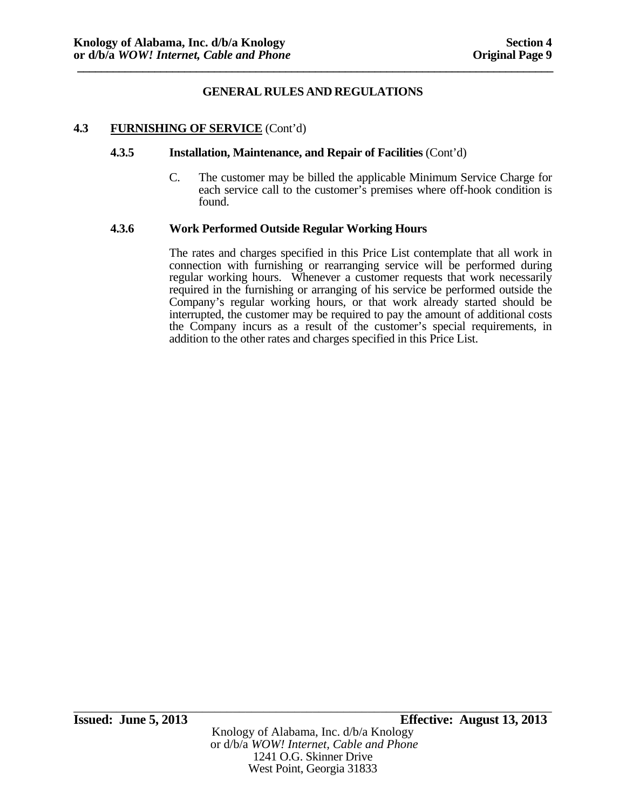## **4.3 FURNISHING OF SERVICE** (Cont'd)

#### **4.3.5 Installation, Maintenance, and Repair of Facilities** (Cont'd)

C. The customer may be billed the applicable Minimum Service Charge for each service call to the customer's premises where off-hook condition is found.

#### **4.3.6 Work Performed Outside Regular Working Hours**

The rates and charges specified in this Price List contemplate that all work in connection with furnishing or rearranging service will be performed during regular working hours. Whenever a customer requests that work necessarily required in the furnishing or arranging of his service be performed outside the Company's regular working hours, or that work already started should be interrupted, the customer may be required to pay the amount of additional costs the Company incurs as a result of the customer's special requirements, in addition to the other rates and charges specified in this Price List.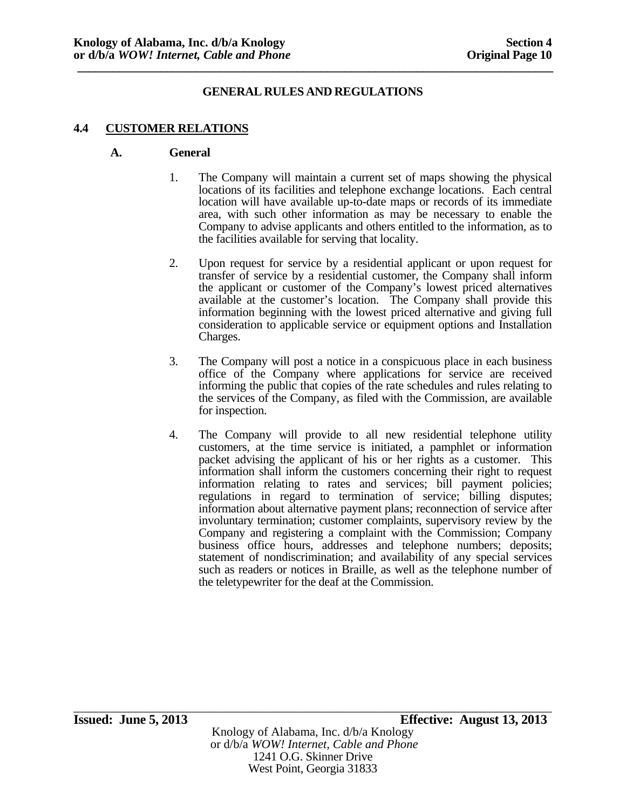# **GENERAL RULES AND REGULATIONS**

## **4.4 CUSTOMER RELATIONS**

#### **A. General**

- 1. The Company will maintain a current set of maps showing the physical locations of its facilities and telephone exchange locations. Each central location will have available up-to-date maps or records of its immediate area, with such other information as may be necessary to enable the Company to advise applicants and others entitled to the information, as to the facilities available for serving that locality.
- 2. Upon request for service by a residential applicant or upon request for transfer of service by a residential customer, the Company shall inform the applicant or customer of the Company's lowest priced alternatives available at the customer's location. The Company shall provide this information beginning with the lowest priced alternative and giving full consideration to applicable service or equipment options and Installation Charges.
- 3. The Company will post a notice in a conspicuous place in each business office of the Company where applications for service are received informing the public that copies of the rate schedules and rules relating to the services of the Company, as filed with the Commission, are available for inspection.
- 4. The Company will provide to all new residential telephone utility customers, at the time service is initiated, a pamphlet or information packet advising the applicant of his or her rights as a customer. This information shall inform the customers concerning their right to request information relating to rates and services; bill payment policies; regulations in regard to termination of service; billing disputes; information about alternative payment plans; reconnection of service after involuntary termination; customer complaints, supervisory review by the Company and registering a complaint with the Commission; Company business office hours, addresses and telephone numbers; deposits; statement of nondiscrimination; and availability of any special services such as readers or notices in Braille, as well as the telephone number of the teletypewriter for the deaf at the Commission.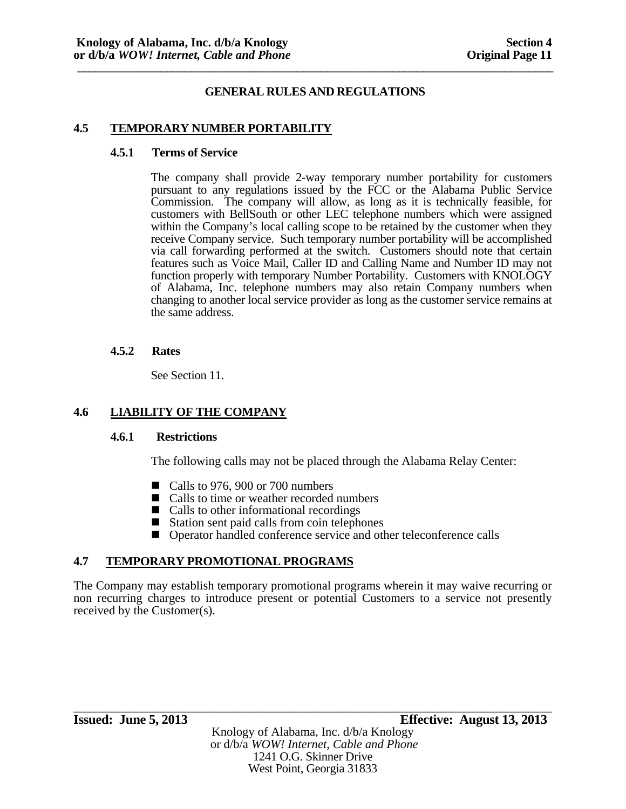# **GENERAL RULES AND REGULATIONS**

## **4.5 TEMPORARY NUMBER PORTABILITY**

#### **4.5.1 Terms of Service**

 The company shall provide 2-way temporary number portability for customers pursuant to any regulations issued by the FCC or the Alabama Public Service Commission. The company will allow, as long as it is technically feasible, for customers with BellSouth or other LEC telephone numbers which were assigned within the Company's local calling scope to be retained by the customer when they receive Company service. Such temporary number portability will be accomplished via call forwarding performed at the switch. Customers should note that certain features such as Voice Mail, Caller ID and Calling Name and Number ID may not function properly with temporary Number Portability. Customers with KNOLOGY of Alabama, Inc. telephone numbers may also retain Company numbers when changing to another local service provider as long as the customer service remains at the same address.

## **4.5.2 Rates**

See Section 11.

# **4.6 LIABILITY OF THE COMPANY**

#### **4.6.1 Restrictions**

The following calls may not be placed through the Alabama Relay Center:

- Calls to 976, 900 or 700 numbers
- Calls to time or weather recorded numbers
- Calls to other informational recordings
- $\blacksquare$  Station sent paid calls from coin telephones
- Operator handled conference service and other teleconference calls

# **4.7 TEMPORARY PROMOTIONAL PROGRAMS**

The Company may establish temporary promotional programs wherein it may waive recurring or non recurring charges to introduce present or potential Customers to a service not presently received by the Customer(s).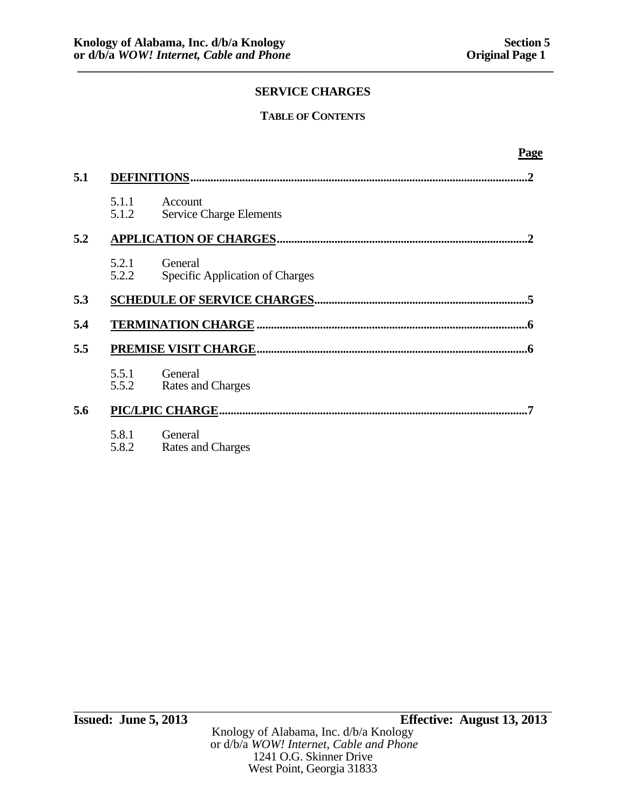# **TABLE OF CONTENTS**

|                | <u>Page</u>                                |
|----------------|--------------------------------------------|
|                | .2                                         |
| 5.1.1<br>5.1.2 | Account<br><b>Service Charge Elements</b>  |
|                |                                            |
| 5.2.1<br>5.2.2 | General<br>Specific Application of Charges |
|                |                                            |
|                |                                            |
|                |                                            |
| 5.5.1<br>5.5.2 | General<br>Rates and Charges               |
|                |                                            |
| 5.8.1<br>5.8.2 | General<br>Rates and Charges               |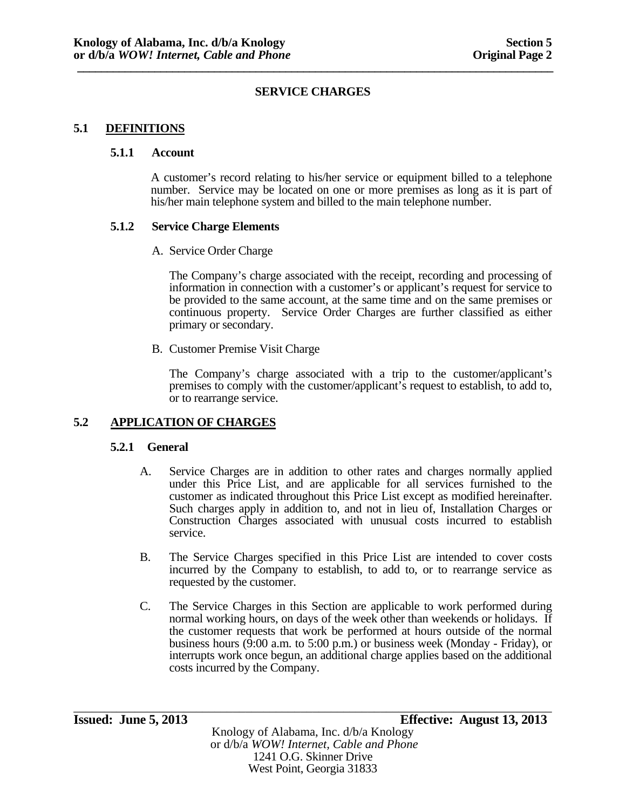## **5.1 DEFINITIONS**

#### **5.1.1 Account**

A customer's record relating to his/her service or equipment billed to a telephone number. Service may be located on one or more premises as long as it is part of his/her main telephone system and billed to the main telephone number.

## **5.1.2 Service Charge Elements**

A. Service Order Charge

The Company's charge associated with the receipt, recording and processing of information in connection with a customer's or applicant's request for service to be provided to the same account, at the same time and on the same premises or continuous property. Service Order Charges are further classified as either primary or secondary.

B. Customer Premise Visit Charge

The Company's charge associated with a trip to the customer/applicant's premises to comply with the customer/applicant's request to establish, to add to, or to rearrange service.

# **5.2 APPLICATION OF CHARGES**

#### **5.2.1 General**

- A. Service Charges are in addition to other rates and charges normally applied under this Price List, and are applicable for all services furnished to the customer as indicated throughout this Price List except as modified hereinafter. Such charges apply in addition to, and not in lieu of, Installation Charges or Construction Charges associated with unusual costs incurred to establish service.
- B. The Service Charges specified in this Price List are intended to cover costs incurred by the Company to establish, to add to, or to rearrange service as requested by the customer.
- C. The Service Charges in this Section are applicable to work performed during normal working hours, on days of the week other than weekends or holidays. If the customer requests that work be performed at hours outside of the normal business hours (9:00 a.m. to 5:00 p.m.) or business week (Monday - Friday), or interrupts work once begun, an additional charge applies based on the additional costs incurred by the Company.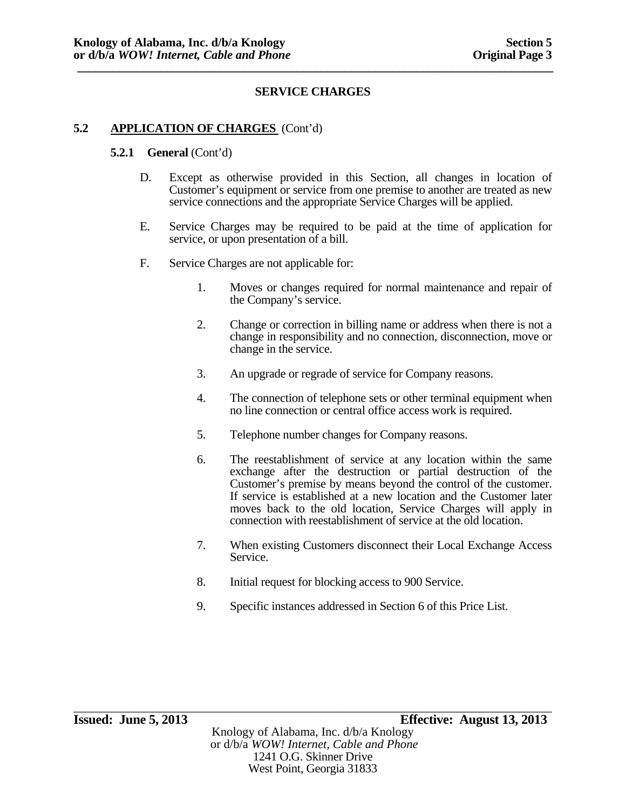## **5.2 APPLICATION OF CHARGES** (Cont'd)

#### **5.2.1 General** (Cont'd)

- D. Except as otherwise provided in this Section, all changes in location of Customer's equipment or service from one premise to another are treated as new service connections and the appropriate Service Charges will be applied.
- E. Service Charges may be required to be paid at the time of application for service, or upon presentation of a bill.
- F. Service Charges are not applicable for:
	- 1. Moves or changes required for normal maintenance and repair of the Company's service.
	- 2. Change or correction in billing name or address when there is not a change in responsibility and no connection, disconnection, move or change in the service.
	- 3. An upgrade or regrade of service for Company reasons.
	- 4. The connection of telephone sets or other terminal equipment when no line connection or central office access work is required.
	- 5. Telephone number changes for Company reasons.
	- 6. The reestablishment of service at any location within the same exchange after the destruction or partial destruction of the Customer's premise by means beyond the control of the customer. If service is established at a new location and the Customer later moves back to the old location, Service Charges will apply in connection with reestablishment of service at the old location.
	- 7. When existing Customers disconnect their Local Exchange Access Service.
	- 8. Initial request for blocking access to 900 Service.
	- 9. Specific instances addressed in Section 6 of this Price List.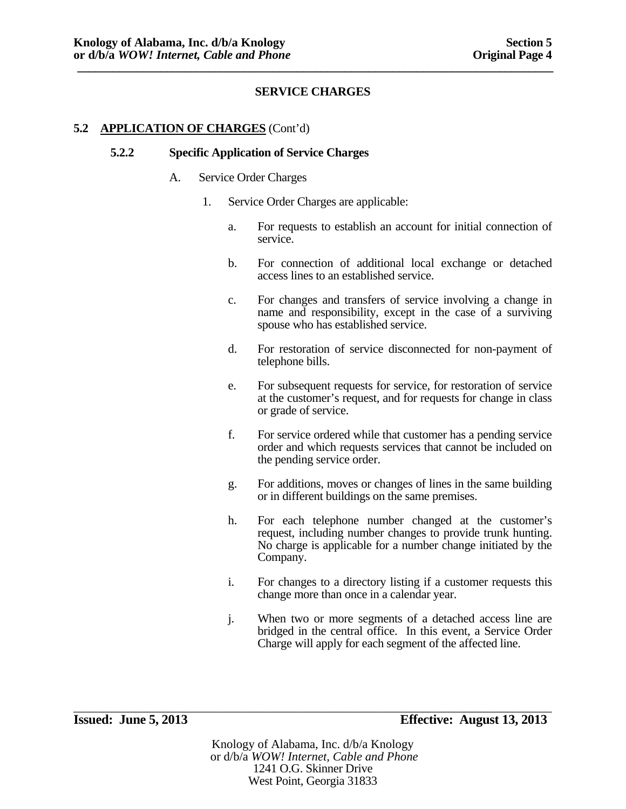# **5.2 APPLICATION OF CHARGES** (Cont'd)

#### **5.2.2 Specific Application of Service Charges**

#### A. Service Order Charges

- 1. Service Order Charges are applicable:
	- a. For requests to establish an account for initial connection of service.
	- b. For connection of additional local exchange or detached access lines to an established service.
	- c. For changes and transfers of service involving a change in name and responsibility, except in the case of a surviving spouse who has established service.
	- d. For restoration of service disconnected for non-payment of telephone bills.
	- e. For subsequent requests for service, for restoration of service at the customer's request, and for requests for change in class or grade of service.
	- f. For service ordered while that customer has a pending service order and which requests services that cannot be included on the pending service order.
	- g. For additions, moves or changes of lines in the same building or in different buildings on the same premises.
	- h. For each telephone number changed at the customer's request, including number changes to provide trunk hunting. No charge is applicable for a number change initiated by the Company.
	- i. For changes to a directory listing if a customer requests this change more than once in a calendar year.
	- j. When two or more segments of a detached access line are bridged in the central office. In this event, a Service Order Charge will apply for each segment of the affected line.

Knology of Alabama, Inc. d/b/a Knology or d/b/a *WOW! Internet, Cable and Phone* 1241 O.G. Skinner Drive West Point, Georgia 31833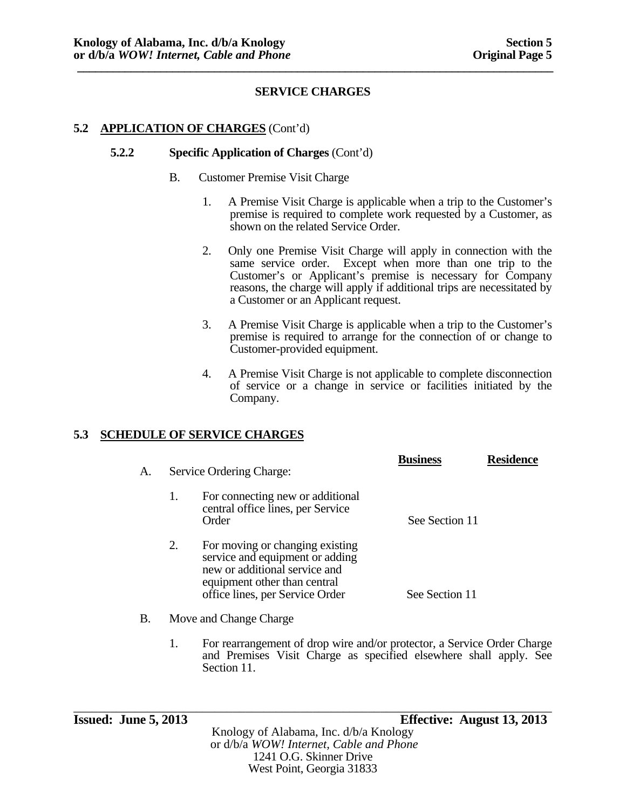# **5.2 APPLICATION OF CHARGES** (Cont'd)

#### **5.2.2 Specific Application of Charges** (Cont'd)

- B. Customer Premise Visit Charge
	- 1. A Premise Visit Charge is applicable when a trip to the Customer's premise is required to complete work requested by a Customer, as shown on the related Service Order.
	- 2. Only one Premise Visit Charge will apply in connection with the same service order. Except when more than one trip to the Customer's or Applicant's premise is necessary for Company reasons, the charge will apply if additional trips are necessitated by a Customer or an Applicant request.
	- 3. A Premise Visit Charge is applicable when a trip to the Customer's premise is required to arrange for the connection of or change to Customer-provided equipment.
	- 4. A Premise Visit Charge is not applicable to complete disconnection of service or a change in service or facilities initiated by the Company.

# **5.3 SCHEDULE OF SERVICE CHARGES**

| A. | Service Ordering Charge:                                                                                                                                                     | <b>Business</b> | <b>Residence</b> |
|----|------------------------------------------------------------------------------------------------------------------------------------------------------------------------------|-----------------|------------------|
|    | 1.<br>For connecting new or additional<br>central office lines, per Service<br>Order                                                                                         | See Section 11  |                  |
|    | 2.<br>For moving or changing existing<br>service and equipment or adding<br>new or additional service and<br>equipment other than central<br>office lines, per Service Order | See Section 11  |                  |
| Β. | Move and Change Charge                                                                                                                                                       |                 |                  |

1. For rearrangement of drop wire and/or protector, a Service Order Charge and Premises Visit Charge as specified elsewhere shall apply. See Section 11.

\_\_\_\_\_\_\_\_\_\_\_\_\_\_\_\_\_\_\_\_\_\_\_\_\_\_\_\_\_\_\_\_\_\_\_\_\_\_\_\_\_\_\_\_\_\_\_\_\_\_\_\_\_\_\_\_\_\_\_\_\_\_\_\_\_\_\_\_\_\_\_\_\_\_\_\_\_\_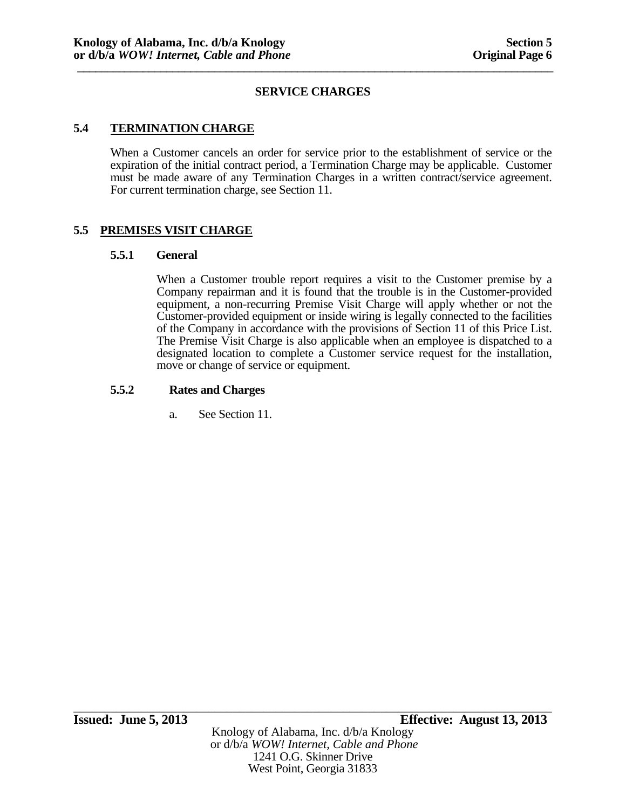# **5.4 TERMINATION CHARGE**

When a Customer cancels an order for service prior to the establishment of service or the expiration of the initial contract period, a Termination Charge may be applicable. Customer must be made aware of any Termination Charges in a written contract/service agreement. For current termination charge, see Section 11.

# **5.5 PREMISES VISIT CHARGE**

#### **5.5.1 General**

When a Customer trouble report requires a visit to the Customer premise by a Company repairman and it is found that the trouble is in the Customer-provided equipment, a non-recurring Premise Visit Charge will apply whether or not the Customer-provided equipment or inside wiring is legally connected to the facilities of the Company in accordance with the provisions of Section 11 of this Price List. The Premise Visit Charge is also applicable when an employee is dispatched to a designated location to complete a Customer service request for the installation, move or change of service or equipment.

#### **5.5.2 Rates and Charges**

a. See Section 11.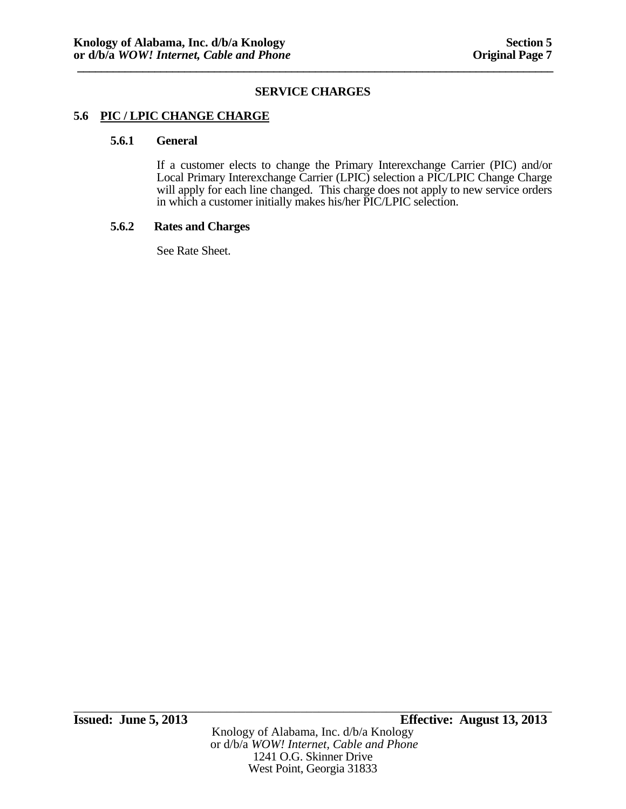## **5.6 PIC / LPIC CHANGE CHARGE**

# **5.6.1 General**

If a customer elects to change the Primary Interexchange Carrier (PIC) and/or Local Primary Interexchange Carrier (LPIC) selection a PIC/LPIC Change Charge will apply for each line changed. This charge does not apply to new service orders in which a customer initially makes his/her PIC/LPIC selection.

## **5.6.2 Rates and Charges**

See Rate Sheet.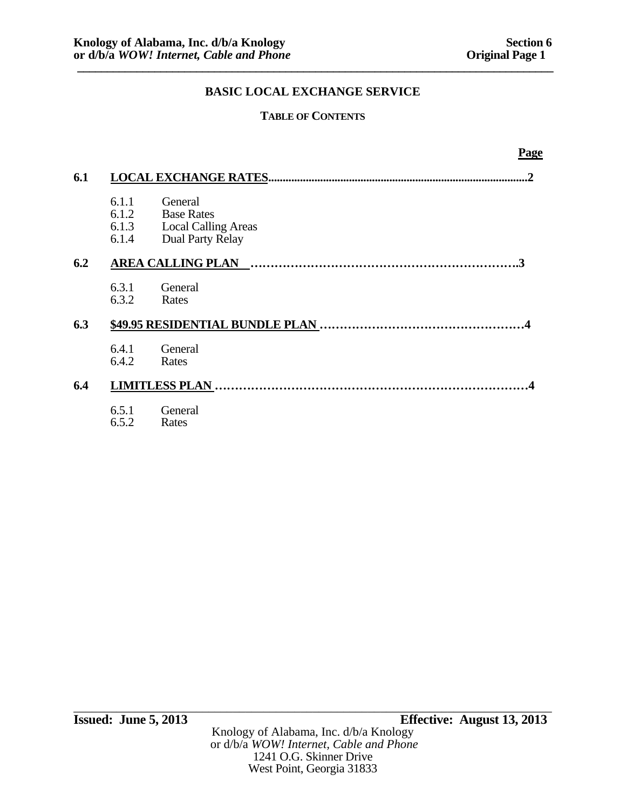# **TABLE OF CONTENTS**

|     |                                  | <b>Page</b>                                                                           |  |
|-----|----------------------------------|---------------------------------------------------------------------------------------|--|
| 6.1 |                                  | 2                                                                                     |  |
|     | 6.1.1<br>6.1.2<br>6.1.3<br>6.1.4 | General<br><b>Base Rates</b><br><b>Local Calling Areas</b><br><b>Dual Party Relay</b> |  |
| 6.2 |                                  |                                                                                       |  |
|     | 6.3.1<br>6.3.2                   | General<br>Rates                                                                      |  |
| 6.3 |                                  |                                                                                       |  |
|     | 6.4.1<br>6.4.2                   | General<br>Rates                                                                      |  |
| 6.4 |                                  |                                                                                       |  |
|     | 6.5.1<br>6.5.2                   | General<br>Rates                                                                      |  |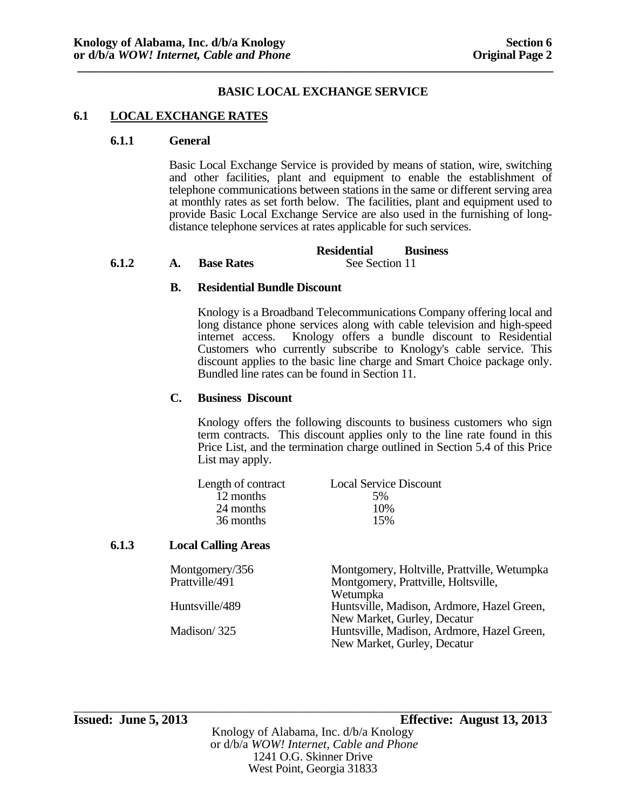#### **6.1 LOCAL EXCHANGE RATES**

#### **6.1.1 General**

Basic Local Exchange Service is provided by means of station, wire, switching and other facilities, plant and equipment to enable the establishment of telephone communications between stations in the same or different serving area at monthly rates as set forth below. The facilities, plant and equipment used to provide Basic Local Exchange Service are also used in the furnishing of longdistance telephone services at rates applicable for such services.

|       |                   | <b>Residential</b> | <b>Business</b> |
|-------|-------------------|--------------------|-----------------|
| 6.1.2 | <b>Base Rates</b> | See Section 11     |                 |

#### **B. Residential Bundle Discount**

 Knology is a Broadband Telecommunications Company offering local and long distance phone services along with cable television and high-speed internet access. Knology offers a bundle discount to Residential Customers who currently subscribe to Knology's cable service. This discount applies to the basic line charge and Smart Choice package only. Bundled line rates can be found in Section 11.

#### **C. Business Discount**

Knology offers the following discounts to business customers who sign term contracts. This discount applies only to the line rate found in this Price List, and the termination charge outlined in Section 5.4 of this Price List may apply.

| Length of contract | <b>Local Service Discount</b> |
|--------------------|-------------------------------|
| 12 months          | .5%                           |
| 24 months          | 10%                           |
| 36 months          | 15%                           |
|                    |                               |

## **6.1.3 Local Calling Areas**

| Montgomery/356 | Montgomery, Holtville, Prattville, Wetumpka |
|----------------|---------------------------------------------|
| Prattville/491 | Montgomery, Prattville, Holtsville,         |
|                | Wetumpka                                    |
| Huntsville/489 | Huntsville, Madison, Ardmore, Hazel Green,  |
|                | New Market, Gurley, Decatur                 |
| Madison/325    | Huntsville, Madison, Ardmore, Hazel Green,  |
|                | New Market, Gurley, Decatur                 |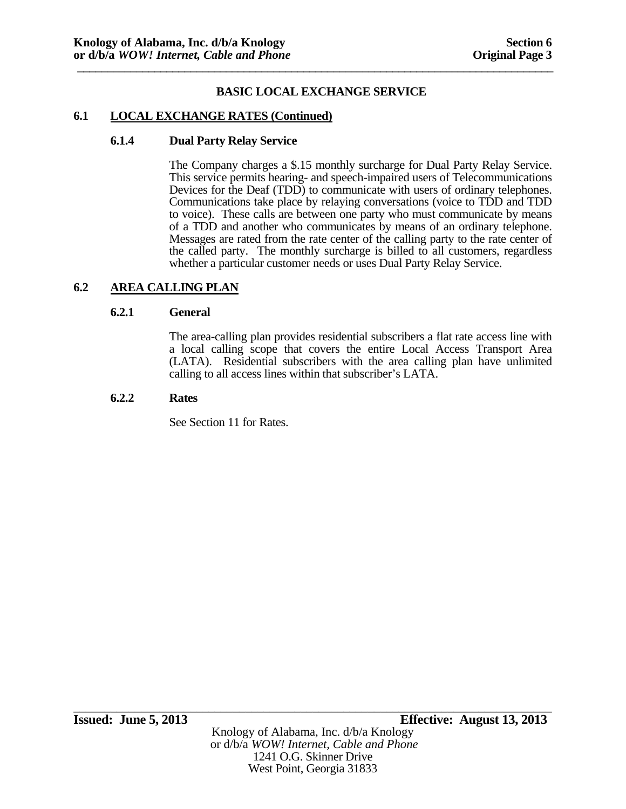#### **6.1 LOCAL EXCHANGE RATES (Continued)**

#### **6.1.4 Dual Party Relay Service**

 The Company charges a \$.15 monthly surcharge for Dual Party Relay Service. This service permits hearing- and speech-impaired users of Telecommunications Devices for the Deaf (TDD) to communicate with users of ordinary telephones. Communications take place by relaying conversations (voice to TDD and TDD to voice). These calls are between one party who must communicate by means of a TDD and another who communicates by means of an ordinary telephone. Messages are rated from the rate center of the calling party to the rate center of the called party. The monthly surcharge is billed to all customers, regardless whether a particular customer needs or uses Dual Party Relay Service.

# **6.2 AREA CALLING PLAN**

#### **6.2.1 General**

The area-calling plan provides residential subscribers a flat rate access line with a local calling scope that covers the entire Local Access Transport Area (LATA). Residential subscribers with the area calling plan have unlimited calling to all access lines within that subscriber's LATA.

#### **6.2.2 Rates**

See Section 11 for Rates.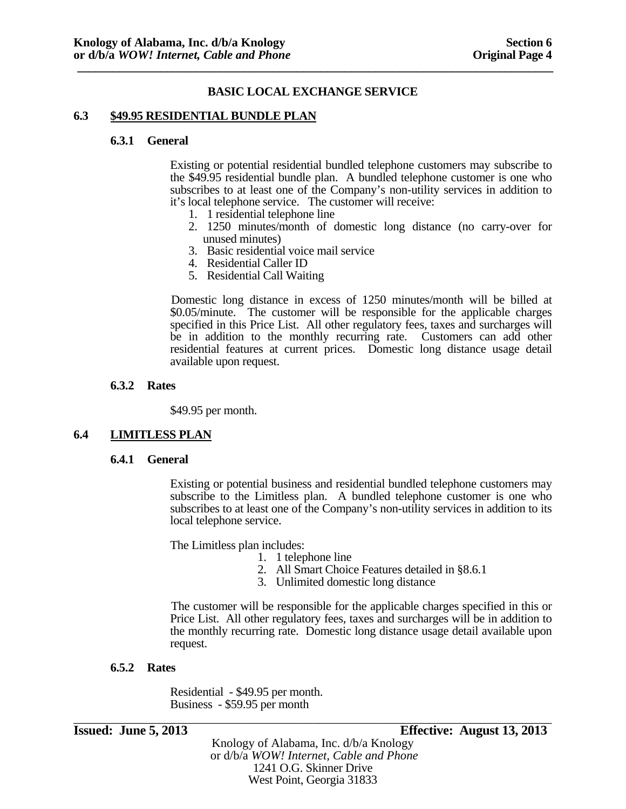#### **6.3 \$49.95 RESIDENTIAL BUNDLE PLAN**

#### **6.3.1 General**

Existing or potential residential bundled telephone customers may subscribe to the \$49.95 residential bundle plan. A bundled telephone customer is one who subscribes to at least one of the Company's non-utility services in addition to it's local telephone service. The customer will receive:

- 1. 1 residential telephone line
- 2. 1250 minutes/month of domestic long distance (no carry-over for unused minutes)
- 3. Basic residential voice mail service
- 4. Residential Caller ID
- 5. Residential Call Waiting

Domestic long distance in excess of 1250 minutes/month will be billed at \$0.05/minute. The customer will be responsible for the applicable charges specified in this Price List. All other regulatory fees, taxes and surcharges will be in addition to the monthly recurring rate. Customers can add other residential features at current prices. Domestic long distance usage detail available upon request.

#### **6.3.2 Rates**

\$49.95 per month.

#### **6.4 LIMITLESS PLAN**

#### **6.4.1 General**

Existing or potential business and residential bundled telephone customers may subscribe to the Limitless plan. A bundled telephone customer is one who subscribes to at least one of the Company's non-utility services in addition to its local telephone service.

The Limitless plan includes:

- 1. 1 telephone line
- 2. All Smart Choice Features detailed in §8.6.1
- 3. Unlimited domestic long distance

The customer will be responsible for the applicable charges specified in this or Price List. All other regulatory fees, taxes and surcharges will be in addition to the monthly recurring rate. Domestic long distance usage detail available upon request.

#### **6.5.2 Rates**

Residential - \$49.95 per month. Business - \$59.95 per month

**Issued: June 5, 2013 Effective: August 13, 2013** 

Knology of Alabama, Inc. d/b/a Knology or d/b/a *WOW! Internet, Cable and Phone* 1241 O.G. Skinner Drive West Point, Georgia 31833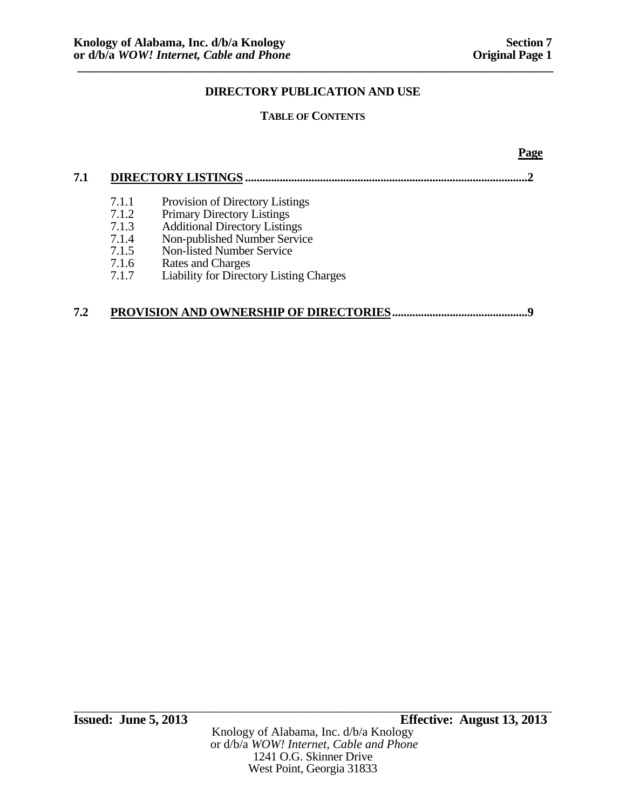**Page** 

# **DIRECTORY PUBLICATION AND USE**

# **TABLE OF CONTENTS**

| 7.1.1 | Provision of Directory Listings                |
|-------|------------------------------------------------|
| 7.1.2 | <b>Primary Directory Listings</b>              |
| 7.1.3 | <b>Additional Directory Listings</b>           |
| 7.1.4 | Non-published Number Service                   |
| 7.1.5 | Non-listed Number Service                      |
| 7.1.6 | Rates and Charges                              |
| 7.1.7 | <b>Liability for Directory Listing Charges</b> |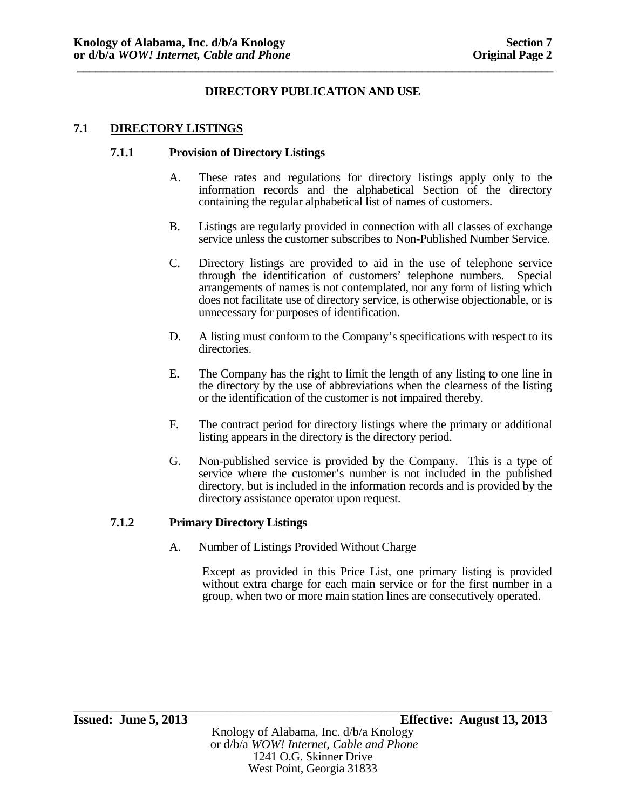# **7.1 DIRECTORY LISTINGS**

## **7.1.1 Provision of Directory Listings**

- A. These rates and regulations for directory listings apply only to the information records and the alphabetical Section of the directory containing the regular alphabetical list of names of customers.
- B. Listings are regularly provided in connection with all classes of exchange service unless the customer subscribes to Non-Published Number Service.
- C. Directory listings are provided to aid in the use of telephone service through the identification of customers' telephone numbers. Special arrangements of names is not contemplated, nor any form of listing which does not facilitate use of directory service, is otherwise objectionable, or is unnecessary for purposes of identification.
- D. A listing must conform to the Company's specifications with respect to its directories.
- E. The Company has the right to limit the length of any listing to one line in the directory by the use of abbreviations when the clearness of the listing or the identification of the customer is not impaired thereby.
- F. The contract period for directory listings where the primary or additional listing appears in the directory is the directory period.
- G. Non-published service is provided by the Company. This is a type of service where the customer's number is not included in the published directory, but is included in the information records and is provided by the directory assistance operator upon request.

# **7.1.2 Primary Directory Listings**

A. Number of Listings Provided Without Charge

Except as provided in this Price List, one primary listing is provided without extra charge for each main service or for the first number in a group, when two or more main station lines are consecutively operated.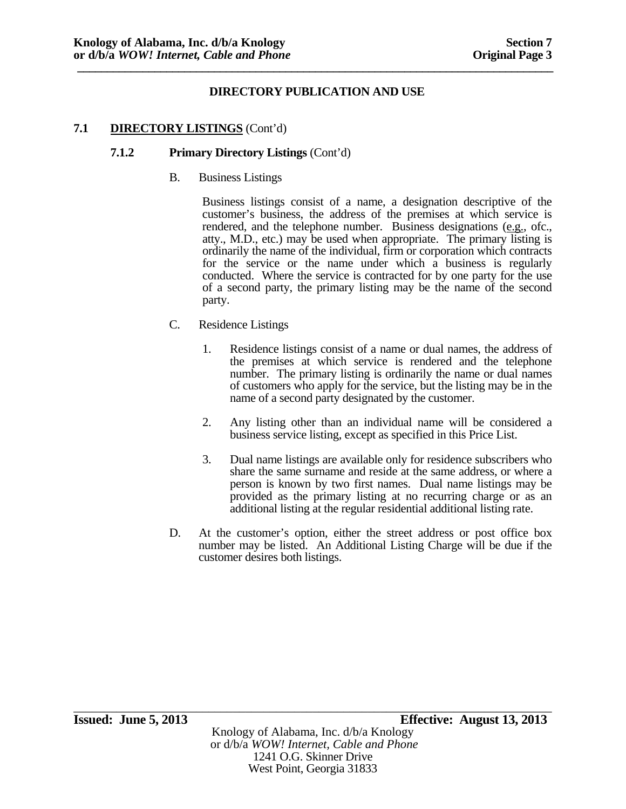## **7.1 DIRECTORY LISTINGS** (Cont'd)

#### **7.1.2 Primary Directory Listings** (Cont'd)

B. Business Listings

Business listings consist of a name, a designation descriptive of the customer's business, the address of the premises at which service is rendered, and the telephone number. Business designations (e.g., ofc., atty., M.D., etc.) may be used when appropriate. The primary listing is ordinarily the name of the individual, firm or corporation which contracts for the service or the name under which a business is regularly conducted. Where the service is contracted for by one party for the use of a second party, the primary listing may be the name of the second party.

- C. Residence Listings
	- 1. Residence listings consist of a name or dual names, the address of the premises at which service is rendered and the telephone number. The primary listing is ordinarily the name or dual names of customers who apply for the service, but the listing may be in the name of a second party designated by the customer.
	- 2. Any listing other than an individual name will be considered a business service listing, except as specified in this Price List.
	- 3. Dual name listings are available only for residence subscribers who share the same surname and reside at the same address, or where a person is known by two first names. Dual name listings may be provided as the primary listing at no recurring charge or as an additional listing at the regular residential additional listing rate.
- D. At the customer's option, either the street address or post office box number may be listed. An Additional Listing Charge will be due if the customer desires both listings.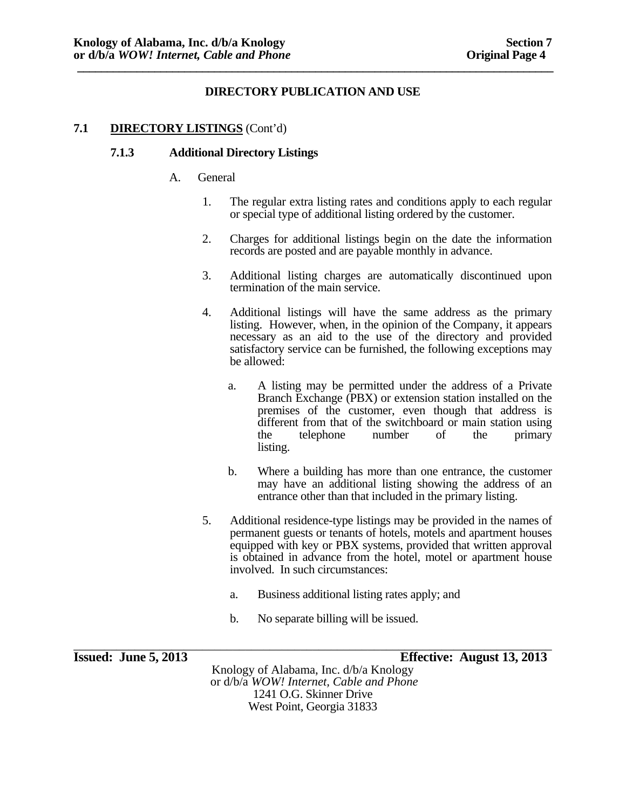# **7.1 DIRECTORY LISTINGS** (Cont'd)

#### **7.1.3 Additional Directory Listings**

- A. General
	- 1. The regular extra listing rates and conditions apply to each regular or special type of additional listing ordered by the customer.
	- 2. Charges for additional listings begin on the date the information records are posted and are payable monthly in advance.
	- 3. Additional listing charges are automatically discontinued upon termination of the main service.
	- 4. Additional listings will have the same address as the primary listing. However, when, in the opinion of the Company, it appears necessary as an aid to the use of the directory and provided satisfactory service can be furnished, the following exceptions may be allowed:
		- a. A listing may be permitted under the address of a Private Branch Exchange (PBX) or extension station installed on the premises of the customer, even though that address is different from that of the switchboard or main station using the telephone number of the primary listing.
		- b. Where a building has more than one entrance, the customer may have an additional listing showing the address of an entrance other than that included in the primary listing.
	- 5. Additional residence-type listings may be provided in the names of permanent guests or tenants of hotels, motels and apartment houses equipped with key or PBX systems, provided that written approval is obtained in advance from the hotel, motel or apartment house involved. In such circumstances:
		- a. Business additional listing rates apply; and
		- b. No separate billing will be issued.

\_\_\_\_\_\_\_\_\_\_\_\_\_\_\_\_\_\_\_\_\_\_\_\_\_\_\_\_\_\_\_\_\_\_\_\_\_\_\_\_\_\_\_\_\_\_\_\_\_\_\_\_\_\_\_\_\_\_\_\_\_\_\_\_\_\_\_\_\_\_\_\_\_\_\_\_\_\_ **Issued: June 5, 2013 Effective: August 13, 2013** 

Knology of Alabama, Inc. d/b/a Knology or d/b/a *WOW! Internet, Cable and Phone* 1241 O.G. Skinner Drive West Point, Georgia 31833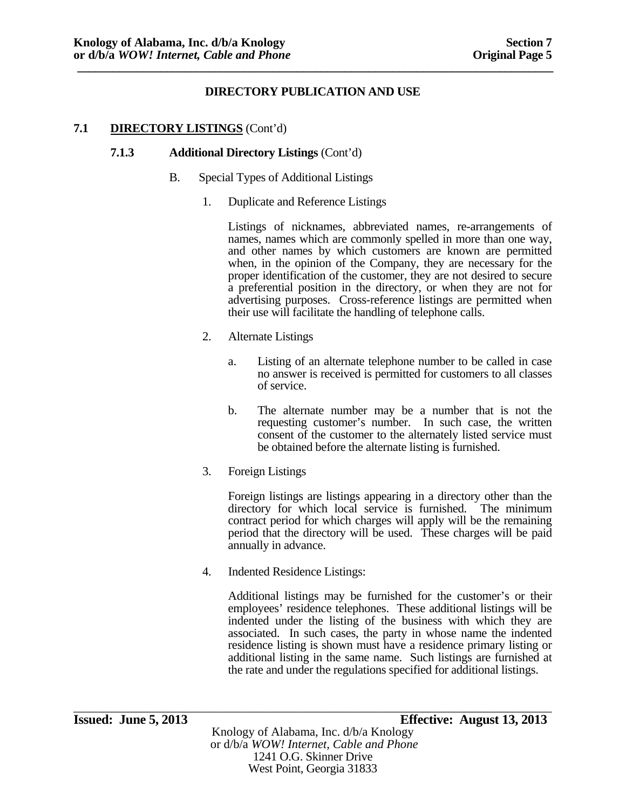# **7.1 DIRECTORY LISTINGS** (Cont'd)

#### **7.1.3 Additional Directory Listings** (Cont'd)

- B. Special Types of Additional Listings
	- 1. Duplicate and Reference Listings

Listings of nicknames, abbreviated names, re-arrangements of names, names which are commonly spelled in more than one way, and other names by which customers are known are permitted when, in the opinion of the Company, they are necessary for the proper identification of the customer, they are not desired to secure a preferential position in the directory, or when they are not for advertising purposes. Cross-reference listings are permitted when their use will facilitate the handling of telephone calls.

- 2. Alternate Listings
	- a. Listing of an alternate telephone number to be called in case no answer is received is permitted for customers to all classes of service.
	- b. The alternate number may be a number that is not the requesting customer's number. In such case, the written consent of the customer to the alternately listed service must be obtained before the alternate listing is furnished.
- 3. Foreign Listings

Foreign listings are listings appearing in a directory other than the directory for which local service is furnished. The minimum contract period for which charges will apply will be the remaining period that the directory will be used. These charges will be paid annually in advance.

4. Indented Residence Listings:

Additional listings may be furnished for the customer's or their employees' residence telephones. These additional listings will be indented under the listing of the business with which they are associated. In such cases, the party in whose name the indented residence listing is shown must have a residence primary listing or additional listing in the same name. Such listings are furnished at the rate and under the regulations specified for additional listings.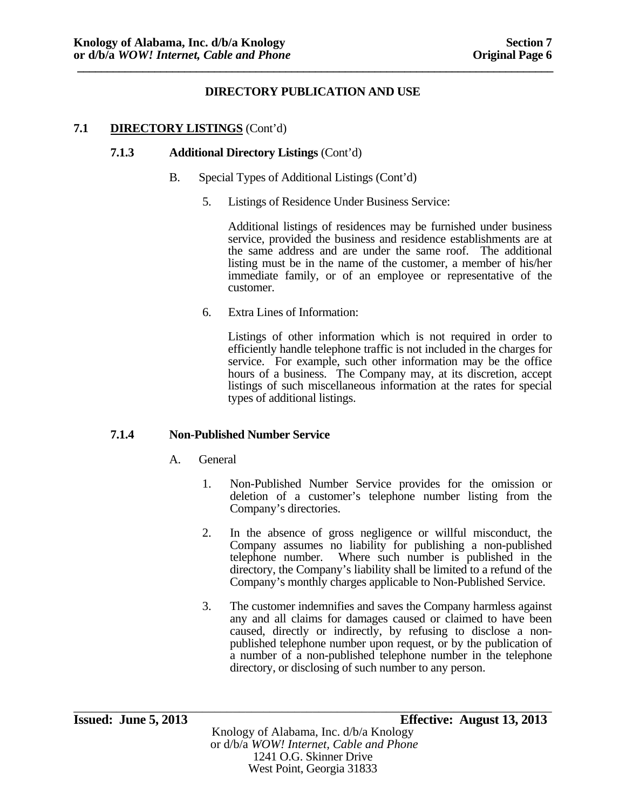# **7.1 DIRECTORY LISTINGS** (Cont'd)

## **7.1.3 Additional Directory Listings** (Cont'd)

- B. Special Types of Additional Listings (Cont'd)
	- 5. Listings of Residence Under Business Service:

Additional listings of residences may be furnished under business service, provided the business and residence establishments are at the same address and are under the same roof. The additional listing must be in the name of the customer, a member of his/her immediate family, or of an employee or representative of the customer.

6. Extra Lines of Information:

Listings of other information which is not required in order to efficiently handle telephone traffic is not included in the charges for service. For example, such other information may be the office hours of a business. The Company may, at its discretion, accept listings of such miscellaneous information at the rates for special types of additional listings.

# **7.1.4 Non-Published Number Service**

- A. General
	- 1. Non-Published Number Service provides for the omission or deletion of a customer's telephone number listing from the Company's directories.
	- 2. In the absence of gross negligence or willful misconduct, the Company assumes no liability for publishing a non-published telephone number. Where such number is published in the directory, the Company's liability shall be limited to a refund of the Company's monthly charges applicable to Non-Published Service.
	- 3. The customer indemnifies and saves the Company harmless against any and all claims for damages caused or claimed to have been caused, directly or indirectly, by refusing to disclose a nonpublished telephone number upon request, or by the publication of a number of a non-published telephone number in the telephone directory, or disclosing of such number to any person.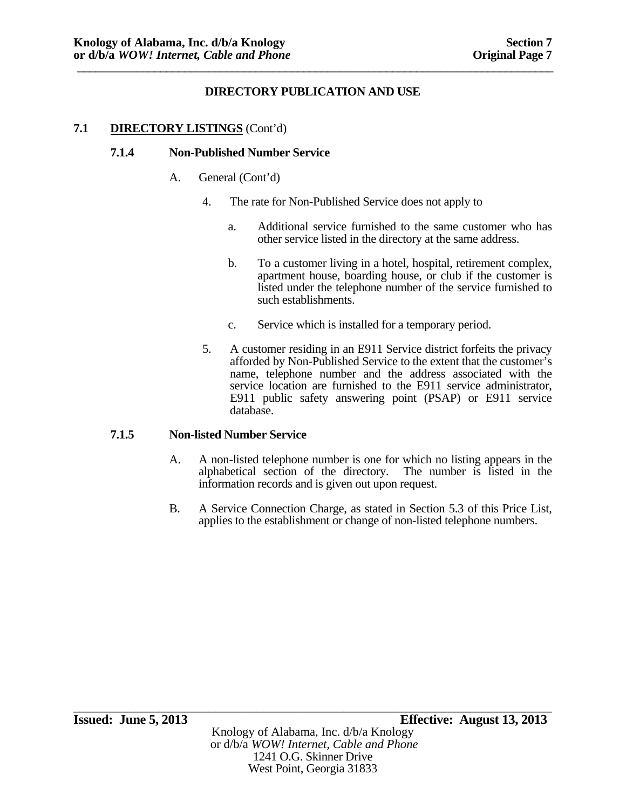# **7.1 DIRECTORY LISTINGS** (Cont'd)

## **7.1.4 Non-Published Number Service**

- A. General (Cont'd)
	- 4. The rate for Non-Published Service does not apply to
		- a. Additional service furnished to the same customer who has other service listed in the directory at the same address.
		- b. To a customer living in a hotel, hospital, retirement complex, apartment house, boarding house, or club if the customer is listed under the telephone number of the service furnished to such establishments.
		- c. Service which is installed for a temporary period.
	- 5. A customer residing in an E911 Service district forfeits the privacy afforded by Non-Published Service to the extent that the customer's name, telephone number and the address associated with the service location are furnished to the E911 service administrator, E911 public safety answering point (PSAP) or E911 service database.

#### **7.1.5 Non-listed Number Service**

- A. A non-listed telephone number is one for which no listing appears in the alphabetical section of the directory. The number is listed in the information records and is given out upon request.
- B. A Service Connection Charge, as stated in Section 5.3 of this Price List, applies to the establishment or change of non-listed telephone numbers.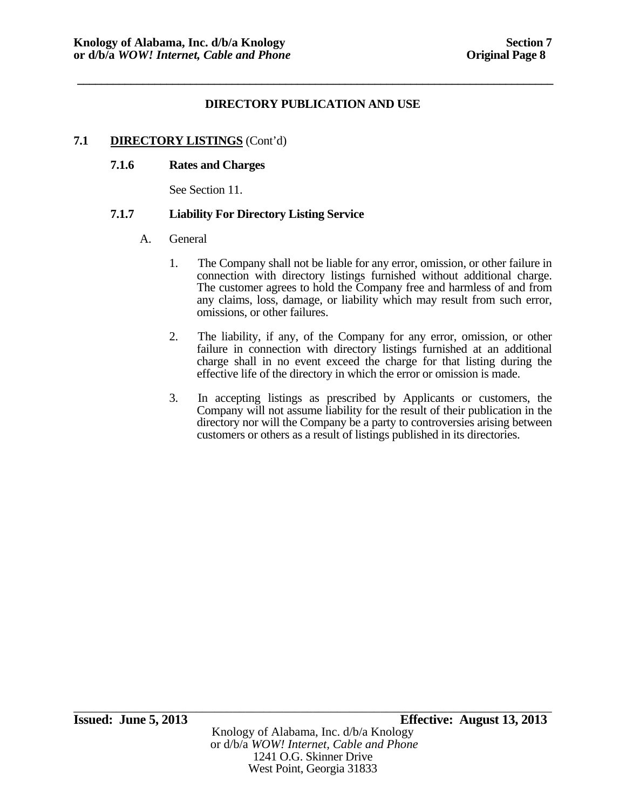**\_\_\_\_\_\_\_\_\_\_\_\_\_\_\_\_\_\_\_\_\_\_\_\_\_\_\_\_\_\_\_\_\_\_\_\_\_\_\_\_\_\_\_\_\_\_\_\_\_\_\_\_\_\_\_\_\_\_\_\_\_\_\_\_\_\_\_\_\_\_\_\_\_\_\_\_\_\_\_\_** 

# **7.1 DIRECTORY LISTINGS** (Cont'd)

# **7.1.6 Rates and Charges**

See Section 11.

# **7.1.7 Liability For Directory Listing Service**

- A. General
	- 1. The Company shall not be liable for any error, omission, or other failure in connection with directory listings furnished without additional charge. The customer agrees to hold the Company free and harmless of and from any claims, loss, damage, or liability which may result from such error, omissions, or other failures.
	- 2. The liability, if any, of the Company for any error, omission, or other failure in connection with directory listings furnished at an additional charge shall in no event exceed the charge for that listing during the effective life of the directory in which the error or omission is made.
	- 3. In accepting listings as prescribed by Applicants or customers, the Company will not assume liability for the result of their publication in the directory nor will the Company be a party to controversies arising between customers or others as a result of listings published in its directories.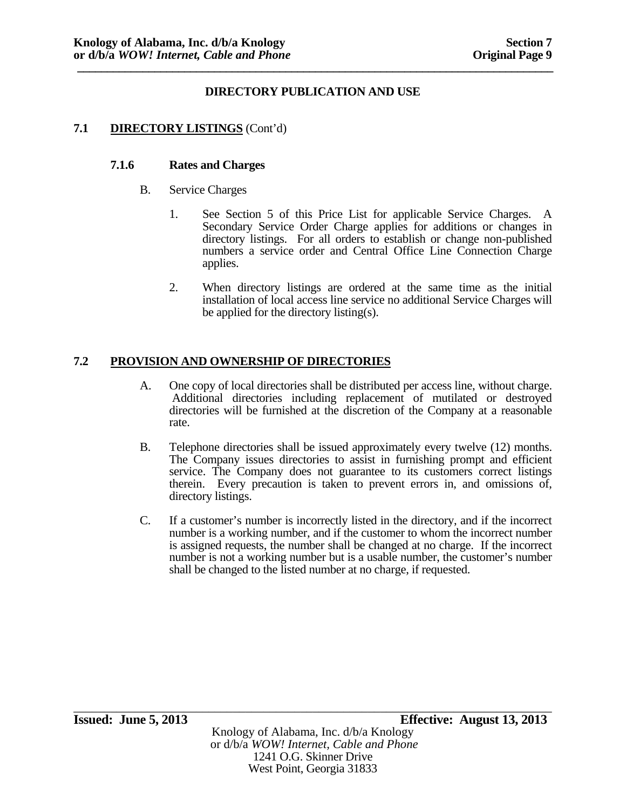# **7.1 DIRECTORY LISTINGS** (Cont'd)

#### **7.1.6 Rates and Charges**

- B. Service Charges
	- 1. See Section 5 of this Price List for applicable Service Charges. A Secondary Service Order Charge applies for additions or changes in directory listings. For all orders to establish or change non-published numbers a service order and Central Office Line Connection Charge applies.
	- 2. When directory listings are ordered at the same time as the initial installation of local access line service no additional Service Charges will be applied for the directory listing(s).

## **7.2 PROVISION AND OWNERSHIP OF DIRECTORIES**

- A. One copy of local directories shall be distributed per access line, without charge. Additional directories including replacement of mutilated or destroyed directories will be furnished at the discretion of the Company at a reasonable rate.
- B. Telephone directories shall be issued approximately every twelve (12) months. The Company issues directories to assist in furnishing prompt and efficient service. The Company does not guarantee to its customers correct listings therein. Every precaution is taken to prevent errors in, and omissions of, directory listings.
- C. If a customer's number is incorrectly listed in the directory, and if the incorrect number is a working number, and if the customer to whom the incorrect number is assigned requests, the number shall be changed at no charge. If the incorrect number is not a working number but is a usable number, the customer's number shall be changed to the listed number at no charge, if requested.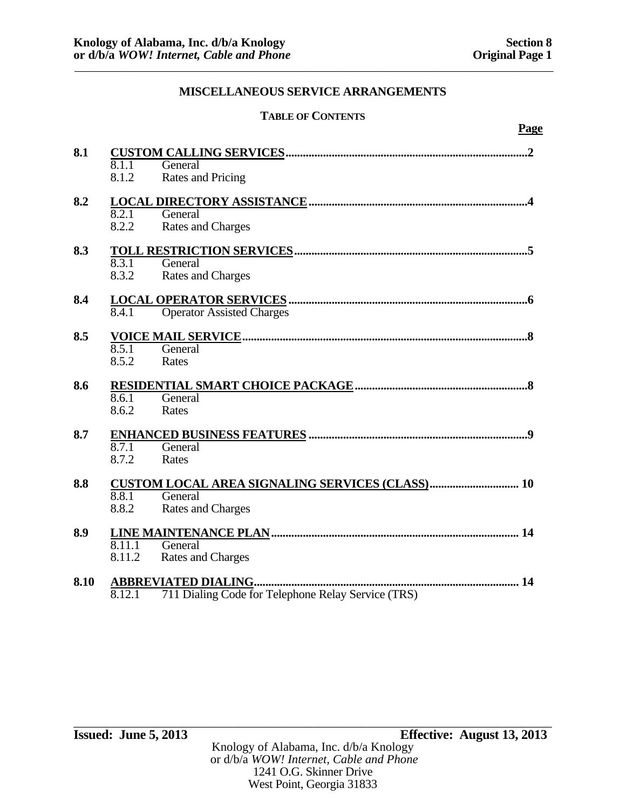**\_\_\_\_\_\_\_\_\_\_\_\_\_\_\_\_\_\_\_\_\_\_\_\_\_\_\_\_\_\_\_\_\_\_\_\_\_\_\_\_\_\_\_\_\_\_\_\_\_\_\_\_\_\_\_\_\_\_\_\_\_\_\_\_\_\_\_\_\_\_\_\_\_\_\_\_\_\_\_\_\_\_\_\_\_\_\_\_\_\_\_\_\_\_\_\_\_\_\_\_\_\_\_\_\_\_\_\_\_\_\_\_\_\_\_\_\_\_\_\_\_\_** 

# **TABLE OF CONTENTS**

|      |                                                                                                                 | Page |
|------|-----------------------------------------------------------------------------------------------------------------|------|
| 8.1  | 8.1.1<br>General<br>8.1.2<br>Rates and Pricing                                                                  |      |
| 8.2  | 8.2.1<br>General<br><b>Rates and Charges</b><br>8.2.2                                                           |      |
| 8.3  | 8.3.1<br>General<br>8.3.2<br><b>Rates and Charges</b>                                                           |      |
| 8.4  | <b>Operator Assisted Charges</b><br>8.4.1                                                                       |      |
| 8.5  | 8.5.1<br>General<br>8.5.2<br>Rates                                                                              |      |
| 8.6  | 8.6.1<br>General<br>8.6.2<br>Rates                                                                              |      |
| 8.7  | 8.7.1<br>General<br>8.7.2<br>Rates                                                                              |      |
| 8.8  | <b>CUSTOM LOCAL AREA SIGNALING SERVICES (CLASS) 10</b><br>8.8.1<br>General<br>8.8.2<br><b>Rates and Charges</b> |      |
| 8.9  | 8.11.1<br>General<br><b>Rates and Charges</b><br>8.11.2                                                         |      |
| 8.10 | 711 Dialing Code for Telephone Relay Service (TRS)<br>8.12.1                                                    |      |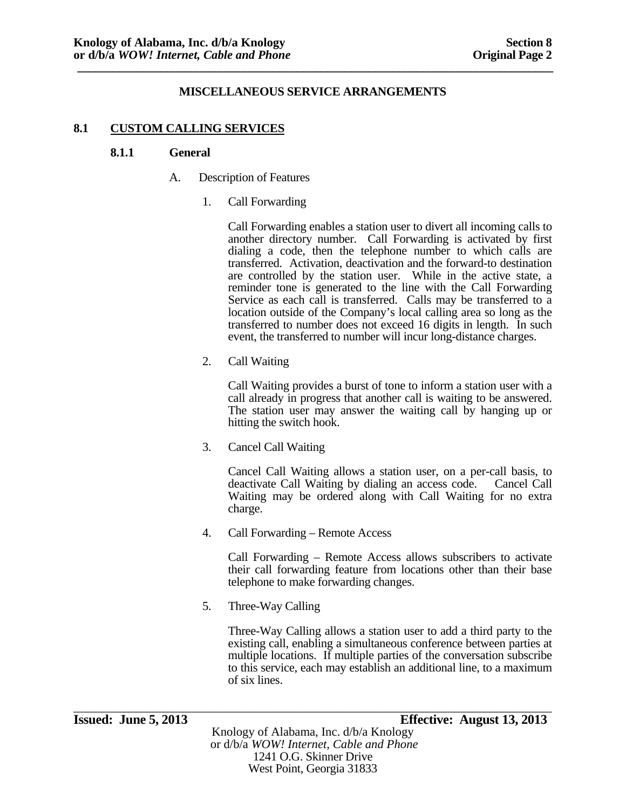#### **8.1 CUSTOM CALLING SERVICES**

#### **8.1.1 General**

- A. Description of Features
	- 1. Call Forwarding

Call Forwarding enables a station user to divert all incoming calls to another directory number. Call Forwarding is activated by first dialing a code, then the telephone number to which calls are transferred. Activation, deactivation and the forward-to destination are controlled by the station user. While in the active state, a reminder tone is generated to the line with the Call Forwarding Service as each call is transferred. Calls may be transferred to a location outside of the Company's local calling area so long as the transferred to number does not exceed 16 digits in length. In such event, the transferred to number will incur long-distance charges.

2. Call Waiting

Call Waiting provides a burst of tone to inform a station user with a call already in progress that another call is waiting to be answered. The station user may answer the waiting call by hanging up or hitting the switch hook.

3. Cancel Call Waiting

Cancel Call Waiting allows a station user, on a per-call basis, to deactivate Call Waiting by dialing an access code. Cancel Call Waiting may be ordered along with Call Waiting for no extra charge.

4. Call Forwarding – Remote Access

Call Forwarding – Remote Access allows subscribers to activate their call forwarding feature from locations other than their base telephone to make forwarding changes.

5. Three-Way Calling

Three-Way Calling allows a station user to add a third party to the existing call, enabling a simultaneous conference between parties at multiple locations. If multiple parties of the conversation subscribe to this service, each may establish an additional line, to a maximum of six lines.

\_\_\_\_\_\_\_\_\_\_\_\_\_\_\_\_\_\_\_\_\_\_\_\_\_\_\_\_\_\_\_\_\_\_\_\_\_\_\_\_\_\_\_\_\_\_\_\_\_\_\_\_\_\_\_\_\_\_\_\_\_\_\_\_\_\_\_\_\_\_\_\_\_\_\_\_\_\_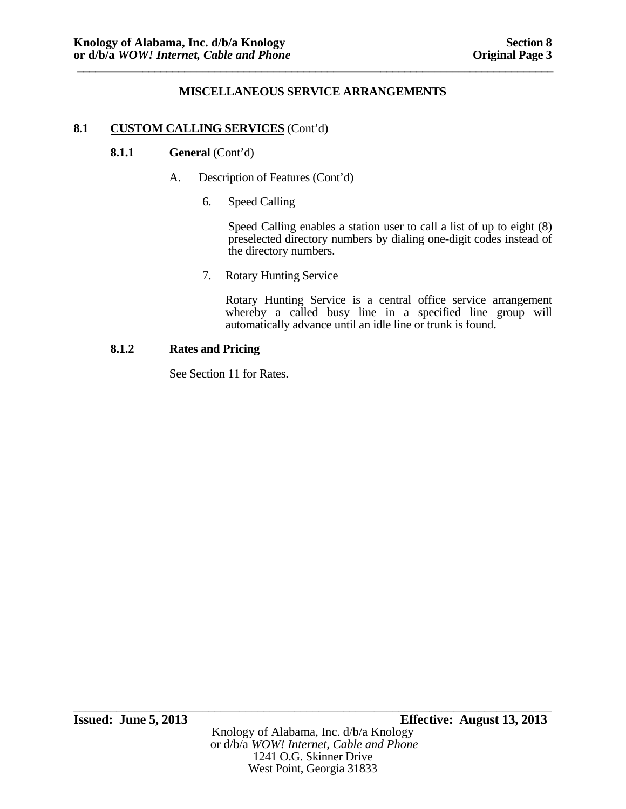## **8.1 CUSTOM CALLING SERVICES** (Cont'd)

## **8.1.1** General (Cont'd)

- A. Description of Features (Cont'd)
	- 6. Speed Calling

Speed Calling enables a station user to call a list of up to eight (8) preselected directory numbers by dialing one-digit codes instead of the directory numbers.

7. Rotary Hunting Service

Rotary Hunting Service is a central office service arrangement whereby a called busy line in a specified line group will automatically advance until an idle line or trunk is found.

# **8.1.2 Rates and Pricing**

See Section 11 for Rates.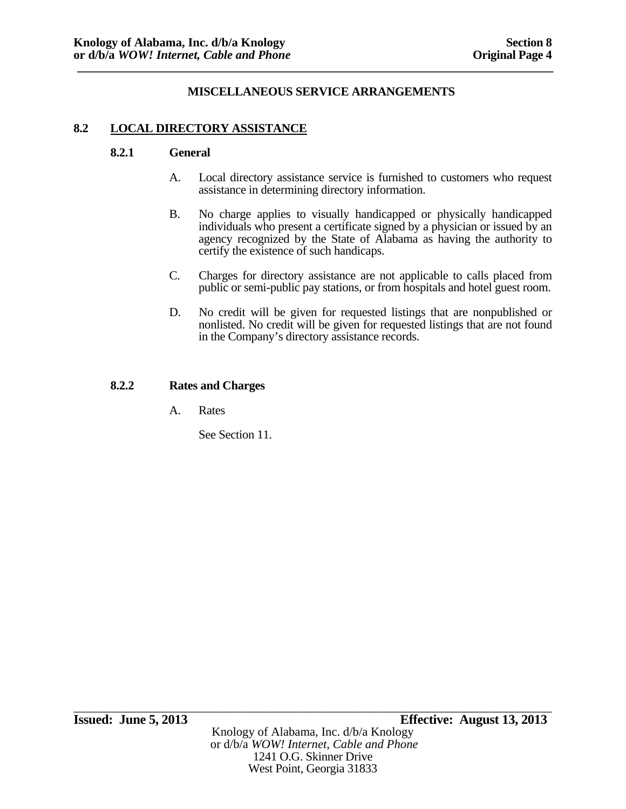## **8.2 LOCAL DIRECTORY ASSISTANCE**

#### **8.2.1 General**

- A. Local directory assistance service is furnished to customers who request assistance in determining directory information.
- B. No charge applies to visually handicapped or physically handicapped individuals who present a certificate signed by a physician or issued by an agency recognized by the State of Alabama as having the authority to certify the existence of such handicaps.
- C. Charges for directory assistance are not applicable to calls placed from public or semi-public pay stations, or from hospitals and hotel guest room.
- D. No credit will be given for requested listings that are nonpublished or nonlisted. No credit will be given for requested listings that are not found in the Company's directory assistance records.

#### **8.2.2 Rates and Charges**

A. Rates

See Section 11.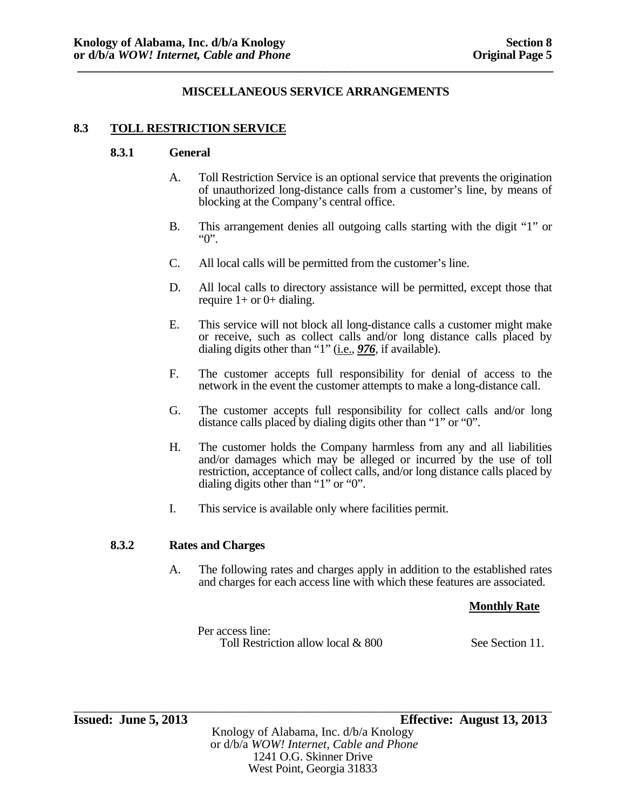#### **8.3 TOLL RESTRICTION SERVICE**

#### **8.3.1 General**

- A. Toll Restriction Service is an optional service that prevents the origination of unauthorized long-distance calls from a customer's line, by means of blocking at the Company's central office.
- B. This arrangement denies all outgoing calls starting with the digit "1" or "0".
- C. All local calls will be permitted from the customer's line.
- D. All local calls to directory assistance will be permitted, except those that require  $1+$  or  $0+$  dialing.
- E. This service will not block all long-distance calls a customer might make or receive, such as collect calls and/or long distance calls placed by dialing digits other than "1" (i.e., **976**, if available).
- F. The customer accepts full responsibility for denial of access to the network in the event the customer attempts to make a long-distance call.
- G. The customer accepts full responsibility for collect calls and/or long distance calls placed by dialing digits other than "1" or "0".
- H. The customer holds the Company harmless from any and all liabilities and/or damages which may be alleged or incurred by the use of toll restriction, acceptance of collect calls, and/or long distance calls placed by dialing digits other than "1" or "0".
- I. This service is available only where facilities permit.

#### **8.3.2 Rates and Charges**

A. The following rates and charges apply in addition to the established rates and charges for each access line with which these features are associated.

#### **Monthly Rate**

Per access line: Toll Restriction allow local & 800 See Section 11.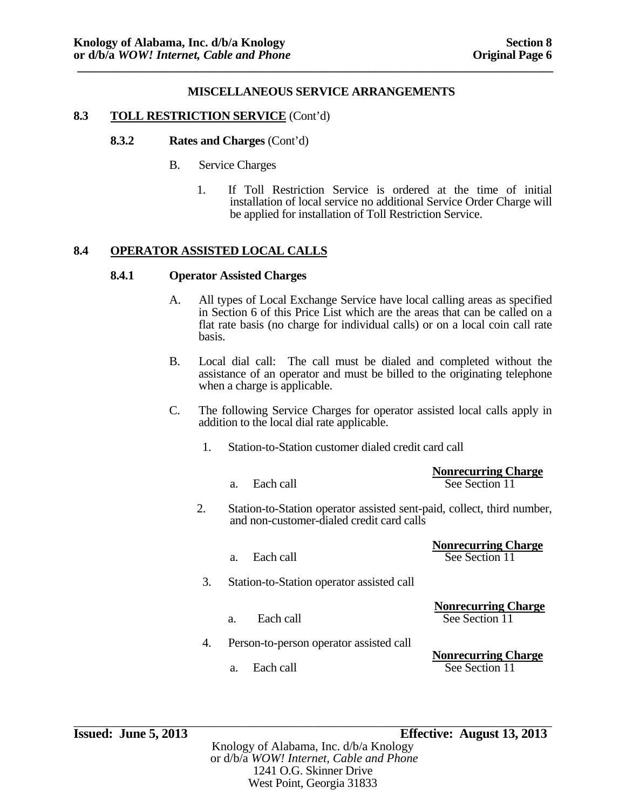## **8.3 TOLL RESTRICTION SERVICE** (Cont'd)

#### **8.3.2 Rates and Charges** (Cont'd)

- B. Service Charges
	- 1. If Toll Restriction Service is ordered at the time of initial installation of local service no additional Service Order Charge will be applied for installation of Toll Restriction Service.

# **8.4 OPERATOR ASSISTED LOCAL CALLS**

#### **8.4.1 Operator Assisted Charges**

- A. All types of Local Exchange Service have local calling areas as specified in Section 6 of this Price List which are the areas that can be called on a flat rate basis (no charge for individual calls) or on a local coin call rate basis.
- B. Local dial call: The call must be dialed and completed without the assistance of an operator and must be billed to the originating telephone when a charge is applicable.
- C. The following Service Charges for operator assisted local calls apply in addition to the local dial rate applicable.
	- 1. Station-to-Station customer dialed credit card call

|    |           | <b>Nonrecurring Charge</b> |
|----|-----------|----------------------------|
| a. | Each call | See Section 11             |

- 2. Station-to-Station operator assisted sent-paid, collect, third number, and non-customer-dialed credit card calls
	-

**Nonrecurring Charge** a. Each call See Section 11

- 3. Station-to-Station operator assisted call
	-

 **Nonrecurring Charge** a. Each call See Section 11

4. Person-to-person operator assisted call

**Nonrecurring Charge** a. Each call See Section 11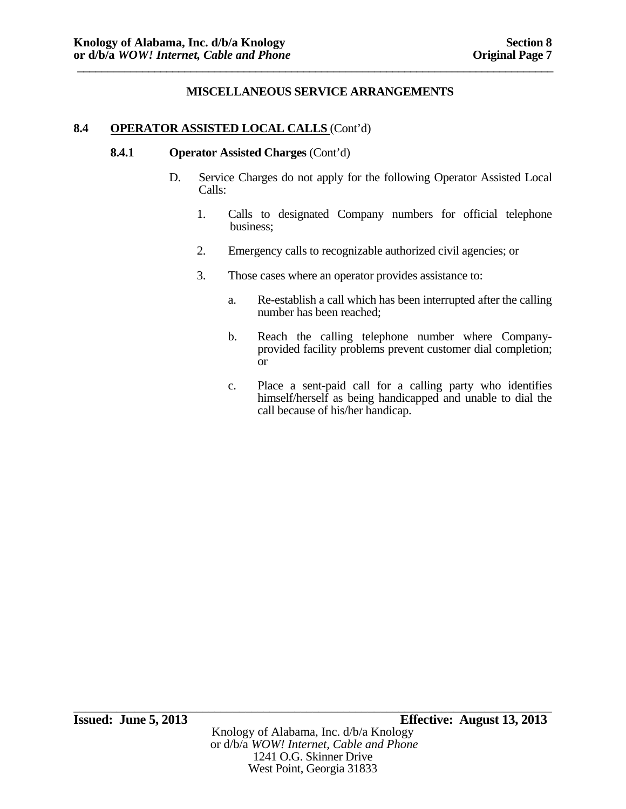## **8.4 OPERATOR ASSISTED LOCAL CALLS** (Cont'd)

#### **8.4.1 Operator Assisted Charges** (Cont'd)

- D. Service Charges do not apply for the following Operator Assisted Local Calls:
	- 1. Calls to designated Company numbers for official telephone business;
	- 2. Emergency calls to recognizable authorized civil agencies; or
	- 3. Those cases where an operator provides assistance to:
		- a. Re-establish a call which has been interrupted after the calling number has been reached;
		- b. Reach the calling telephone number where Companyprovided facility problems prevent customer dial completion; or
		- c. Place a sent-paid call for a calling party who identifies himself/herself as being handicapped and unable to dial the call because of his/her handicap.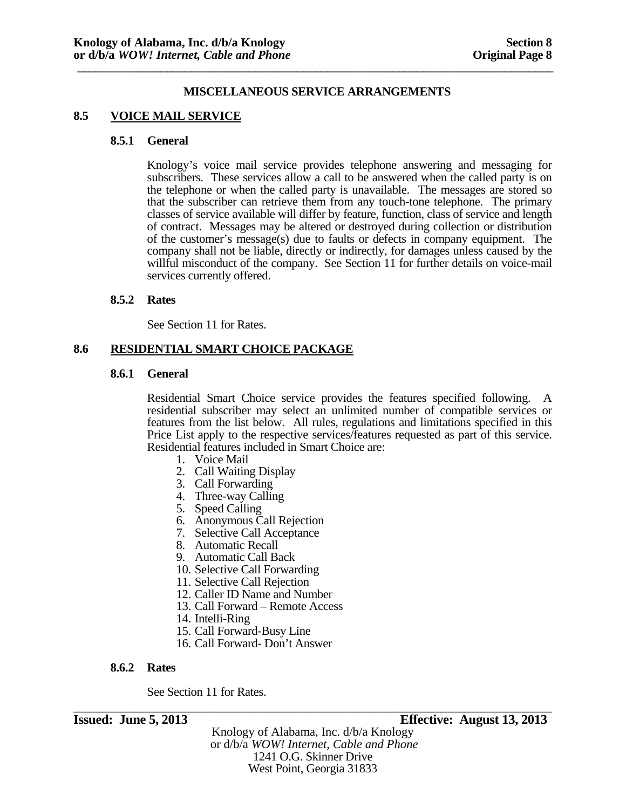## **8.5 VOICE MAIL SERVICE**

#### **8.5.1 General**

Knology's voice mail service provides telephone answering and messaging for subscribers. These services allow a call to be answered when the called party is on the telephone or when the called party is unavailable. The messages are stored so that the subscriber can retrieve them from any touch-tone telephone. The primary classes of service available will differ by feature, function, class of service and length of contract. Messages may be altered or destroyed during collection or distribution of the customer's message(s) due to faults or defects in company equipment. The company shall not be liable, directly or indirectly, for damages unless caused by the willful misconduct of the company. See Section 11 for further details on voice-mail services currently offered.

#### **8.5.2 Rates**

See Section 11 for Rates.

#### **8.6 RESIDENTIAL SMART CHOICE PACKAGE**

#### **8.6.1 General**

Residential Smart Choice service provides the features specified following. A residential subscriber may select an unlimited number of compatible services or features from the list below. All rules, regulations and limitations specified in this Price List apply to the respective services/features requested as part of this service. Residential features included in Smart Choice are:

- 1. Voice Mail
- 2. Call Waiting Display
- 3. Call Forwarding
- 4. Three-way Calling
- 5. Speed Calling
- 6. Anonymous Call Rejection
- 7. Selective Call Acceptance
- 8. Automatic Recall
- 9. Automatic Call Back
- 10. Selective Call Forwarding
- 11. Selective Call Rejection
- 12. Caller ID Name and Number
- 13. Call Forward Remote Access
- 14. Intelli-Ring
- 15. Call Forward-Busy Line
- 16. Call Forward- Don't Answer

#### **8.6.2 Rates**

See Section 11 for Rates.

\_\_\_\_\_\_\_\_\_\_\_\_\_\_\_\_\_\_\_\_\_\_\_\_\_\_\_\_\_\_\_\_\_\_\_\_\_\_\_\_\_\_\_\_\_\_\_\_\_\_\_\_\_\_\_\_\_\_\_\_\_\_\_\_\_\_\_\_\_\_\_\_\_\_\_\_\_\_ **Issued: June 5, 2013 Effective: August 13, 2013** 

Knology of Alabama, Inc. d/b/a Knology or d/b/a *WOW! Internet, Cable and Phone* 1241 O.G. Skinner Drive West Point, Georgia 31833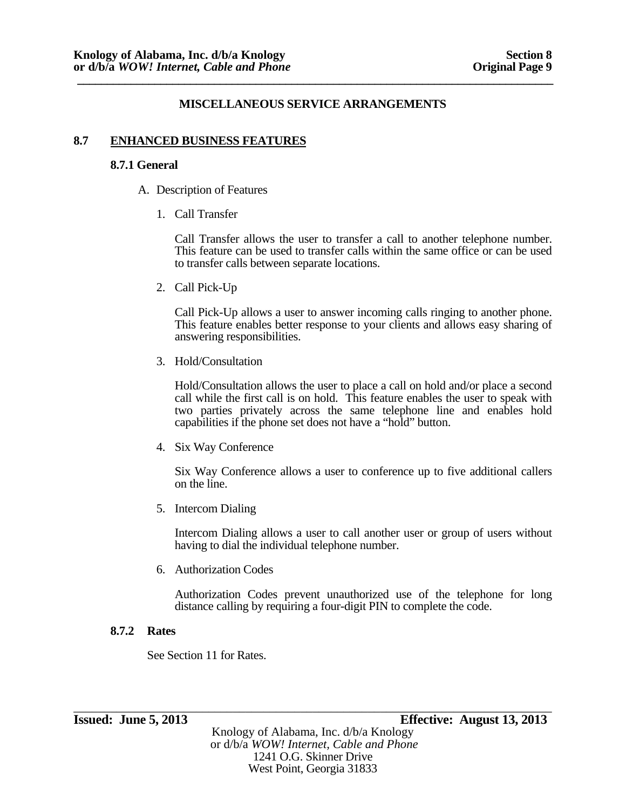## **8.7 ENHANCED BUSINESS FEATURES**

#### **8.7.1 General**

- A. Description of Features
	- 1. Call Transfer

Call Transfer allows the user to transfer a call to another telephone number. This feature can be used to transfer calls within the same office or can be used to transfer calls between separate locations.

2. Call Pick-Up

Call Pick-Up allows a user to answer incoming calls ringing to another phone. This feature enables better response to your clients and allows easy sharing of answering responsibilities.

3. Hold/Consultation

Hold/Consultation allows the user to place a call on hold and/or place a second call while the first call is on hold. This feature enables the user to speak with two parties privately across the same telephone line and enables hold capabilities if the phone set does not have a "hold" button.

4. Six Way Conference

Six Way Conference allows a user to conference up to five additional callers on the line.

5. Intercom Dialing

Intercom Dialing allows a user to call another user or group of users without having to dial the individual telephone number.

6. Authorization Codes

Authorization Codes prevent unauthorized use of the telephone for long distance calling by requiring a four-digit PIN to complete the code.

# **8.7.2 Rates**

See Section 11 for Rates.

Knology of Alabama, Inc. d/b/a Knology or d/b/a *WOW! Internet, Cable and Phone* 1241 O.G. Skinner Drive West Point, Georgia 31833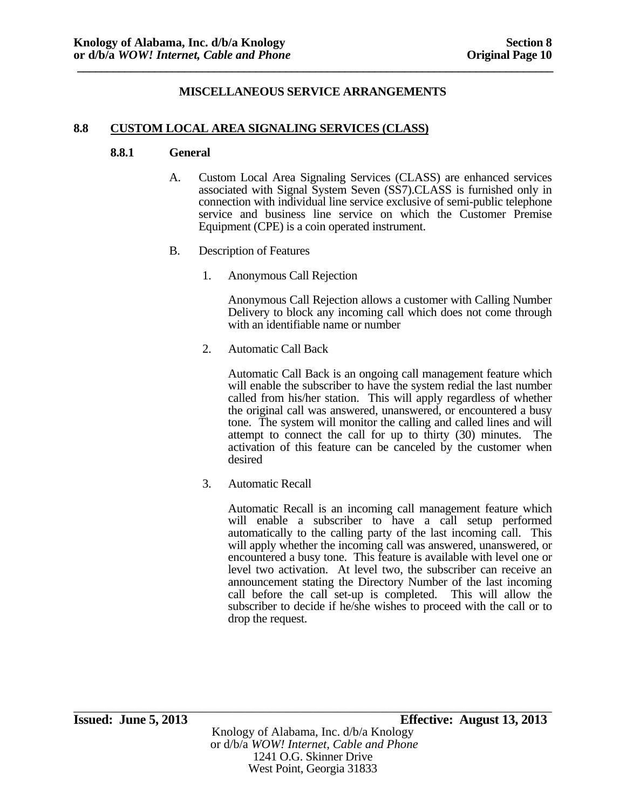## **8.8 CUSTOM LOCAL AREA SIGNALING SERVICES (CLASS)**

#### **8.8.1 General**

- A. Custom Local Area Signaling Services (CLASS) are enhanced services associated with Signal System Seven (SS7).CLASS is furnished only in connection with individual line service exclusive of semi-public telephone service and business line service on which the Customer Premise Equipment (CPE) is a coin operated instrument.
- B. Description of Features
	- 1. Anonymous Call Rejection

Anonymous Call Rejection allows a customer with Calling Number Delivery to block any incoming call which does not come through with an identifiable name or number

2. Automatic Call Back

Automatic Call Back is an ongoing call management feature which will enable the subscriber to have the system redial the last number called from his/her station. This will apply regardless of whether the original call was answered, unanswered, or encountered a busy tone. The system will monitor the calling and called lines and will attempt to connect the call for up to thirty (30) minutes. The activation of this feature can be canceled by the customer when desired

3. Automatic Recall

Automatic Recall is an incoming call management feature which will enable a subscriber to have a call setup performed automatically to the calling party of the last incoming call. This will apply whether the incoming call was answered, unanswered, or encountered a busy tone. This feature is available with level one or level two activation. At level two, the subscriber can receive an announcement stating the Directory Number of the last incoming call before the call set-up is completed. This will allow the subscriber to decide if he/she wishes to proceed with the call or to drop the request.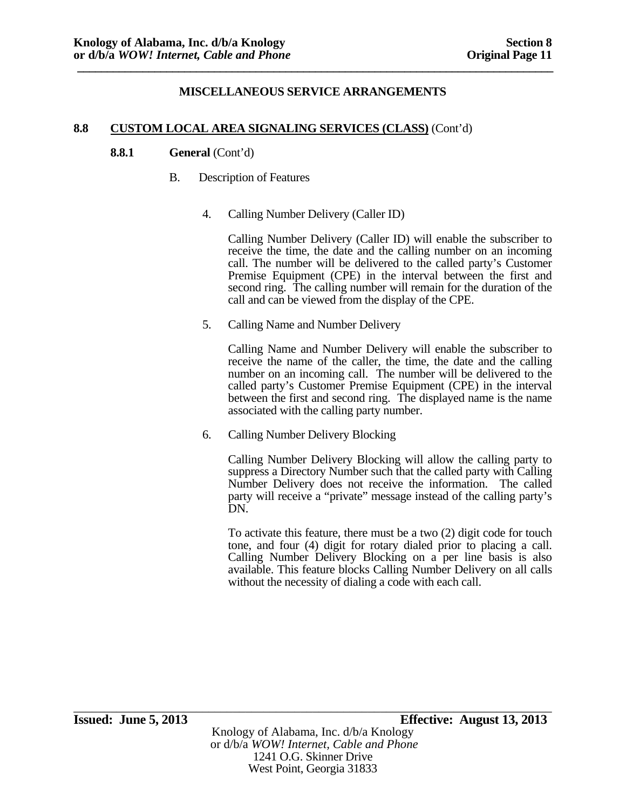## **8.8 CUSTOM LOCAL AREA SIGNALING SERVICES (CLASS)** (Cont'd)

## **8.8.1 General** (Cont'd)

- B. Description of Features
	- 4. Calling Number Delivery (Caller ID)

 Calling Number Delivery (Caller ID) will enable the subscriber to receive the time, the date and the calling number on an incoming call. The number will be delivered to the called party's Customer Premise Equipment (CPE) in the interval between the first and second ring. The calling number will remain for the duration of the call and can be viewed from the display of the CPE.

5. Calling Name and Number Delivery

 Calling Name and Number Delivery will enable the subscriber to receive the name of the caller, the time, the date and the calling number on an incoming call. The number will be delivered to the called party's Customer Premise Equipment (CPE) in the interval between the first and second ring. The displayed name is the name associated with the calling party number.

6. Calling Number Delivery Blocking

Calling Number Delivery Blocking will allow the calling party to suppress a Directory Number such that the called party with Calling Number Delivery does not receive the information. The called party will receive a "private" message instead of the calling party's DN.

To activate this feature, there must be a two (2) digit code for touch tone, and four (4) digit for rotary dialed prior to placing a call. Calling Number Delivery Blocking on a per line basis is also available. This feature blocks Calling Number Delivery on all calls without the necessity of dialing a code with each call.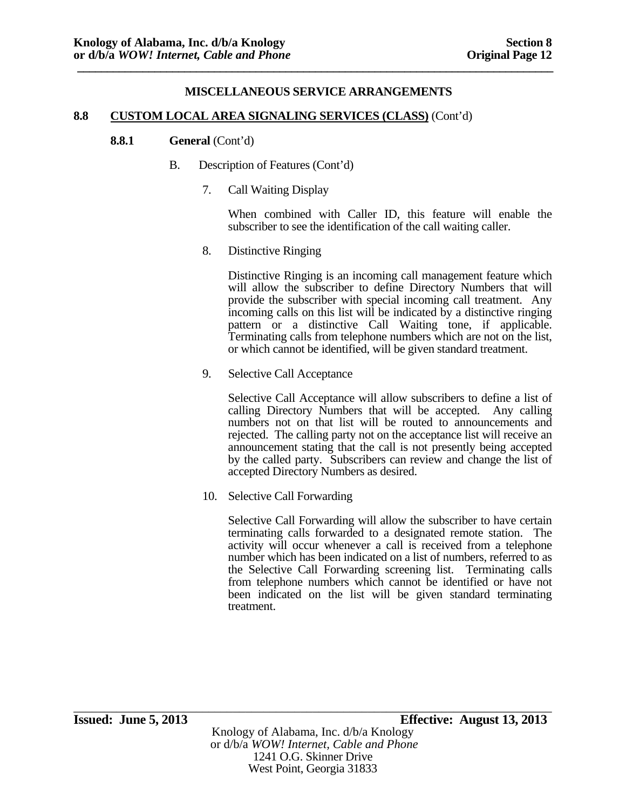## **8.8 CUSTOM LOCAL AREA SIGNALING SERVICES (CLASS)** (Cont'd)

#### **8.8.1** General (Cont'd)

- B. Description of Features (Cont'd)
	- 7. Call Waiting Display

When combined with Caller ID, this feature will enable the subscriber to see the identification of the call waiting caller.

8. Distinctive Ringing

 Distinctive Ringing is an incoming call management feature which will allow the subscriber to define Directory Numbers that will provide the subscriber with special incoming call treatment. Any incoming calls on this list will be indicated by a distinctive ringing pattern or a distinctive Call Waiting tone, if applicable. Terminating calls from telephone numbers which are not on the list, or which cannot be identified, will be given standard treatment.

9. Selective Call Acceptance

Selective Call Acceptance will allow subscribers to define a list of calling Directory Numbers that will be accepted. Any calling numbers not on that list will be routed to announcements and rejected. The calling party not on the acceptance list will receive an announcement stating that the call is not presently being accepted by the called party. Subscribers can review and change the list of accepted Directory Numbers as desired.

10. Selective Call Forwarding

Selective Call Forwarding will allow the subscriber to have certain terminating calls forwarded to a designated remote station. The activity will occur whenever a call is received from a telephone number which has been indicated on a list of numbers, referred to as the Selective Call Forwarding screening list. Terminating calls from telephone numbers which cannot be identified or have not been indicated on the list will be given standard terminating treatment.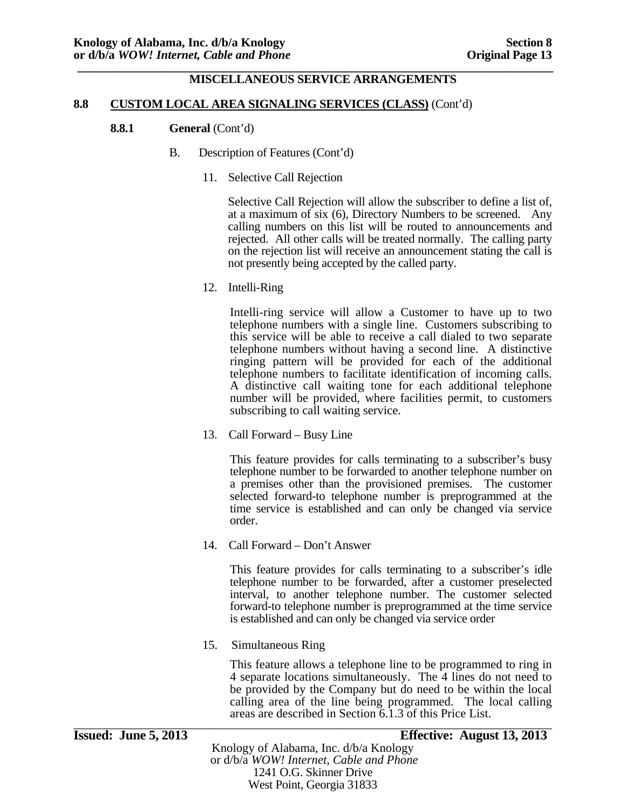#### **8.8 CUSTOM LOCAL AREA SIGNALING SERVICES (CLASS)** (Cont'd)

#### **8.8.1** General (Cont'd)

- B. Description of Features (Cont'd)
	- 11. Selective Call Rejection

Selective Call Rejection will allow the subscriber to define a list of, at a maximum of six (6), Directory Numbers to be screened. Any calling numbers on this list will be routed to announcements and rejected. All other calls will be treated normally. The calling party on the rejection list will receive an announcement stating the call is not presently being accepted by the called party.

12. Intelli-Ring

 Intelli-ring service will allow a Customer to have up to two telephone numbers with a single line. Customers subscribing to this service will be able to receive a call dialed to two separate telephone numbers without having a second line. A distinctive ringing pattern will be provided for each of the additional telephone numbers to facilitate identification of incoming calls. A distinctive call waiting tone for each additional telephone number will be provided, where facilities permit, to customers subscribing to call waiting service.

13. Call Forward – Busy Line

This feature provides for calls terminating to a subscriber's busy telephone number to be forwarded to another telephone number on a premises other than the provisioned premises. The customer selected forward-to telephone number is preprogrammed at the time service is established and can only be changed via service order.

14. Call Forward – Don't Answer

This feature provides for calls terminating to a subscriber's idle telephone number to be forwarded, after a customer preselected interval, to another telephone number. The customer selected forward-to telephone number is preprogrammed at the time service is established and can only be changed via service order

15. Simultaneous Ring

This feature allows a telephone line to be programmed to ring in 4 separate locations simultaneously. The 4 lines do not need to be provided by the Company but do need to be within the local calling area of the line being programmed. The local calling areas are described in Section 6.1.3 of this Price List.<br> **Issued:** June 5, 2013 **Effective:** August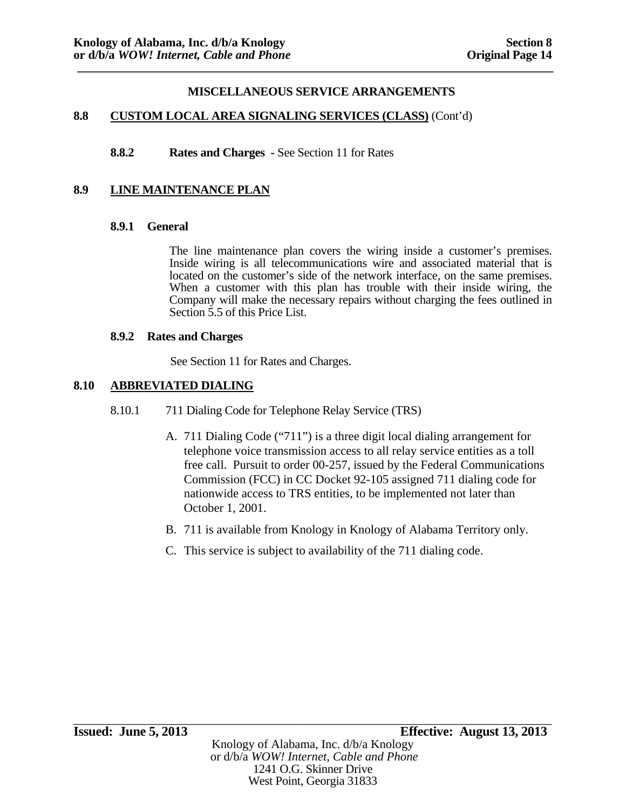#### **8.8 CUSTOM LOCAL AREA SIGNALING SERVICES (CLASS)** (Cont'd)

**8.8.2 Rates and Charges -** See Section 11 for Rates

## **8.9 LINE MAINTENANCE PLAN**

#### **8.9.1 General**

The line maintenance plan covers the wiring inside a customer's premises. Inside wiring is all telecommunications wire and associated material that is located on the customer's side of the network interface, on the same premises. When a customer with this plan has trouble with their inside wiring, the Company will make the necessary repairs without charging the fees outlined in Section 5.5 of this Price List.

#### **8.9.2 Rates and Charges**

See Section 11 for Rates and Charges.

# **8.10 ABBREVIATED DIALING**

- 8.10.1 711 Dialing Code for Telephone Relay Service (TRS)
	- A. 711 Dialing Code ("711") is a three digit local dialing arrangement for telephone voice transmission access to all relay service entities as a toll free call. Pursuit to order 00-257, issued by the Federal Communications Commission (FCC) in CC Docket 92-105 assigned 711 dialing code for nationwide access to TRS entities, to be implemented not later than October 1, 2001.
	- B. 711 is available from Knology in Knology of Alabama Territory only.
	- C. This service is subject to availability of the 711 dialing code.

\_\_\_\_\_\_\_\_\_\_\_\_\_\_\_\_\_\_\_\_\_\_\_\_\_\_\_\_\_\_\_\_\_\_\_\_\_\_\_\_\_\_\_\_\_\_\_\_\_\_\_\_\_\_\_\_\_\_\_\_\_\_\_\_\_\_\_\_\_\_\_\_\_\_\_\_\_\_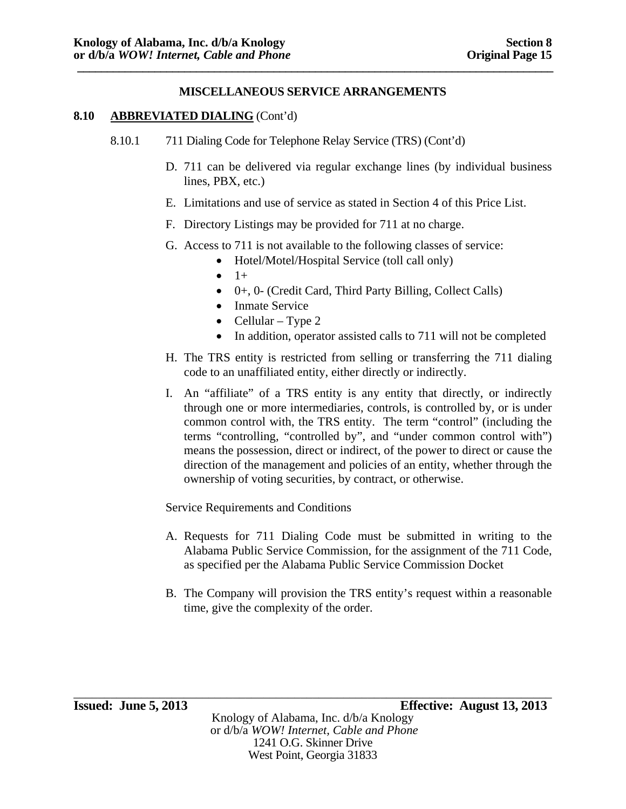#### **8.10 ABBREVIATED DIALING** (Cont'd)

- 8.10.1 711 Dialing Code for Telephone Relay Service (TRS) (Cont'd)
	- D. 711 can be delivered via regular exchange lines (by individual business lines, PBX, etc.)
	- E. Limitations and use of service as stated in Section 4 of this Price List.
	- F. Directory Listings may be provided for 711 at no charge.
	- G. Access to 711 is not available to the following classes of service:
		- Hotel/Motel/Hospital Service (toll call only)
		- $\bullet$  1+
		- 0+, 0- (Credit Card, Third Party Billing, Collect Calls)
		- Inmate Service
		- Cellular Type 2
		- In addition, operator assisted calls to 711 will not be completed
	- H. The TRS entity is restricted from selling or transferring the 711 dialing code to an unaffiliated entity, either directly or indirectly.
	- I. An "affiliate" of a TRS entity is any entity that directly, or indirectly through one or more intermediaries, controls, is controlled by, or is under common control with, the TRS entity. The term "control" (including the terms "controlling, "controlled by", and "under common control with") means the possession, direct or indirect, of the power to direct or cause the direction of the management and policies of an entity, whether through the ownership of voting securities, by contract, or otherwise.

Service Requirements and Conditions

- A. Requests for 711 Dialing Code must be submitted in writing to the Alabama Public Service Commission, for the assignment of the 711 Code, as specified per the Alabama Public Service Commission Docket
- B. The Company will provision the TRS entity's request within a reasonable time, give the complexity of the order.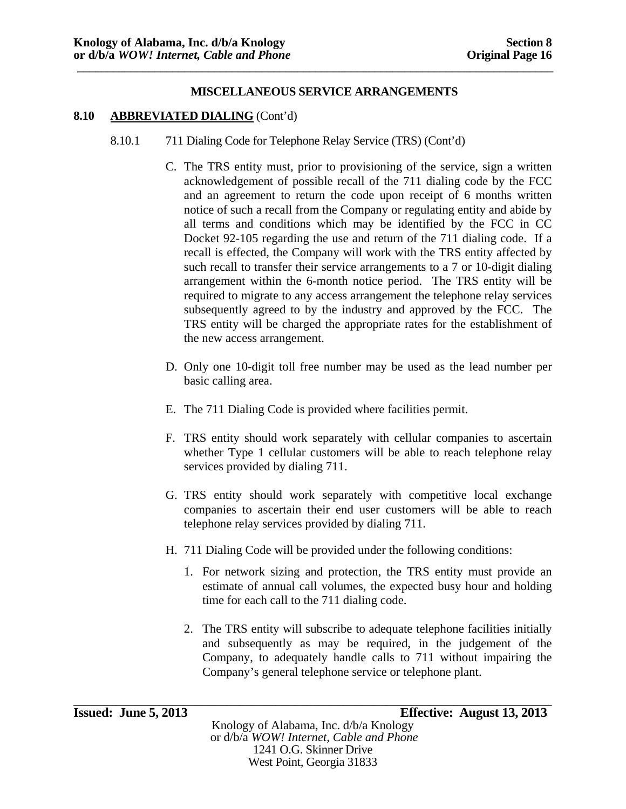#### **8.10 ABBREVIATED DIALING** (Cont'd)

- 8.10.1 711 Dialing Code for Telephone Relay Service (TRS) (Cont'd)
	- C. The TRS entity must, prior to provisioning of the service, sign a written acknowledgement of possible recall of the 711 dialing code by the FCC and an agreement to return the code upon receipt of 6 months written notice of such a recall from the Company or regulating entity and abide by all terms and conditions which may be identified by the FCC in CC Docket 92-105 regarding the use and return of the 711 dialing code. If a recall is effected, the Company will work with the TRS entity affected by such recall to transfer their service arrangements to a 7 or 10-digit dialing arrangement within the 6-month notice period. The TRS entity will be required to migrate to any access arrangement the telephone relay services subsequently agreed to by the industry and approved by the FCC. The TRS entity will be charged the appropriate rates for the establishment of the new access arrangement.
	- D. Only one 10-digit toll free number may be used as the lead number per basic calling area.
	- E. The 711 Dialing Code is provided where facilities permit.
	- F. TRS entity should work separately with cellular companies to ascertain whether Type 1 cellular customers will be able to reach telephone relay services provided by dialing 711.
	- G. TRS entity should work separately with competitive local exchange companies to ascertain their end user customers will be able to reach telephone relay services provided by dialing 711.
	- H. 711 Dialing Code will be provided under the following conditions:
		- 1. For network sizing and protection, the TRS entity must provide an estimate of annual call volumes, the expected busy hour and holding time for each call to the 711 dialing code.
		- 2. The TRS entity will subscribe to adequate telephone facilities initially and subsequently as may be required, in the judgement of the Company, to adequately handle calls to 711 without impairing the Company's general telephone service or telephone plant.

\_\_\_\_\_\_\_\_\_\_\_\_\_\_\_\_\_\_\_\_\_\_\_\_\_\_\_\_\_\_\_\_\_\_\_\_\_\_\_\_\_\_\_\_\_\_\_\_\_\_\_\_\_\_\_\_\_\_\_\_\_\_\_\_\_\_\_\_\_\_\_\_\_\_\_\_\_\_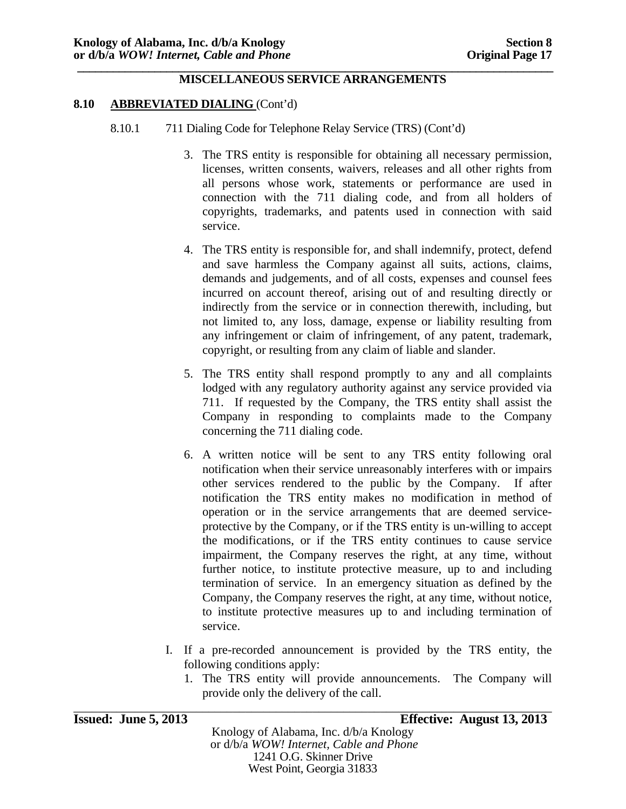#### **8.10 ABBREVIATED DIALING** (Cont'd)

- 8.10.1 711 Dialing Code for Telephone Relay Service (TRS) (Cont'd)
	- 3. The TRS entity is responsible for obtaining all necessary permission, licenses, written consents, waivers, releases and all other rights from all persons whose work, statements or performance are used in connection with the 711 dialing code, and from all holders of copyrights, trademarks, and patents used in connection with said service.
	- 4. The TRS entity is responsible for, and shall indemnify, protect, defend and save harmless the Company against all suits, actions, claims, demands and judgements, and of all costs, expenses and counsel fees incurred on account thereof, arising out of and resulting directly or indirectly from the service or in connection therewith, including, but not limited to, any loss, damage, expense or liability resulting from any infringement or claim of infringement, of any patent, trademark, copyright, or resulting from any claim of liable and slander.
	- 5. The TRS entity shall respond promptly to any and all complaints lodged with any regulatory authority against any service provided via 711. If requested by the Company, the TRS entity shall assist the Company in responding to complaints made to the Company concerning the 711 dialing code.
	- 6. A written notice will be sent to any TRS entity following oral notification when their service unreasonably interferes with or impairs other services rendered to the public by the Company. If after notification the TRS entity makes no modification in method of operation or in the service arrangements that are deemed serviceprotective by the Company, or if the TRS entity is un-willing to accept the modifications, or if the TRS entity continues to cause service impairment, the Company reserves the right, at any time, without further notice, to institute protective measure, up to and including termination of service. In an emergency situation as defined by the Company, the Company reserves the right, at any time, without notice, to institute protective measures up to and including termination of service.
	- I. If a pre-recorded announcement is provided by the TRS entity, the following conditions apply:
		- 1. The TRS entity will provide announcements. The Company will provide only the delivery of the call.

| <b>Issued: June 5, 2013</b> | Effective: August 13, 2013 |
|-----------------------------|----------------------------|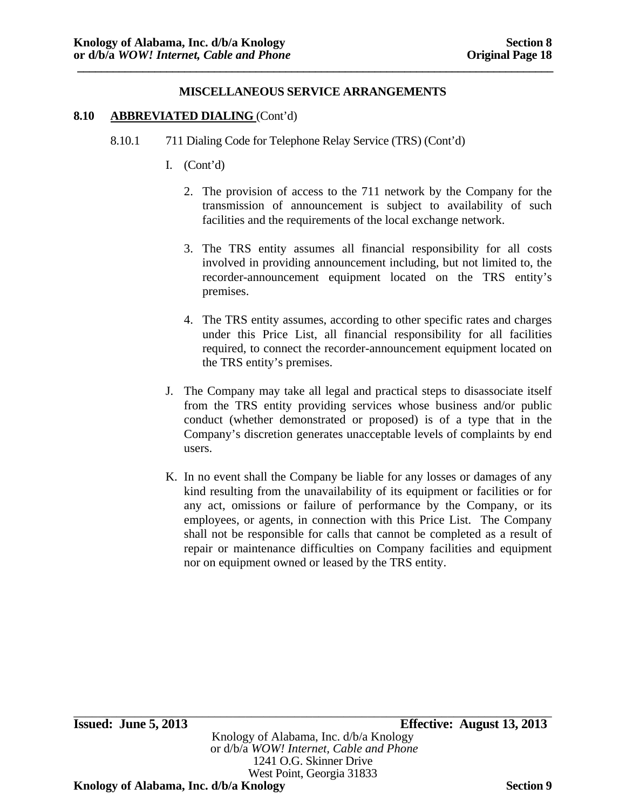#### **8.10 ABBREVIATED DIALING** (Cont'd)

- 8.10.1 711 Dialing Code for Telephone Relay Service (TRS) (Cont'd)
	- I. (Cont'd)
		- 2. The provision of access to the 711 network by the Company for the transmission of announcement is subject to availability of such facilities and the requirements of the local exchange network.
		- 3. The TRS entity assumes all financial responsibility for all costs involved in providing announcement including, but not limited to, the recorder-announcement equipment located on the TRS entity's premises.
		- 4. The TRS entity assumes, according to other specific rates and charges under this Price List, all financial responsibility for all facilities required, to connect the recorder-announcement equipment located on the TRS entity's premises.
	- J. The Company may take all legal and practical steps to disassociate itself from the TRS entity providing services whose business and/or public conduct (whether demonstrated or proposed) is of a type that in the Company's discretion generates unacceptable levels of complaints by end users.
	- K. In no event shall the Company be liable for any losses or damages of any kind resulting from the unavailability of its equipment or facilities or for any act, omissions or failure of performance by the Company, or its employees, or agents, in connection with this Price List. The Company shall not be responsible for calls that cannot be completed as a result of repair or maintenance difficulties on Company facilities and equipment nor on equipment owned or leased by the TRS entity.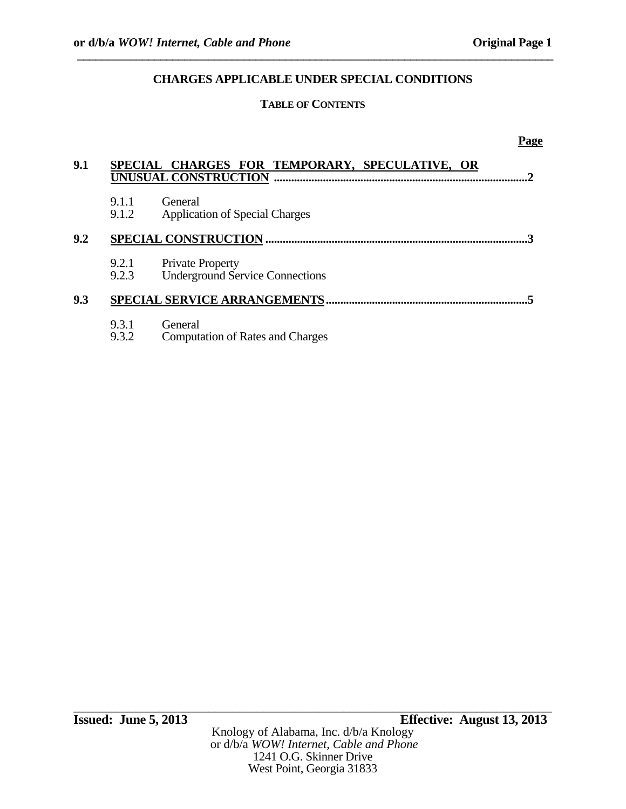# **TABLE OF CONTENTS**

#### **Page**

| 9.1 |                | SPECIAL CHARGES FOR TEMPORARY, SPECULATIVE, OR<br>UNUSUAL CONSTRUCTION |
|-----|----------------|------------------------------------------------------------------------|
|     | 9.1.1<br>9.1.2 | General<br><b>Application of Special Charges</b>                       |
| 9.2 |                | <b>SPECIAL CONSTRUCTION</b>                                            |
|     | 9.2.1<br>9.2.3 | <b>Private Property</b><br><b>Underground Service Connections</b>      |
| 9.3 |                |                                                                        |
|     | 9.3.1<br>9.3.2 | General<br><b>Computation of Rates and Charges</b>                     |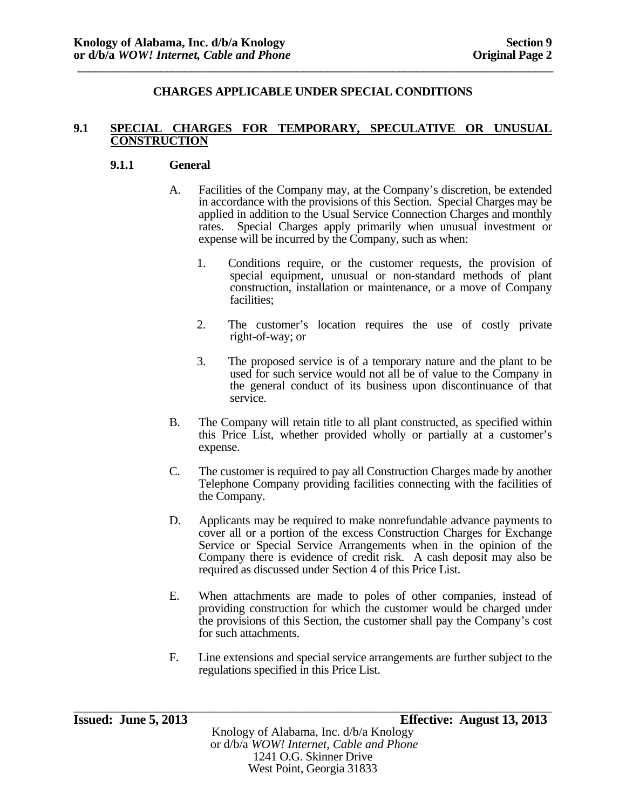### **9.1 SPECIAL CHARGES FOR TEMPORARY, SPECULATIVE OR UNUSUAL CONSTRUCTION**

### **9.1.1 General**

- A. Facilities of the Company may, at the Company's discretion, be extended in accordance with the provisions of this Section. Special Charges may be applied in addition to the Usual Service Connection Charges and monthly rates. Special Charges apply primarily when unusual investment or expense will be incurred by the Company, such as when:
	- 1. Conditions require, or the customer requests, the provision of special equipment, unusual or non-standard methods of plant construction, installation or maintenance, or a move of Company facilities;
	- 2. The customer's location requires the use of costly private right-of-way; or
	- 3. The proposed service is of a temporary nature and the plant to be used for such service would not all be of value to the Company in the general conduct of its business upon discontinuance of that service.
- B. The Company will retain title to all plant constructed, as specified within this Price List, whether provided wholly or partially at a customer's expense.
- C. The customer is required to pay all Construction Charges made by another Telephone Company providing facilities connecting with the facilities of the Company.
- D. Applicants may be required to make nonrefundable advance payments to cover all or a portion of the excess Construction Charges for Exchange Service or Special Service Arrangements when in the opinion of the Company there is evidence of credit risk. A cash deposit may also be required as discussed under Section 4 of this Price List.
- E. When attachments are made to poles of other companies, instead of providing construction for which the customer would be charged under the provisions of this Section, the customer shall pay the Company's cost for such attachments.
- F. Line extensions and special service arrangements are further subject to the regulations specified in this Price List.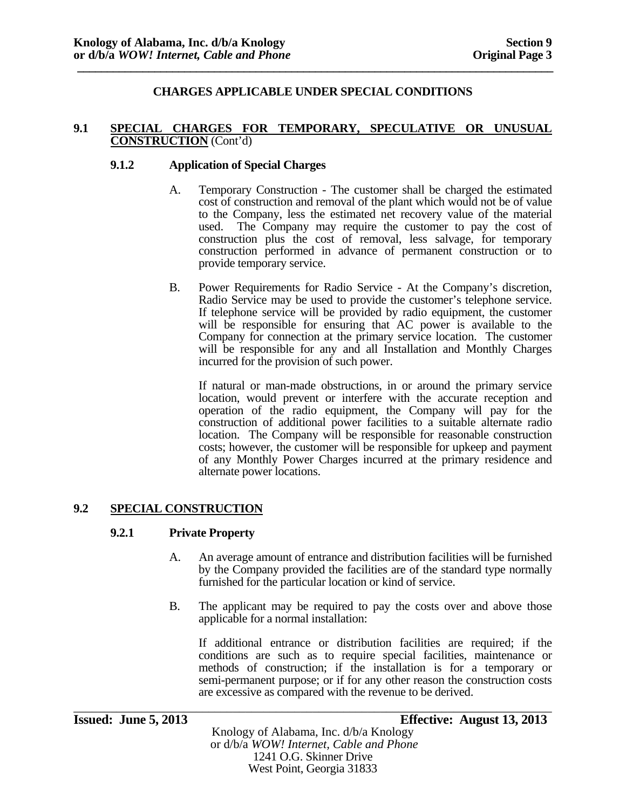#### **9.1 SPECIAL CHARGES FOR TEMPORARY, SPECULATIVE OR UNUSUAL CONSTRUCTION** (Cont'd)

### **9.1.2 Application of Special Charges**

- A. Temporary Construction The customer shall be charged the estimated cost of construction and removal of the plant which would not be of value to the Company, less the estimated net recovery value of the material used. The Company may require the customer to pay the cost of construction plus the cost of removal, less salvage, for temporary construction performed in advance of permanent construction or to provide temporary service.
- B. Power Requirements for Radio Service At the Company's discretion, Radio Service may be used to provide the customer's telephone service. If telephone service will be provided by radio equipment, the customer will be responsible for ensuring that AC power is available to the Company for connection at the primary service location. The customer will be responsible for any and all Installation and Monthly Charges incurred for the provision of such power.

If natural or man-made obstructions, in or around the primary service location, would prevent or interfere with the accurate reception and operation of the radio equipment, the Company will pay for the construction of additional power facilities to a suitable alternate radio location. The Company will be responsible for reasonable construction costs; however, the customer will be responsible for upkeep and payment of any Monthly Power Charges incurred at the primary residence and alternate power locations.

# **9.2 SPECIAL CONSTRUCTION**

#### **9.2.1 Private Property**

- A. An average amount of entrance and distribution facilities will be furnished by the Company provided the facilities are of the standard type normally furnished for the particular location or kind of service.
- B. The applicant may be required to pay the costs over and above those applicable for a normal installation:

If additional entrance or distribution facilities are required; if the conditions are such as to require special facilities, maintenance or methods of construction; if the installation is for a temporary or semi-permanent purpose; or if for any other reason the construction costs are excessive as compared with the revenue to be derived.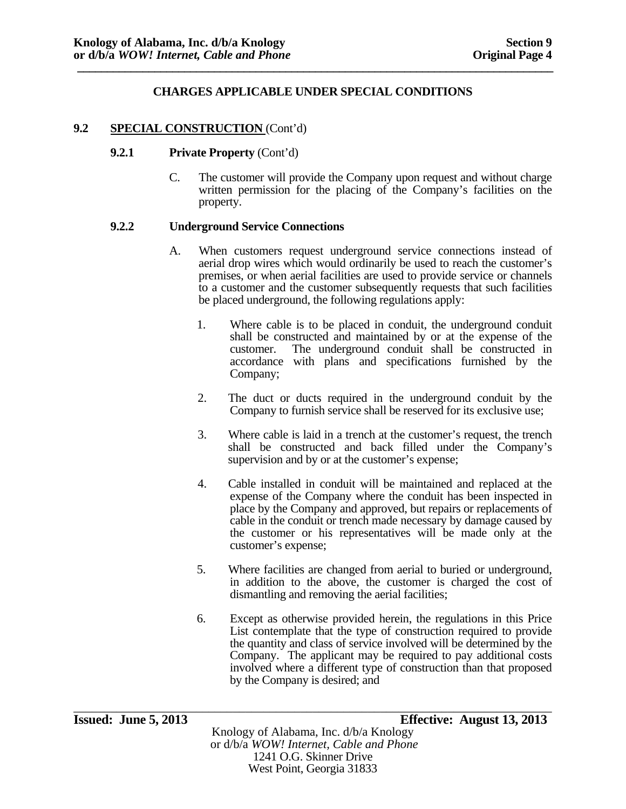#### 9.2 **SPECIAL CONSTRUCTION** (Cont'd)

#### **9.2.1 Private Property** (Cont'd)

C. The customer will provide the Company upon request and without charge written permission for the placing of the Company's facilities on the property.

#### **9.2.2 Underground Service Connections**

- A. When customers request underground service connections instead of aerial drop wires which would ordinarily be used to reach the customer's premises, or when aerial facilities are used to provide service or channels to a customer and the customer subsequently requests that such facilities be placed underground, the following regulations apply:
	- 1. Where cable is to be placed in conduit, the underground conduit shall be constructed and maintained by or at the expense of the customer. The underground conduit shall be constructed in accordance with plans and specifications furnished by the Company;
	- 2. The duct or ducts required in the underground conduit by the Company to furnish service shall be reserved for its exclusive use;
	- 3. Where cable is laid in a trench at the customer's request, the trench shall be constructed and back filled under the Company's supervision and by or at the customer's expense;
	- 4. Cable installed in conduit will be maintained and replaced at the expense of the Company where the conduit has been inspected in place by the Company and approved, but repairs or replacements of cable in the conduit or trench made necessary by damage caused by the customer or his representatives will be made only at the customer's expense;
	- 5. Where facilities are changed from aerial to buried or underground, in addition to the above, the customer is charged the cost of dismantling and removing the aerial facilities;
	- 6. Except as otherwise provided herein, the regulations in this Price List contemplate that the type of construction required to provide the quantity and class of service involved will be determined by the Company. The applicant may be required to pay additional costs involved where a different type of construction than that proposed by the Company is desired; and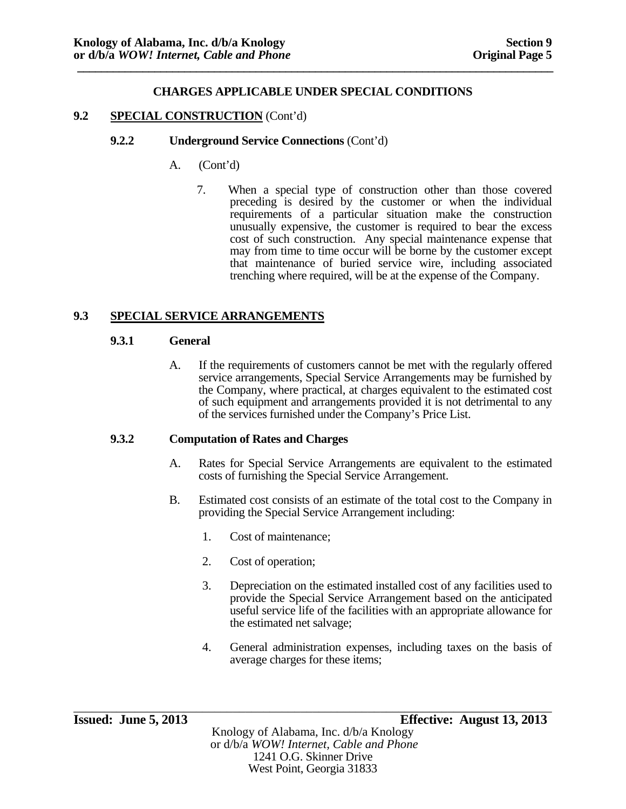### **9.2 SPECIAL CONSTRUCTION** (Cont'd)

#### **9.2.2 Underground Service Connections** (Cont'd)

- A. (Cont'd)
	- 7. When a special type of construction other than those covered preceding is desired by the customer or when the individual requirements of a particular situation make the construction unusually expensive, the customer is required to bear the excess cost of such construction. Any special maintenance expense that may from time to time occur will be borne by the customer except that maintenance of buried service wire, including associated trenching where required, will be at the expense of the Company.

### **9.3 SPECIAL SERVICE ARRANGEMENTS**

#### **9.3.1 General**

A. If the requirements of customers cannot be met with the regularly offered service arrangements, Special Service Arrangements may be furnished by the Company, where practical, at charges equivalent to the estimated cost of such equipment and arrangements provided it is not detrimental to any of the services furnished under the Company's Price List.

### **9.3.2 Computation of Rates and Charges**

- A. Rates for Special Service Arrangements are equivalent to the estimated costs of furnishing the Special Service Arrangement.
- B. Estimated cost consists of an estimate of the total cost to the Company in providing the Special Service Arrangement including:
	- 1. Cost of maintenance;
	- 2. Cost of operation;
	- 3. Depreciation on the estimated installed cost of any facilities used to provide the Special Service Arrangement based on the anticipated useful service life of the facilities with an appropriate allowance for the estimated net salvage;
	- 4. General administration expenses, including taxes on the basis of average charges for these items;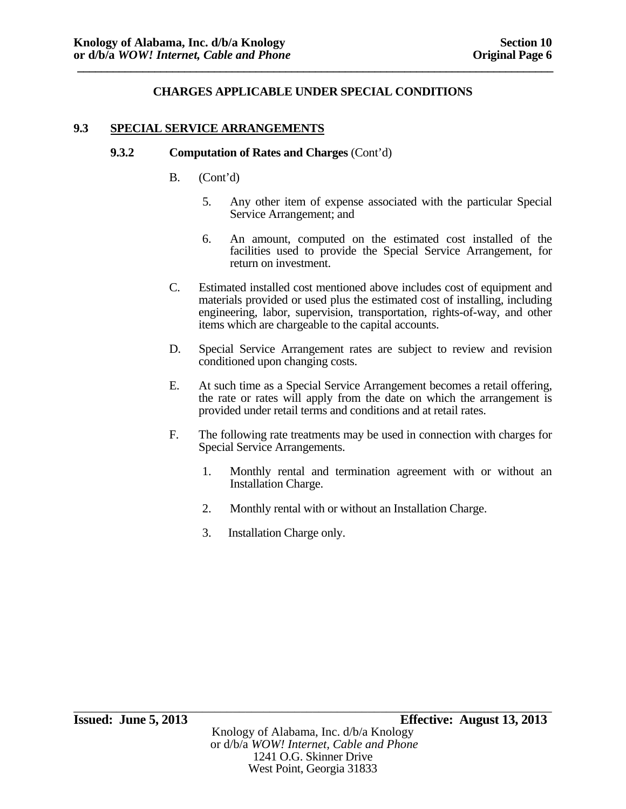#### **9.3 SPECIAL SERVICE ARRANGEMENTS**

#### **9.3.2 Computation of Rates and Charges** (Cont'd)

- B. (Cont'd)
	- 5. Any other item of expense associated with the particular Special Service Arrangement; and
	- 6. An amount, computed on the estimated cost installed of the facilities used to provide the Special Service Arrangement, for return on investment.
- C. Estimated installed cost mentioned above includes cost of equipment and materials provided or used plus the estimated cost of installing, including engineering, labor, supervision, transportation, rights-of-way, and other items which are chargeable to the capital accounts.
- D. Special Service Arrangement rates are subject to review and revision conditioned upon changing costs.
- E. At such time as a Special Service Arrangement becomes a retail offering, the rate or rates will apply from the date on which the arrangement is provided under retail terms and conditions and at retail rates.
- F. The following rate treatments may be used in connection with charges for Special Service Arrangements.
	- 1. Monthly rental and termination agreement with or without an Installation Charge.
	- 2. Monthly rental with or without an Installation Charge.
	- 3. Installation Charge only.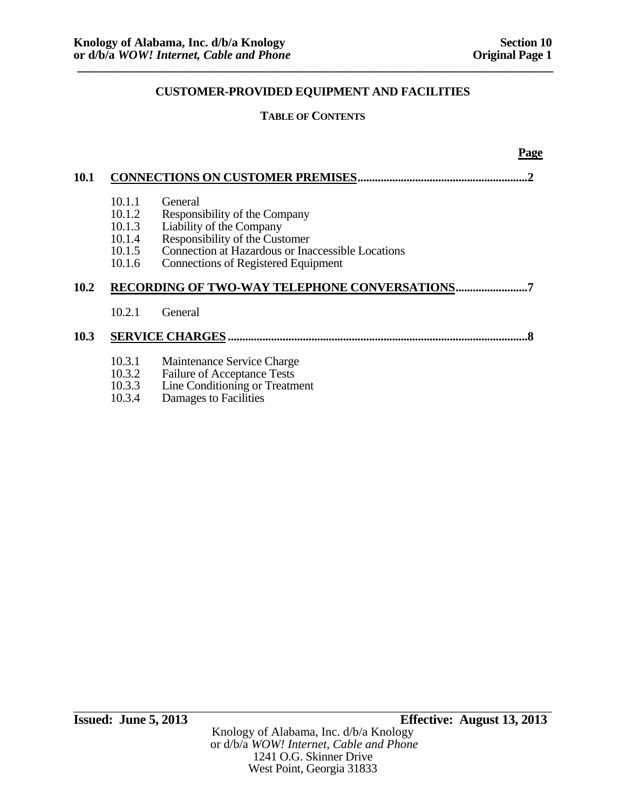**Page** 

# **CUSTOMER-PROVIDED EQUIPMENT AND FACILITIES**

### **TABLE OF CONTENTS**

| 10.1 |                                                          | <b>CONNECTIONS ON CUSTOMER PREMISES.</b>                                                                                                                                                                  |
|------|----------------------------------------------------------|-----------------------------------------------------------------------------------------------------------------------------------------------------------------------------------------------------------|
|      | 10.1.1<br>10.1.2<br>10.1.3<br>10.1.4<br>10.1.5<br>10.1.6 | General<br>Responsibility of the Company<br>Liability of the Company<br>Responsibility of the Customer<br>Connection at Hazardous or Inaccessible Locations<br><b>Connections of Registered Equipment</b> |
| 10.2 |                                                          | RECORDING OF TWO-WAY TELEPHONE CONVERSATIONS.                                                                                                                                                             |
|      | 10.2.1                                                   | General                                                                                                                                                                                                   |
| 10.3 |                                                          | <b>SERVICE CHARGES</b>                                                                                                                                                                                    |
|      | 10.3.1<br>10.3.2<br>10.3.3<br>10.3.4                     | Maintenance Service Charge<br><b>Failure of Acceptance Tests</b><br>Line Conditioning or Treatment<br>Damages to Facilities                                                                               |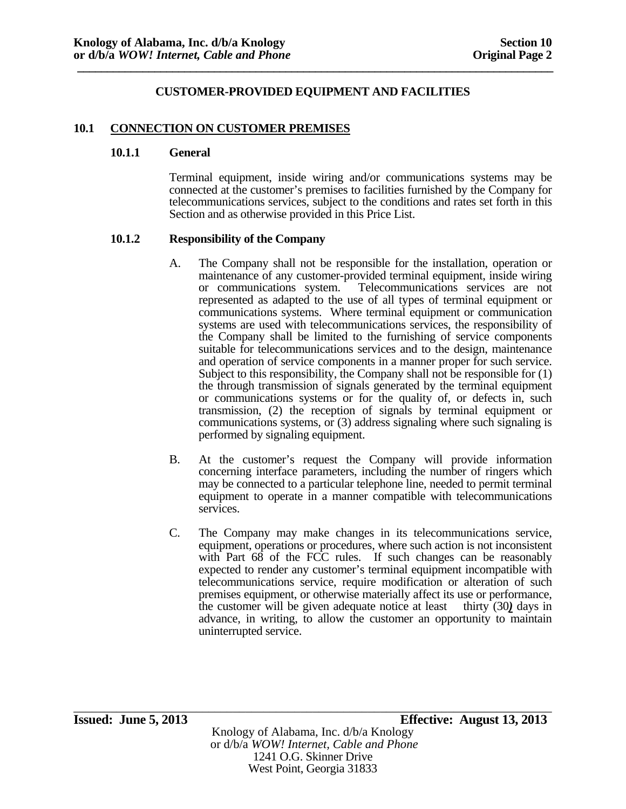#### **10.1 CONNECTION ON CUSTOMER PREMISES**

#### **10.1.1 General**

Terminal equipment, inside wiring and/or communications systems may be connected at the customer's premises to facilities furnished by the Company for telecommunications services, subject to the conditions and rates set forth in this Section and as otherwise provided in this Price List.

#### **10.1.2 Responsibility of the Company**

- A. The Company shall not be responsible for the installation, operation or maintenance of any customer-provided terminal equipment, inside wiring or communications system. Telecommunications services are not represented as adapted to the use of all types of terminal equipment or communications systems. Where terminal equipment or communication systems are used with telecommunications services, the responsibility of the Company shall be limited to the furnishing of service components suitable for telecommunications services and to the design, maintenance and operation of service components in a manner proper for such service. Subject to this responsibility, the Company shall not be responsible for (1) the through transmission of signals generated by the terminal equipment or communications systems or for the quality of, or defects in, such transmission, (2) the reception of signals by terminal equipment or communications systems, or (3) address signaling where such signaling is performed by signaling equipment.
- B. At the customer's request the Company will provide information concerning interface parameters, including the number of ringers which may be connected to a particular telephone line, needed to permit terminal equipment to operate in a manner compatible with telecommunications services.
- C. The Company may make changes in its telecommunications service, equipment, operations or procedures, where such action is not inconsistent with Part 68 of the FCC rules. If such changes can be reasonably expected to render any customer's terminal equipment incompatible with telecommunications service, require modification or alteration of such premises equipment, or otherwise materially affect its use or performance, the customer will be given adequate notice at least thirty (30*)* days in advance, in writing, to allow the customer an opportunity to maintain uninterrupted service.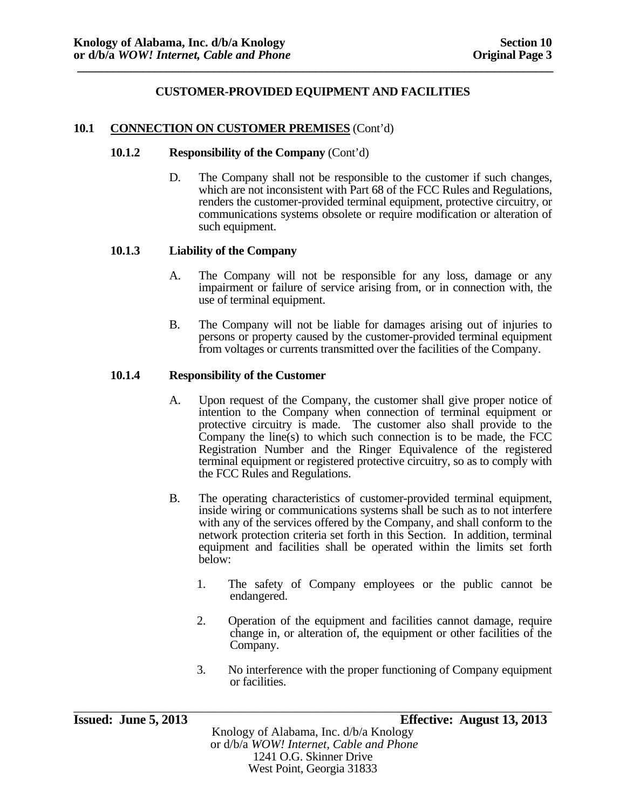#### **10.1 CONNECTION ON CUSTOMER PREMISES** (Cont'd)

#### **10.1.2 Responsibility of the Company** (Cont'd)

D. The Company shall not be responsible to the customer if such changes, which are not inconsistent with Part 68 of the FCC Rules and Regulations, renders the customer-provided terminal equipment, protective circuitry, or communications systems obsolete or require modification or alteration of such equipment.

#### **10.1.3 Liability of the Company**

- A. The Company will not be responsible for any loss, damage or any impairment or failure of service arising from, or in connection with, the use of terminal equipment.
- B. The Company will not be liable for damages arising out of injuries to persons or property caused by the customer-provided terminal equipment from voltages or currents transmitted over the facilities of the Company.

#### **10.1.4 Responsibility of the Customer**

- A. Upon request of the Company, the customer shall give proper notice of intention to the Company when connection of terminal equipment or protective circuitry is made. The customer also shall provide to the Company the line(s) to which such connection is to be made, the FCC Registration Number and the Ringer Equivalence of the registered terminal equipment or registered protective circuitry, so as to comply with the FCC Rules and Regulations.
- B. The operating characteristics of customer-provided terminal equipment, inside wiring or communications systems shall be such as to not interfere with any of the services offered by the Company, and shall conform to the network protection criteria set forth in this Section. In addition, terminal equipment and facilities shall be operated within the limits set forth below:
	- 1. The safety of Company employees or the public cannot be endangered.
	- 2. Operation of the equipment and facilities cannot damage, require change in, or alteration of, the equipment or other facilities of the Company.
	- 3. No interference with the proper functioning of Company equipment or facilities.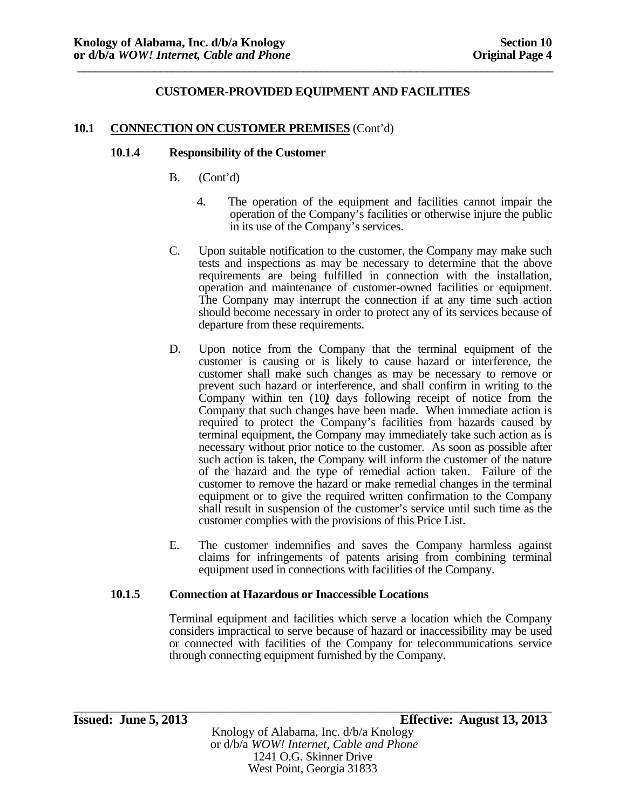#### **10.1 CONNECTION ON CUSTOMER PREMISES** (Cont'd)

#### **10.1.4 Responsibility of the Customer**

- B. (Cont'd)
	- 4. The operation of the equipment and facilities cannot impair the operation of the Company's facilities or otherwise injure the public in its use of the Company's services.
- C. Upon suitable notification to the customer, the Company may make such tests and inspections as may be necessary to determine that the above requirements are being fulfilled in connection with the installation, operation and maintenance of customer-owned facilities or equipment. The Company may interrupt the connection if at any time such action should become necessary in order to protect any of its services because of departure from these requirements.
- D. Upon notice from the Company that the terminal equipment of the customer is causing or is likely to cause hazard or interference, the customer shall make such changes as may be necessary to remove or prevent such hazard or interference, and shall confirm in writing to the Company within ten (10*)* days following receipt of notice from the Company that such changes have been made. When immediate action is required to protect the Company's facilities from hazards caused by terminal equipment, the Company may immediately take such action as is necessary without prior notice to the customer. As soon as possible after such action is taken, the Company will inform the customer of the nature of the hazard and the type of remedial action taken. Failure of the customer to remove the hazard or make remedial changes in the terminal equipment or to give the required written confirmation to the Company shall result in suspension of the customer's service until such time as the customer complies with the provisions of this Price List.
- E. The customer indemnifies and saves the Company harmless against claims for infringements of patents arising from combining terminal equipment used in connections with facilities of the Company.

#### **10.1.5 Connection at Hazardous or Inaccessible Locations**

Terminal equipment and facilities which serve a location which the Company considers impractical to serve because of hazard or inaccessibility may be used or connected with facilities of the Company for telecommunications service through connecting equipment furnished by the Company.

1241 O.G. Skinner Drive West Point, Georgia 31833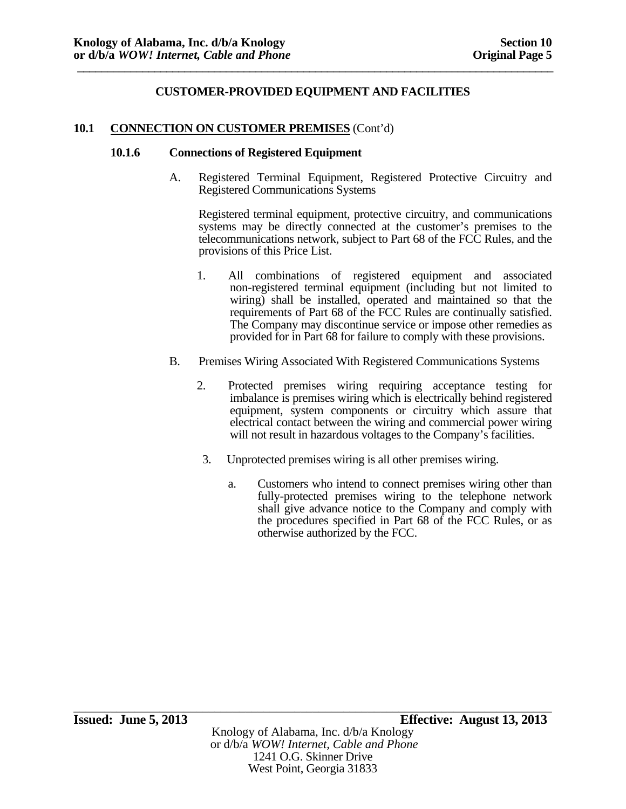#### **10.1 CONNECTION ON CUSTOMER PREMISES** (Cont'd)

#### **10.1.6 Connections of Registered Equipment**

A. Registered Terminal Equipment, Registered Protective Circuitry and Registered Communications Systems

Registered terminal equipment, protective circuitry, and communications systems may be directly connected at the customer's premises to the telecommunications network, subject to Part 68 of the FCC Rules, and the provisions of this Price List.

- 1. All combinations of registered equipment and associated non-registered terminal equipment (including but not limited to wiring) shall be installed, operated and maintained so that the requirements of Part 68 of the FCC Rules are continually satisfied. The Company may discontinue service or impose other remedies as provided for in Part 68 for failure to comply with these provisions.
- B. Premises Wiring Associated With Registered Communications Systems
	- 2. Protected premises wiring requiring acceptance testing for imbalance is premises wiring which is electrically behind registered equipment, system components or circuitry which assure that electrical contact between the wiring and commercial power wiring will not result in hazardous voltages to the Company's facilities.
	- 3. Unprotected premises wiring is all other premises wiring.
		- a. Customers who intend to connect premises wiring other than fully-protected premises wiring to the telephone network shall give advance notice to the Company and comply with the procedures specified in Part 68 of the FCC Rules, or as otherwise authorized by the FCC.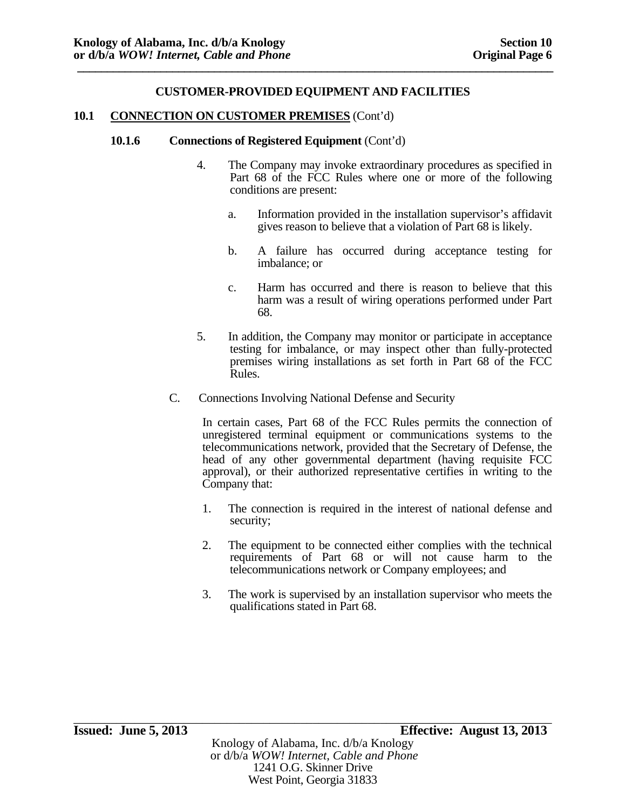#### **10.1 CONNECTION ON CUSTOMER PREMISES** (Cont'd)

#### **10.1.6 Connections of Registered Equipment** (Cont'd)

- 4. The Company may invoke extraordinary procedures as specified in Part 68 of the FCC Rules where one or more of the following conditions are present:
	- a. Information provided in the installation supervisor's affidavit gives reason to believe that a violation of Part 68 is likely.
	- b. A failure has occurred during acceptance testing for imbalance; or
	- c. Harm has occurred and there is reason to believe that this harm was a result of wiring operations performed under Part 68.
- 5. In addition, the Company may monitor or participate in acceptance testing for imbalance, or may inspect other than fully-protected premises wiring installations as set forth in Part 68 of the FCC Rules.
- C. Connections Involving National Defense and Security

In certain cases, Part 68 of the FCC Rules permits the connection of unregistered terminal equipment or communications systems to the telecommunications network, provided that the Secretary of Defense, the head of any other governmental department (having requisite FCC approval), or their authorized representative certifies in writing to the Company that:

- 1. The connection is required in the interest of national defense and security;
- 2. The equipment to be connected either complies with the technical requirements of Part 68 or will not cause harm to the telecommunications network or Company employees; and
- 3. The work is supervised by an installation supervisor who meets the qualifications stated in Part 68.

\_\_\_\_\_\_\_\_\_\_\_\_\_\_\_\_\_\_\_\_\_\_\_\_\_\_\_\_\_\_\_\_\_\_\_\_\_\_\_\_\_\_\_\_\_\_\_\_\_\_\_\_\_\_\_\_\_\_\_\_\_\_\_\_\_\_\_\_\_\_\_\_\_\_\_\_\_\_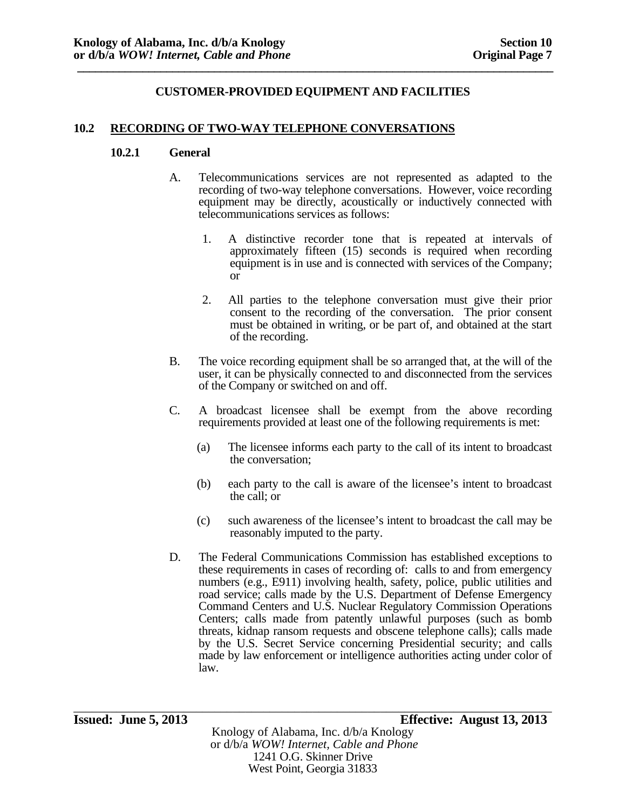#### **10.2 RECORDING OF TWO-WAY TELEPHONE CONVERSATIONS**

#### **10.2.1 General**

- A. Telecommunications services are not represented as adapted to the recording of two-way telephone conversations. However, voice recording equipment may be directly, acoustically or inductively connected with telecommunications services as follows:
	- 1. A distinctive recorder tone that is repeated at intervals of approximately fifteen (15) seconds is required when recording equipment is in use and is connected with services of the Company; or
	- 2. All parties to the telephone conversation must give their prior consent to the recording of the conversation. The prior consent must be obtained in writing, or be part of, and obtained at the start of the recording.
- B. The voice recording equipment shall be so arranged that, at the will of the user, it can be physically connected to and disconnected from the services of the Company or switched on and off.
- C. A broadcast licensee shall be exempt from the above recording requirements provided at least one of the following requirements is met:
	- (a) The licensee informs each party to the call of its intent to broadcast the conversation;
	- (b) each party to the call is aware of the licensee's intent to broadcast the call; or
	- (c) such awareness of the licensee's intent to broadcast the call may be reasonably imputed to the party.
- D. The Federal Communications Commission has established exceptions to these requirements in cases of recording of: calls to and from emergency numbers (e.g., E911) involving health, safety, police, public utilities and road service; calls made by the U.S. Department of Defense Emergency Command Centers and U.S. Nuclear Regulatory Commission Operations Centers; calls made from patently unlawful purposes (such as bomb threats, kidnap ransom requests and obscene telephone calls); calls made by the U.S. Secret Service concerning Presidential security; and calls made by law enforcement or intelligence authorities acting under color of law.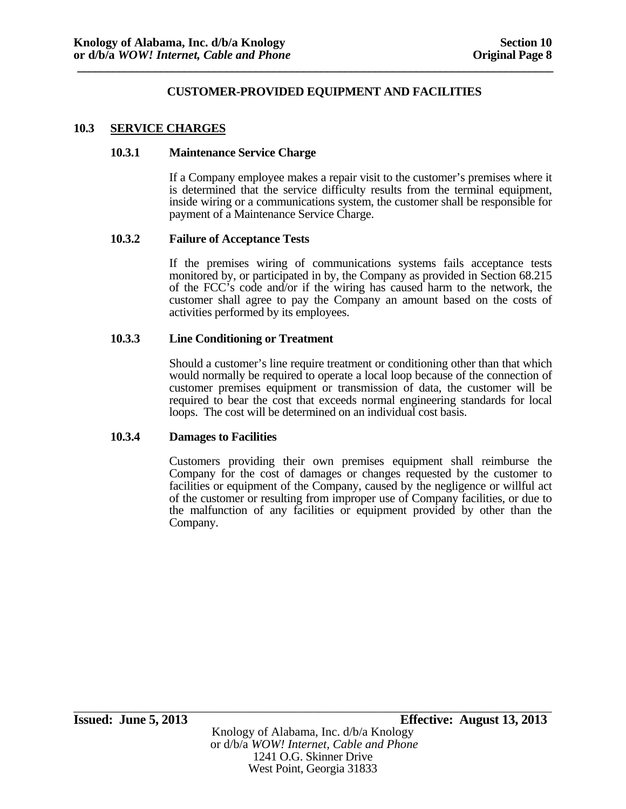#### **10.3 SERVICE CHARGES**

#### **10.3.1 Maintenance Service Charge**

If a Company employee makes a repair visit to the customer's premises where it is determined that the service difficulty results from the terminal equipment, inside wiring or a communications system, the customer shall be responsible for payment of a Maintenance Service Charge.

#### **10.3.2 Failure of Acceptance Tests**

If the premises wiring of communications systems fails acceptance tests monitored by, or participated in by, the Company as provided in Section 68.215 of the FCC's code and/or if the wiring has caused harm to the network, the customer shall agree to pay the Company an amount based on the costs of activities performed by its employees.

#### **10.3.3 Line Conditioning or Treatment**

Should a customer's line require treatment or conditioning other than that which would normally be required to operate a local loop because of the connection of customer premises equipment or transmission of data, the customer will be required to bear the cost that exceeds normal engineering standards for local loops. The cost will be determined on an individual cost basis.

#### **10.3.4 Damages to Facilities**

Customers providing their own premises equipment shall reimburse the Company for the cost of damages or changes requested by the customer to facilities or equipment of the Company, caused by the negligence or willful act of the customer or resulting from improper use of Company facilities, or due to the malfunction of any facilities or equipment provided by other than the Company.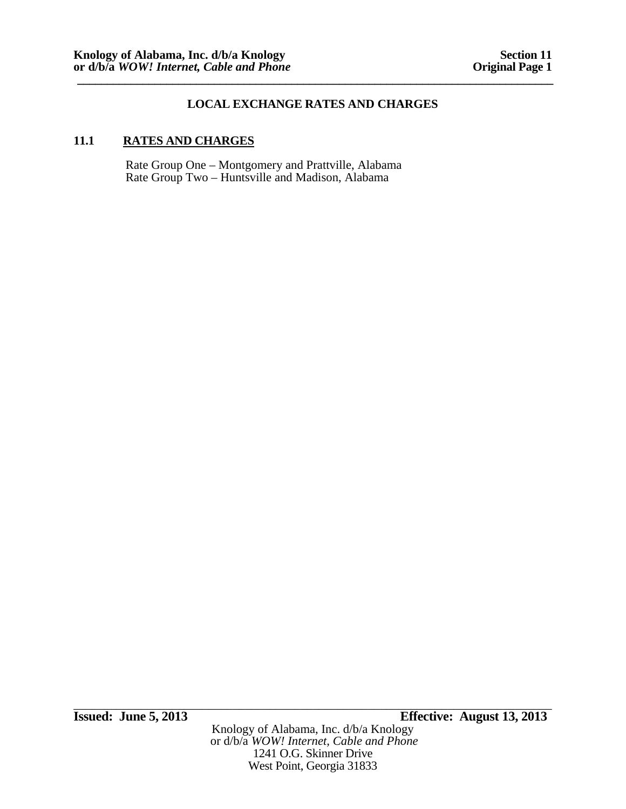# **LOCAL EXCHANGE RATES AND CHARGES**

### **11.1 RATES AND CHARGES**

Rate Group One – Montgomery and Prattville, Alabama Rate Group Two – Huntsville and Madison, Alabama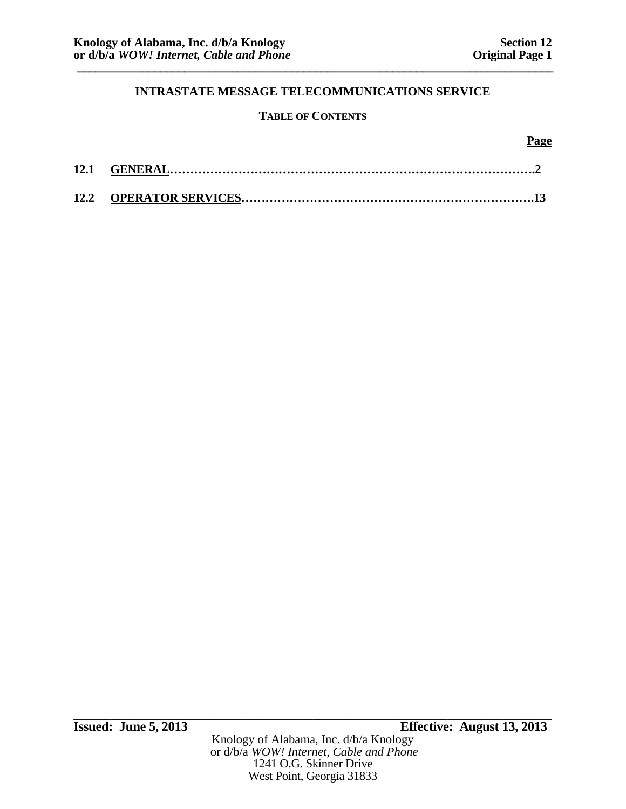# **TABLE OF CONTENTS**

#### **Page**

West Point, Georgia 31833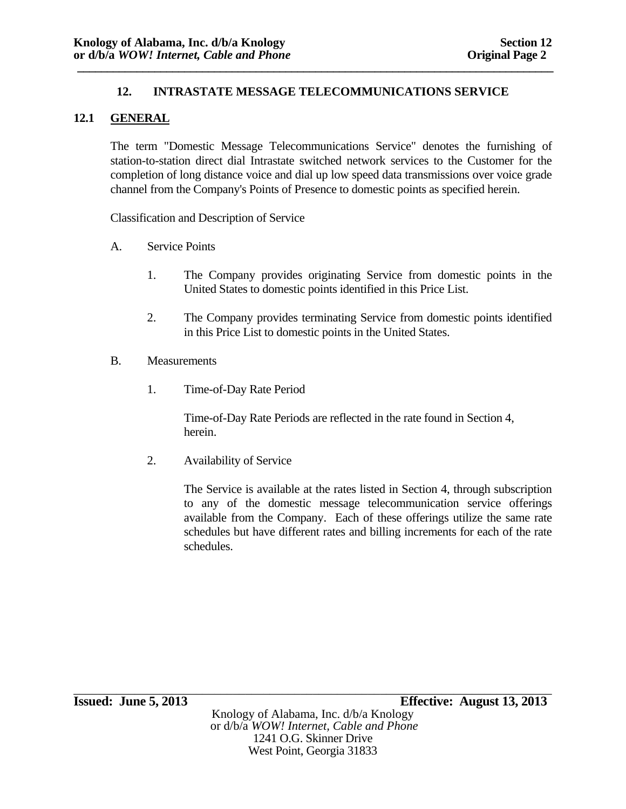# **12.1 GENERAL**

The term "Domestic Message Telecommunications Service" denotes the furnishing of station-to-station direct dial Intrastate switched network services to the Customer for the completion of long distance voice and dial up low speed data transmissions over voice grade channel from the Company's Points of Presence to domestic points as specified herein.

Classification and Description of Service

- A. Service Points
	- 1. The Company provides originating Service from domestic points in the United States to domestic points identified in this Price List.
	- 2. The Company provides terminating Service from domestic points identified in this Price List to domestic points in the United States.
- B. Measurements
	- 1. Time-of-Day Rate Period

 Time-of-Day Rate Periods are reflected in the rate found in Section 4, herein.

2. Availability of Service

The Service is available at the rates listed in Section 4, through subscription to any of the domestic message telecommunication service offerings available from the Company. Each of these offerings utilize the same rate schedules but have different rates and billing increments for each of the rate schedules.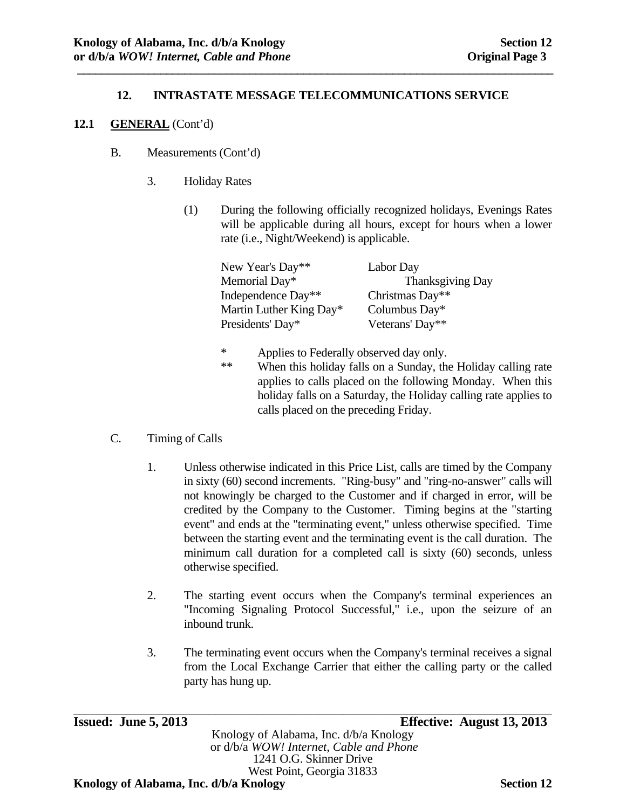**\_\_\_\_\_\_\_\_\_\_\_\_\_\_\_\_\_\_\_\_\_\_\_\_\_\_\_\_\_\_\_\_\_\_\_\_\_\_\_\_\_\_\_\_\_\_\_\_\_\_\_\_\_\_\_\_\_\_\_\_\_\_\_\_\_\_\_\_\_\_\_\_\_\_\_\_\_\_\_\_** 

### **12.1 GENERAL** (Cont'd)

- B. Measurements (Cont'd)
	- 3. Holiday Rates
		- (1) During the following officially recognized holidays, Evenings Rates will be applicable during all hours, except for hours when a lower rate (i.e., Night/Weekend) is applicable.

| New Year's Day**        | Labor Day        |
|-------------------------|------------------|
| Memorial Day*           | Thanksgiving Day |
| Independence Day**      | Christmas Day**  |
| Martin Luther King Day* | Columbus Day*    |
| Presidents' Day*        | Veterans' Day**  |

- \* Applies to Federally observed day only.<br>\*\* When this holiday falls on a Sunday, the
	- When this holiday falls on a Sunday, the Holiday calling rate applies to calls placed on the following Monday. When this holiday falls on a Saturday, the Holiday calling rate applies to calls placed on the preceding Friday.

### C. Timing of Calls

- 1. Unless otherwise indicated in this Price List, calls are timed by the Company in sixty (60) second increments. "Ring-busy" and "ring-no-answer" calls will not knowingly be charged to the Customer and if charged in error, will be credited by the Company to the Customer. Timing begins at the "starting event" and ends at the "terminating event," unless otherwise specified. Time between the starting event and the terminating event is the call duration. The minimum call duration for a completed call is sixty (60) seconds, unless otherwise specified.
- 2. The starting event occurs when the Company's terminal experiences an "Incoming Signaling Protocol Successful," i.e., upon the seizure of an inbound trunk.
- 3. The terminating event occurs when the Company's terminal receives a signal from the Local Exchange Carrier that either the calling party or the called party has hung up.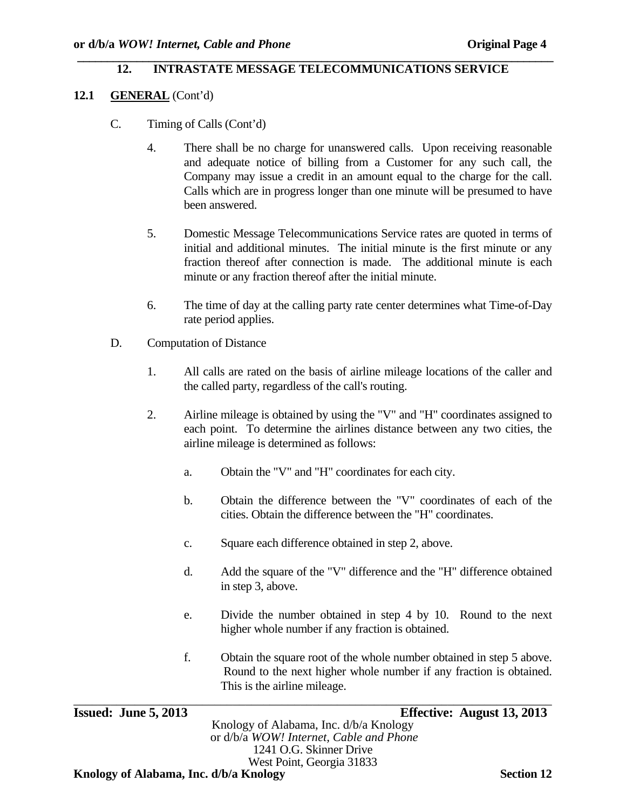#### **\_\_\_\_\_\_\_\_\_\_\_\_\_\_\_\_\_\_\_\_\_\_\_\_\_\_\_\_\_\_\_\_\_\_\_\_\_\_\_\_\_\_\_\_\_\_\_\_\_\_\_\_\_\_\_\_\_\_\_\_\_\_\_\_\_\_\_\_\_\_\_\_\_\_\_\_\_\_\_\_ 12. INTRASTATE MESSAGE TELECOMMUNICATIONS SERVICE**

- **12.1 GENERAL** (Cont'd)
	- C. Timing of Calls (Cont'd)
		- 4. There shall be no charge for unanswered calls. Upon receiving reasonable and adequate notice of billing from a Customer for any such call, the Company may issue a credit in an amount equal to the charge for the call. Calls which are in progress longer than one minute will be presumed to have been answered.
		- 5. Domestic Message Telecommunications Service rates are quoted in terms of initial and additional minutes. The initial minute is the first minute or any fraction thereof after connection is made. The additional minute is each minute or any fraction thereof after the initial minute.
		- 6. The time of day at the calling party rate center determines what Time-of-Day rate period applies.
	- D. Computation of Distance
		- 1. All calls are rated on the basis of airline mileage locations of the caller and the called party, regardless of the call's routing.
		- 2. Airline mileage is obtained by using the "V" and "H" coordinates assigned to each point. To determine the airlines distance between any two cities, the airline mileage is determined as follows:
			- a. Obtain the "V" and "H" coordinates for each city.
			- b. Obtain the difference between the "V" coordinates of each of the cities. Obtain the difference between the "H" coordinates.
			- c. Square each difference obtained in step 2, above.
			- d. Add the square of the "V" difference and the "H" difference obtained in step 3, above.
			- e. Divide the number obtained in step 4 by 10. Round to the next higher whole number if any fraction is obtained.
			- f. Obtain the square root of the whole number obtained in step 5 above. Round to the next higher whole number if any fraction is obtained. This is the airline mileage.

| <b>Issued: June 5, 2013</b>            |                                         | Effective: August 13, 2013 |
|----------------------------------------|-----------------------------------------|----------------------------|
|                                        | Knology of Alabama, Inc. d/b/a Knology  |                            |
|                                        | or d/b/a WOW! Internet, Cable and Phone |                            |
|                                        | 1241 O.G. Skinner Drive                 |                            |
|                                        | West Point, Georgia 31833               |                            |
| Knology of Alabama, Inc. d/b/a Knology |                                         | <b>Section 12</b>          |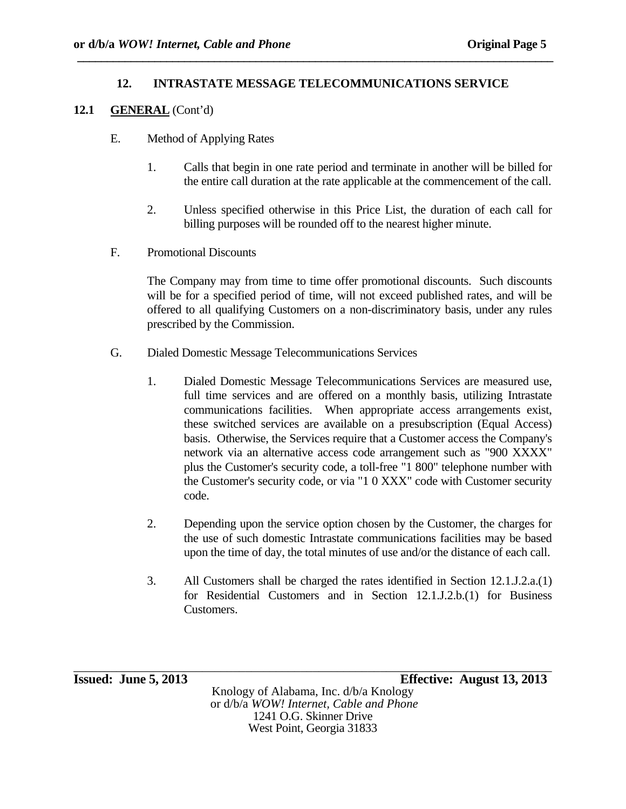### **12.1 GENERAL** (Cont'd)

- E. Method of Applying Rates
	- 1. Calls that begin in one rate period and terminate in another will be billed for the entire call duration at the rate applicable at the commencement of the call.
	- 2. Unless specified otherwise in this Price List, the duration of each call for billing purposes will be rounded off to the nearest higher minute.
- F. Promotional Discounts

The Company may from time to time offer promotional discounts. Such discounts will be for a specified period of time, will not exceed published rates, and will be offered to all qualifying Customers on a non-discriminatory basis, under any rules prescribed by the Commission.

- G. Dialed Domestic Message Telecommunications Services
	- 1. Dialed Domestic Message Telecommunications Services are measured use, full time services and are offered on a monthly basis, utilizing Intrastate communications facilities. When appropriate access arrangements exist, these switched services are available on a presubscription (Equal Access) basis. Otherwise, the Services require that a Customer access the Company's network via an alternative access code arrangement such as "900 XXXX" plus the Customer's security code, a toll-free "1 800" telephone number with the Customer's security code, or via "1 0 XXX" code with Customer security code.
	- 2. Depending upon the service option chosen by the Customer, the charges for the use of such domestic Intrastate communications facilities may be based upon the time of day, the total minutes of use and/or the distance of each call.
	- 3. All Customers shall be charged the rates identified in Section 12.1.J.2.a.(1) for Residential Customers and in Section 12.1.J.2.b.(1) for Business Customers.

\_\_\_\_\_\_\_\_\_\_\_\_\_\_\_\_\_\_\_\_\_\_\_\_\_\_\_\_\_\_\_\_\_\_\_\_\_\_\_\_\_\_\_\_\_\_\_\_\_\_\_\_\_\_\_\_\_\_\_\_\_\_\_\_\_\_\_\_\_\_\_\_\_\_\_\_\_\_ **Issued: June 5, 2013 Effective: August 13, 2013** 

Knology of Alabama, Inc. d/b/a Knology or d/b/a *WOW! Internet, Cable and Phone* 1241 O.G. Skinner Drive West Point, Georgia 31833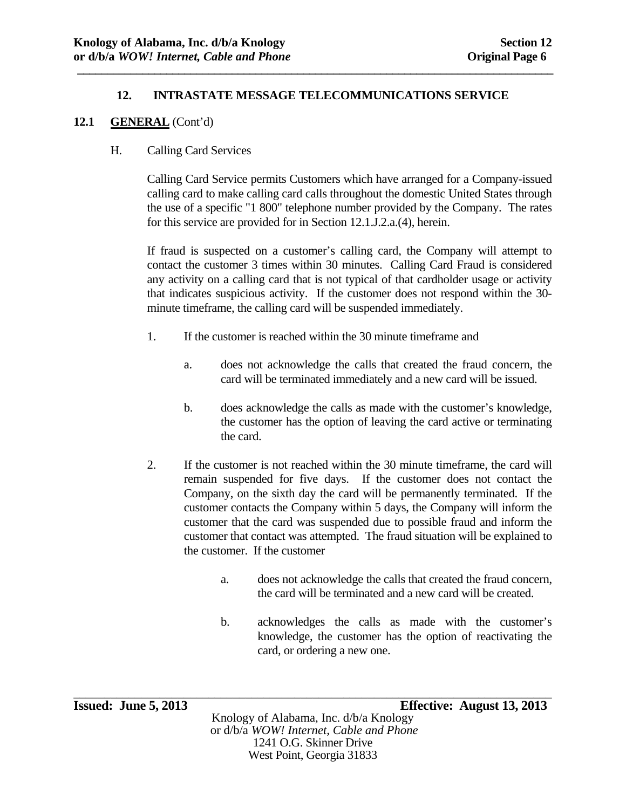**\_\_\_\_\_\_\_\_\_\_\_\_\_\_\_\_\_\_\_\_\_\_\_\_\_\_\_\_\_\_\_\_\_\_\_\_\_\_\_\_\_\_\_\_\_\_\_\_\_\_\_\_\_\_\_\_\_\_\_\_\_\_\_\_\_\_\_\_\_\_\_\_\_\_\_\_\_\_\_\_** 

### **12.1 GENERAL** (Cont'd)

### H. Calling Card Services

Calling Card Service permits Customers which have arranged for a Company-issued calling card to make calling card calls throughout the domestic United States through the use of a specific "1 800" telephone number provided by the Company. The rates for this service are provided for in Section 12.1.J.2.a.(4), herein.

If fraud is suspected on a customer's calling card, the Company will attempt to contact the customer 3 times within 30 minutes. Calling Card Fraud is considered any activity on a calling card that is not typical of that cardholder usage or activity that indicates suspicious activity. If the customer does not respond within the 30 minute timeframe, the calling card will be suspended immediately.

- 1. If the customer is reached within the 30 minute timeframe and
	- a. does not acknowledge the calls that created the fraud concern, the card will be terminated immediately and a new card will be issued.
	- b. does acknowledge the calls as made with the customer's knowledge, the customer has the option of leaving the card active or terminating the card.
- 2. If the customer is not reached within the 30 minute timeframe, the card will remain suspended for five days. If the customer does not contact the Company, on the sixth day the card will be permanently terminated. If the customer contacts the Company within 5 days, the Company will inform the customer that the card was suspended due to possible fraud and inform the customer that contact was attempted. The fraud situation will be explained to the customer. If the customer
	- a. does not acknowledge the calls that created the fraud concern, the card will be terminated and a new card will be created.
	- b. acknowledges the calls as made with the customer's knowledge, the customer has the option of reactivating the card, or ordering a new one.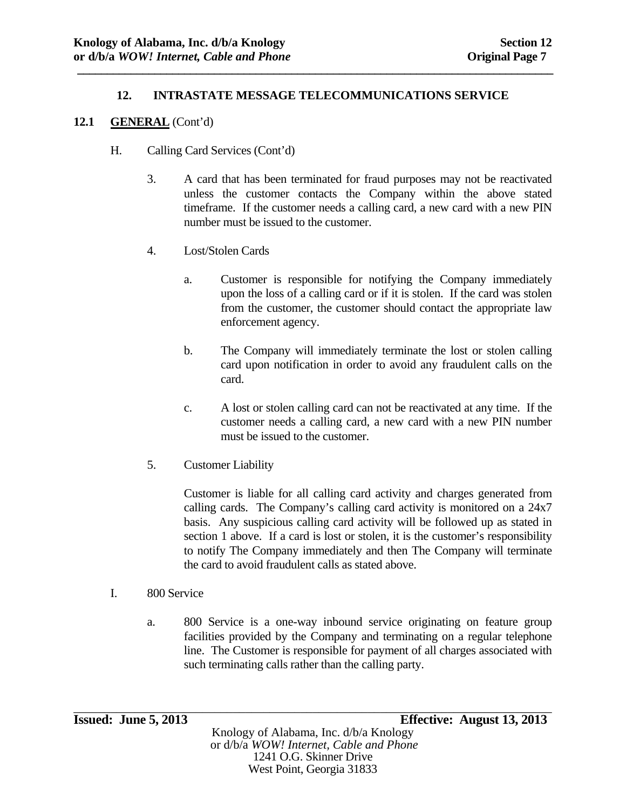**\_\_\_\_\_\_\_\_\_\_\_\_\_\_\_\_\_\_\_\_\_\_\_\_\_\_\_\_\_\_\_\_\_\_\_\_\_\_\_\_\_\_\_\_\_\_\_\_\_\_\_\_\_\_\_\_\_\_\_\_\_\_\_\_\_\_\_\_\_\_\_\_\_\_\_\_\_\_\_\_** 

### **12.1 GENERAL** (Cont'd)

- H. Calling Card Services (Cont'd)
	- 3. A card that has been terminated for fraud purposes may not be reactivated unless the customer contacts the Company within the above stated timeframe. If the customer needs a calling card, a new card with a new PIN number must be issued to the customer.
	- 4. Lost/Stolen Cards
		- a. Customer is responsible for notifying the Company immediately upon the loss of a calling card or if it is stolen. If the card was stolen from the customer, the customer should contact the appropriate law enforcement agency.
		- b. The Company will immediately terminate the lost or stolen calling card upon notification in order to avoid any fraudulent calls on the card.
		- c. A lost or stolen calling card can not be reactivated at any time. If the customer needs a calling card, a new card with a new PIN number must be issued to the customer.
	- 5. Customer Liability

Customer is liable for all calling card activity and charges generated from calling cards. The Company's calling card activity is monitored on a 24x7 basis. Any suspicious calling card activity will be followed up as stated in section 1 above. If a card is lost or stolen, it is the customer's responsibility to notify The Company immediately and then The Company will terminate the card to avoid fraudulent calls as stated above.

#### I. 800 Service

 a. 800 Service is a one-way inbound service originating on feature group facilities provided by the Company and terminating on a regular telephone line. The Customer is responsible for payment of all charges associated with such terminating calls rather than the calling party.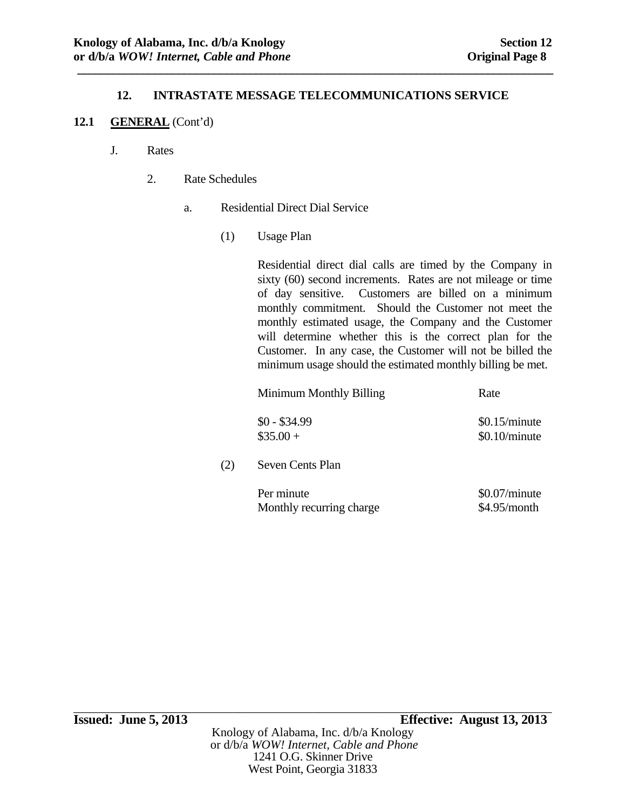**\_\_\_\_\_\_\_\_\_\_\_\_\_\_\_\_\_\_\_\_\_\_\_\_\_\_\_\_\_\_\_\_\_\_\_\_\_\_\_\_\_\_\_\_\_\_\_\_\_\_\_\_\_\_\_\_\_\_\_\_\_\_\_\_\_\_\_\_\_\_\_\_\_\_\_\_\_\_\_\_** 

### **12.1 GENERAL** (Cont'd)

- J. Rates
	- 2. Rate Schedules
		- a. Residential Direct Dial Service
			- (1) Usage Plan

Residential direct dial calls are timed by the Company in sixty (60) second increments. Rates are not mileage or time of day sensitive. Customers are billed on a minimum monthly commitment. Should the Customer not meet the monthly estimated usage, the Company and the Customer will determine whether this is the correct plan for the Customer. In any case, the Customer will not be billed the minimum usage should the estimated monthly billing be met.

Minimum Monthly Billing Rate

| $$0 - $34.99$ | \$0.15/minute |
|---------------|---------------|
| $\$35.00+$    | \$0.10/minute |

(2) Seven Cents Plan

| Per minute               | $$0.07/m$ inute |
|--------------------------|-----------------|
| Monthly recurring charge | \$4.95/month    |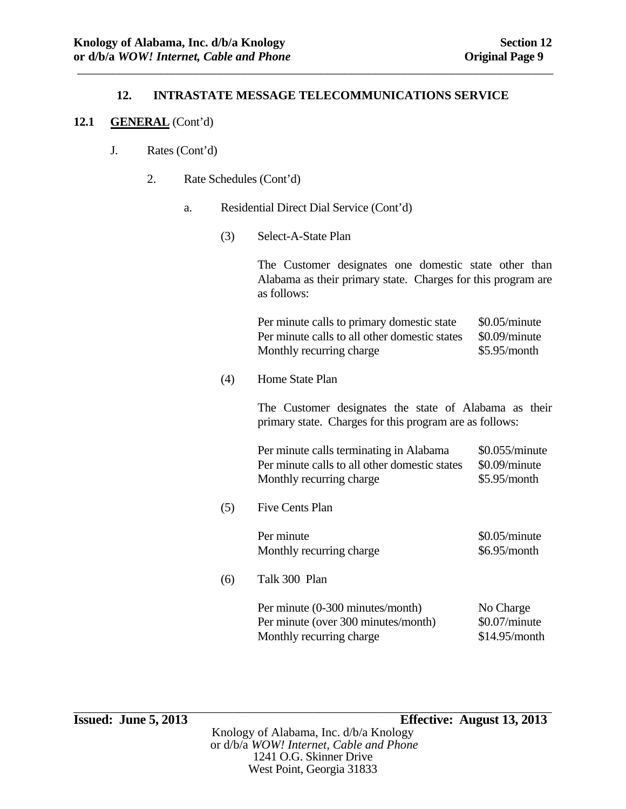\_\_\_\_\_\_\_\_\_\_\_\_\_\_\_\_\_\_\_\_\_\_\_\_\_\_\_\_\_\_\_\_\_\_\_\_\_\_\_\_\_\_\_\_\_\_\_\_\_\_\_\_\_\_\_\_\_\_\_\_\_\_\_\_\_\_\_\_\_\_\_\_\_\_\_\_\_\_\_\_

#### **12.1 GENERAL** (Cont'd)

- J. Rates (Cont'd)
	- 2. Rate Schedules (Cont'd)
		- a. Residential Direct Dial Service (Cont'd)
			- (3) Select-A-State Plan

The Customer designates one domestic state other than Alabama as their primary state. Charges for this program are as follows:

Per minute calls to primary domestic state \$0.05/minute Per minute calls to all other domestic states \$0.09/minute Monthly recurring charge \$5.95/month

(4) Home State Plan

The Customer designates the state of Alabama as their primary state. Charges for this program are as follows:

Per minute calls terminating in Alabama \$0.055/minute Per minute calls to all other domestic states \$0.09/minute Monthly recurring charge \$5.95/month

(5) Five Cents Plan

Per minute \$0.05/minute Monthly recurring charge \$6.95/month

(6) Talk 300 Plan

Per minute (0-300 minutes/month) No Charge Per minute (over 300 minutes/month) \$0.07/minute Monthly recurring charge \$14.95/month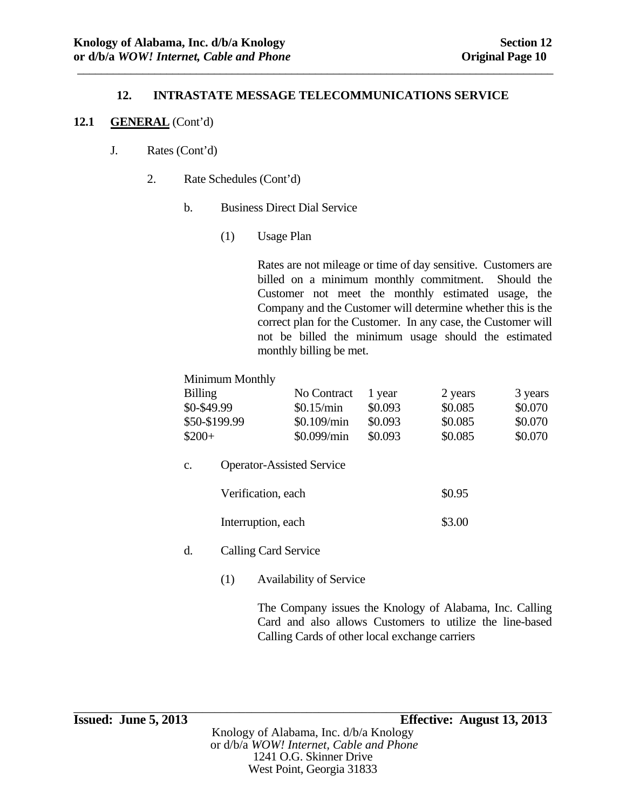\_\_\_\_\_\_\_\_\_\_\_\_\_\_\_\_\_\_\_\_\_\_\_\_\_\_\_\_\_\_\_\_\_\_\_\_\_\_\_\_\_\_\_\_\_\_\_\_\_\_\_\_\_\_\_\_\_\_\_\_\_\_\_\_\_\_\_\_\_\_\_\_\_\_\_\_\_\_\_\_

### **12.1 GENERAL** (Cont'd)

- J. Rates (Cont'd)
	- 2. Rate Schedules (Cont'd)
		- b. Business Direct Dial Service
			- (1) Usage Plan

Rates are not mileage or time of day sensitive. Customers are billed on a minimum monthly commitment. Should the Customer not meet the monthly estimated usage, the Company and the Customer will determine whether this is the correct plan for the Customer. In any case, the Customer will not be billed the minimum usage should the estimated monthly billing be met.

### Minimum Monthly

| <b>Billing</b> | No Contract   | 1 year  | 2 years | 3 years |
|----------------|---------------|---------|---------|---------|
| $$0-$49.99$    | \$0.15/min    | \$0.093 | \$0.085 | \$0.070 |
| \$50-\$199.99  | $$0.109/m$ in | \$0.093 | \$0.085 | \$0.070 |
| $$200+$        | \$0.099/min   | \$0.093 | \$0.085 | \$0.070 |

c. Operator-Assisted Service

| Verification, each | \$0.95 |
|--------------------|--------|
| Interruption, each | \$3.00 |

- d. Calling Card Service
	- (1) Availability of Service

The Company issues the Knology of Alabama, Inc. Calling Card and also allows Customers to utilize the line-based Calling Cards of other local exchange carriers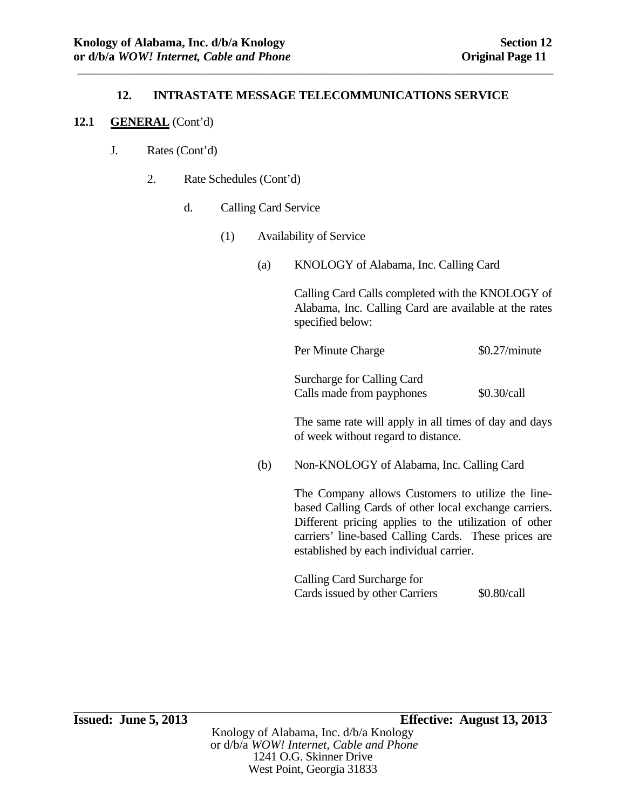\_\_\_\_\_\_\_\_\_\_\_\_\_\_\_\_\_\_\_\_\_\_\_\_\_\_\_\_\_\_\_\_\_\_\_\_\_\_\_\_\_\_\_\_\_\_\_\_\_\_\_\_\_\_\_\_\_\_\_\_\_\_\_\_\_\_\_\_\_\_\_\_\_\_\_\_\_\_\_\_

#### **12.1 GENERAL** (Cont'd)

- J. Rates (Cont'd)
	- 2. Rate Schedules (Cont'd)
		- d. Calling Card Service
			- (1) Availability of Service
				- (a) KNOLOGY of Alabama, Inc. Calling Card

Calling Card Calls completed with the KNOLOGY of Alabama, Inc. Calling Card are available at the rates specified below:

Per Minute Charge  $$0.27/minute$ 

 Surcharge for Calling Card Calls made from payphones \$0.30/call

The same rate will apply in all times of day and days of week without regard to distance.

(b) Non-KNOLOGY of Alabama, Inc. Calling Card

The Company allows Customers to utilize the linebased Calling Cards of other local exchange carriers. Different pricing applies to the utilization of other carriers' line-based Calling Cards. These prices are established by each individual carrier.

 Calling Card Surcharge for Cards issued by other Carriers  $$0.80/call$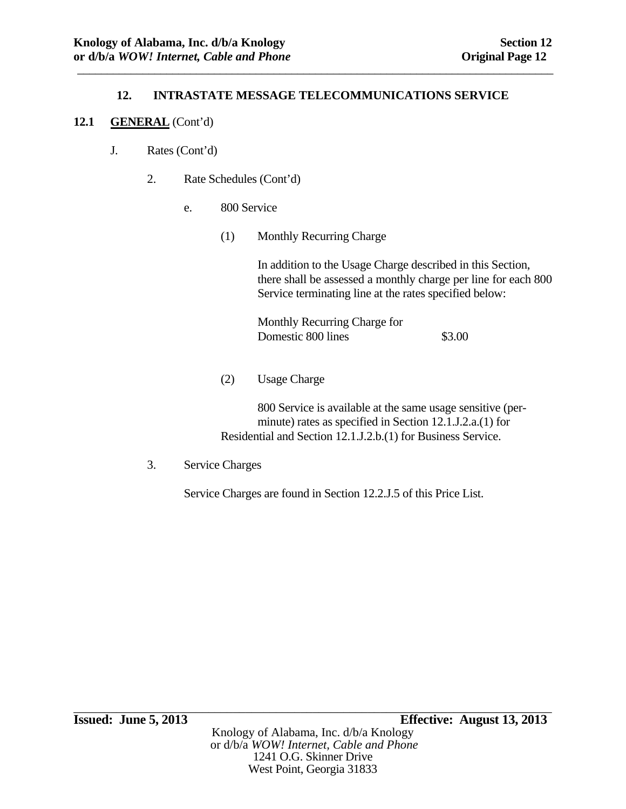\_\_\_\_\_\_\_\_\_\_\_\_\_\_\_\_\_\_\_\_\_\_\_\_\_\_\_\_\_\_\_\_\_\_\_\_\_\_\_\_\_\_\_\_\_\_\_\_\_\_\_\_\_\_\_\_\_\_\_\_\_\_\_\_\_\_\_\_\_\_\_\_\_\_\_\_\_\_\_\_

### **12.1 GENERAL** (Cont'd)

- J. Rates (Cont'd)
	- 2. Rate Schedules (Cont'd)
		- e. 800 Service
			- (1) Monthly Recurring Charge

 In addition to the Usage Charge described in this Section, there shall be assessed a monthly charge per line for each 800 Service terminating line at the rates specified below:

 Monthly Recurring Charge for Domestic 800 lines \$3.00

(2) Usage Charge

 800 Service is available at the same usage sensitive (per minute) rates as specified in Section 12.1.J.2.a.(1) for Residential and Section 12.1.J.2.b.(1) for Business Service.

3. Service Charges

Service Charges are found in Section 12.2.J.5 of this Price List.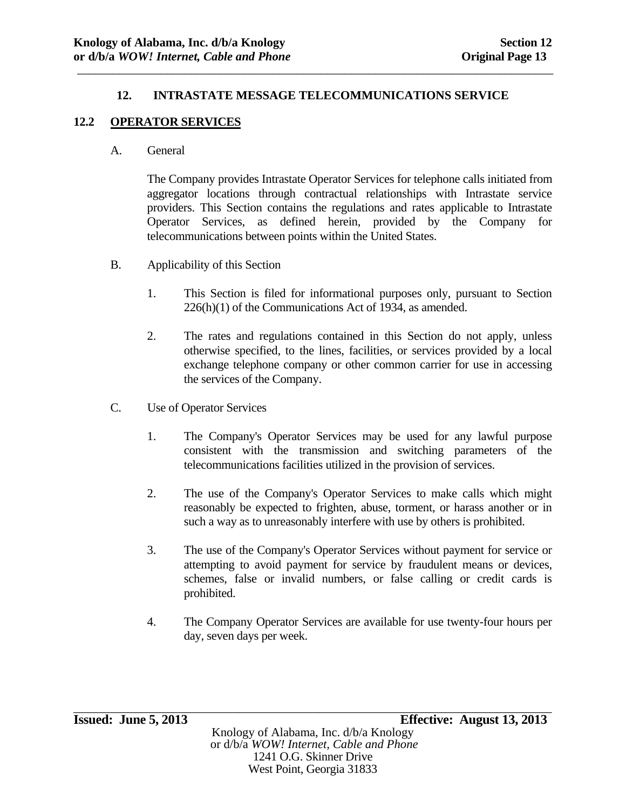\_\_\_\_\_\_\_\_\_\_\_\_\_\_\_\_\_\_\_\_\_\_\_\_\_\_\_\_\_\_\_\_\_\_\_\_\_\_\_\_\_\_\_\_\_\_\_\_\_\_\_\_\_\_\_\_\_\_\_\_\_\_\_\_\_\_\_\_\_\_\_\_\_\_\_\_\_\_\_\_

### **12.2 OPERATOR SERVICES**

A. General

The Company provides Intrastate Operator Services for telephone calls initiated from aggregator locations through contractual relationships with Intrastate service providers. This Section contains the regulations and rates applicable to Intrastate Operator Services, as defined herein, provided by the Company for telecommunications between points within the United States.

- B. Applicability of this Section
	- 1. This Section is filed for informational purposes only, pursuant to Section 226(h)(1) of the Communications Act of 1934, as amended.
	- 2. The rates and regulations contained in this Section do not apply, unless otherwise specified, to the lines, facilities, or services provided by a local exchange telephone company or other common carrier for use in accessing the services of the Company.
- C. Use of Operator Services
	- 1. The Company's Operator Services may be used for any lawful purpose consistent with the transmission and switching parameters of the telecommunications facilities utilized in the provision of services.
	- 2. The use of the Company's Operator Services to make calls which might reasonably be expected to frighten, abuse, torment, or harass another or in such a way as to unreasonably interfere with use by others is prohibited.
	- 3. The use of the Company's Operator Services without payment for service or attempting to avoid payment for service by fraudulent means or devices, schemes, false or invalid numbers, or false calling or credit cards is prohibited.
	- 4. The Company Operator Services are available for use twenty-four hours per day, seven days per week.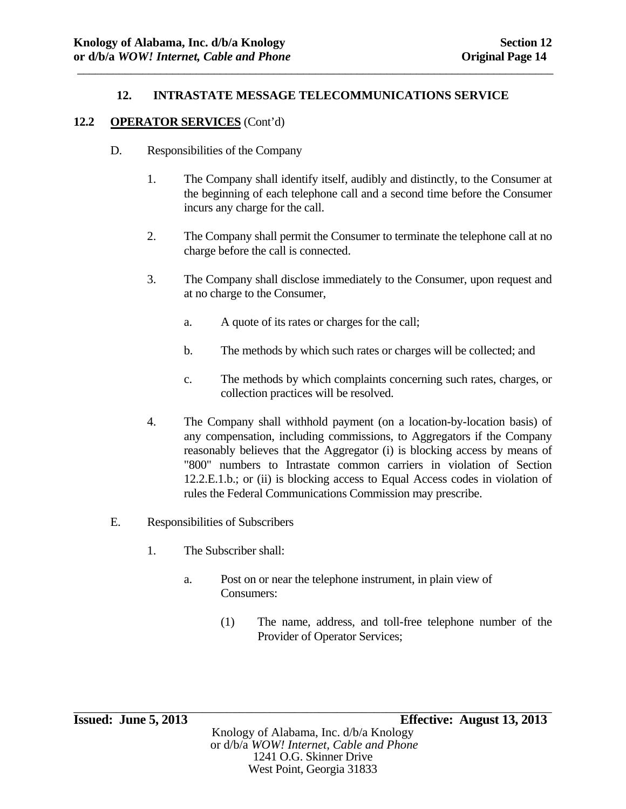\_\_\_\_\_\_\_\_\_\_\_\_\_\_\_\_\_\_\_\_\_\_\_\_\_\_\_\_\_\_\_\_\_\_\_\_\_\_\_\_\_\_\_\_\_\_\_\_\_\_\_\_\_\_\_\_\_\_\_\_\_\_\_\_\_\_\_\_\_\_\_\_\_\_\_\_\_\_\_\_

#### **12.2 OPERATOR SERVICES** (Cont'd)

- D. Responsibilities of the Company
	- 1. The Company shall identify itself, audibly and distinctly, to the Consumer at the beginning of each telephone call and a second time before the Consumer incurs any charge for the call.
	- 2. The Company shall permit the Consumer to terminate the telephone call at no charge before the call is connected.
	- 3. The Company shall disclose immediately to the Consumer, upon request and at no charge to the Consumer,
		- a. A quote of its rates or charges for the call;
		- b. The methods by which such rates or charges will be collected; and
		- c. The methods by which complaints concerning such rates, charges, or collection practices will be resolved.
	- 4. The Company shall withhold payment (on a location-by-location basis) of any compensation, including commissions, to Aggregators if the Company reasonably believes that the Aggregator (i) is blocking access by means of "800" numbers to Intrastate common carriers in violation of Section 12.2.E.1.b.; or (ii) is blocking access to Equal Access codes in violation of rules the Federal Communications Commission may prescribe.
- E. Responsibilities of Subscribers
	- 1. The Subscriber shall:
		- a. Post on or near the telephone instrument, in plain view of Consumers:
			- (1) The name, address, and toll-free telephone number of the Provider of Operator Services;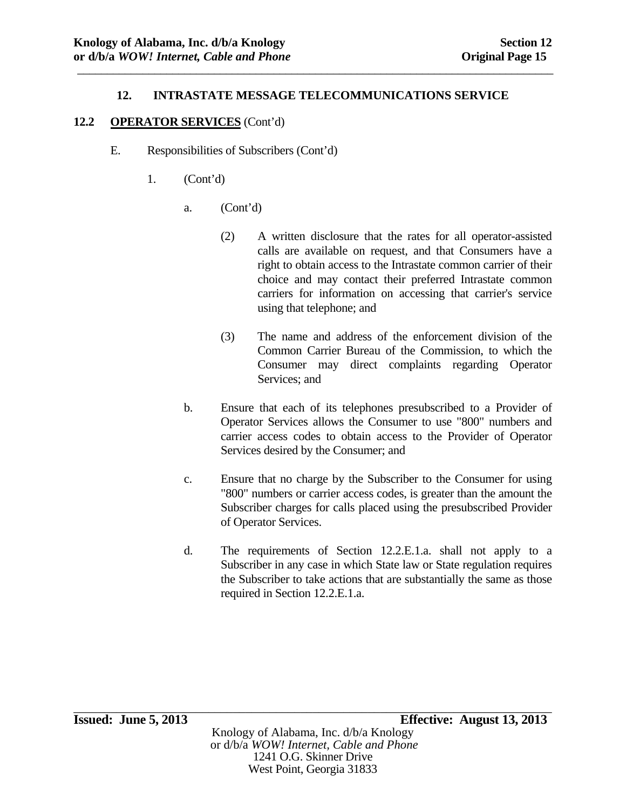\_\_\_\_\_\_\_\_\_\_\_\_\_\_\_\_\_\_\_\_\_\_\_\_\_\_\_\_\_\_\_\_\_\_\_\_\_\_\_\_\_\_\_\_\_\_\_\_\_\_\_\_\_\_\_\_\_\_\_\_\_\_\_\_\_\_\_\_\_\_\_\_\_\_\_\_\_\_\_\_

#### **12.2 OPERATOR SERVICES** (Cont'd)

- E. Responsibilities of Subscribers (Cont'd)
	- 1. (Cont'd)
		- a. (Cont'd)
			- (2) A written disclosure that the rates for all operator-assisted calls are available on request, and that Consumers have a right to obtain access to the Intrastate common carrier of their choice and may contact their preferred Intrastate common carriers for information on accessing that carrier's service using that telephone; and
			- (3) The name and address of the enforcement division of the Common Carrier Bureau of the Commission, to which the Consumer may direct complaints regarding Operator Services; and
		- b. Ensure that each of its telephones presubscribed to a Provider of Operator Services allows the Consumer to use "800" numbers and carrier access codes to obtain access to the Provider of Operator Services desired by the Consumer; and
		- c. Ensure that no charge by the Subscriber to the Consumer for using "800" numbers or carrier access codes, is greater than the amount the Subscriber charges for calls placed using the presubscribed Provider of Operator Services.
		- d. The requirements of Section 12.2.E.1.a. shall not apply to a Subscriber in any case in which State law or State regulation requires the Subscriber to take actions that are substantially the same as those required in Section 12.2.E.1.a.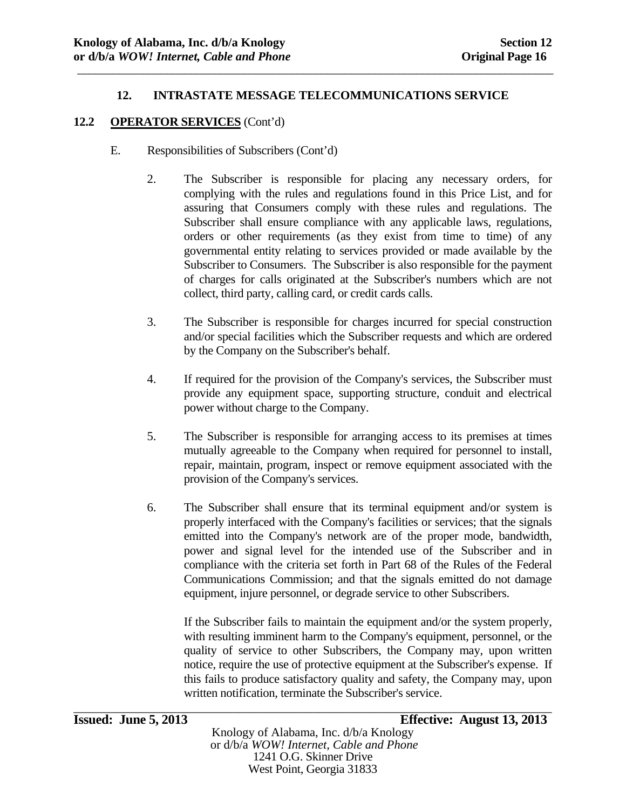\_\_\_\_\_\_\_\_\_\_\_\_\_\_\_\_\_\_\_\_\_\_\_\_\_\_\_\_\_\_\_\_\_\_\_\_\_\_\_\_\_\_\_\_\_\_\_\_\_\_\_\_\_\_\_\_\_\_\_\_\_\_\_\_\_\_\_\_\_\_\_\_\_\_\_\_\_\_\_\_

#### **12.2 OPERATOR SERVICES** (Cont'd)

- E. Responsibilities of Subscribers (Cont'd)
	- 2. The Subscriber is responsible for placing any necessary orders, for complying with the rules and regulations found in this Price List, and for assuring that Consumers comply with these rules and regulations. The Subscriber shall ensure compliance with any applicable laws, regulations, orders or other requirements (as they exist from time to time) of any governmental entity relating to services provided or made available by the Subscriber to Consumers. The Subscriber is also responsible for the payment of charges for calls originated at the Subscriber's numbers which are not collect, third party, calling card, or credit cards calls.
	- 3. The Subscriber is responsible for charges incurred for special construction and/or special facilities which the Subscriber requests and which are ordered by the Company on the Subscriber's behalf.
	- 4. If required for the provision of the Company's services, the Subscriber must provide any equipment space, supporting structure, conduit and electrical power without charge to the Company.
	- 5. The Subscriber is responsible for arranging access to its premises at times mutually agreeable to the Company when required for personnel to install, repair, maintain, program, inspect or remove equipment associated with the provision of the Company's services.
	- 6. The Subscriber shall ensure that its terminal equipment and/or system is properly interfaced with the Company's facilities or services; that the signals emitted into the Company's network are of the proper mode, bandwidth, power and signal level for the intended use of the Subscriber and in compliance with the criteria set forth in Part 68 of the Rules of the Federal Communications Commission; and that the signals emitted do not damage equipment, injure personnel, or degrade service to other Subscribers.

If the Subscriber fails to maintain the equipment and/or the system properly, with resulting imminent harm to the Company's equipment, personnel, or the quality of service to other Subscribers, the Company may, upon written notice, require the use of protective equipment at the Subscriber's expense. If this fails to produce satisfactory quality and safety, the Company may, upon written notification, terminate the Subscriber's service.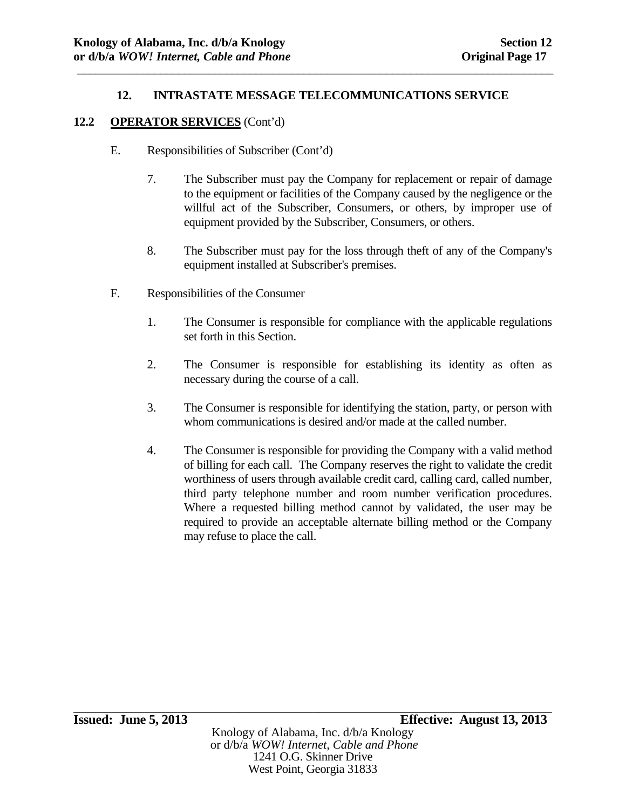\_\_\_\_\_\_\_\_\_\_\_\_\_\_\_\_\_\_\_\_\_\_\_\_\_\_\_\_\_\_\_\_\_\_\_\_\_\_\_\_\_\_\_\_\_\_\_\_\_\_\_\_\_\_\_\_\_\_\_\_\_\_\_\_\_\_\_\_\_\_\_\_\_\_\_\_\_\_\_\_

### **12.2 OPERATOR SERVICES** (Cont'd)

- E. Responsibilities of Subscriber (Cont'd)
	- 7. The Subscriber must pay the Company for replacement or repair of damage to the equipment or facilities of the Company caused by the negligence or the willful act of the Subscriber, Consumers, or others, by improper use of equipment provided by the Subscriber, Consumers, or others.
	- 8. The Subscriber must pay for the loss through theft of any of the Company's equipment installed at Subscriber's premises.
- F. Responsibilities of the Consumer
	- 1. The Consumer is responsible for compliance with the applicable regulations set forth in this Section.
	- 2. The Consumer is responsible for establishing its identity as often as necessary during the course of a call.
	- 3. The Consumer is responsible for identifying the station, party, or person with whom communications is desired and/or made at the called number.
	- 4. The Consumer is responsible for providing the Company with a valid method of billing for each call. The Company reserves the right to validate the credit worthiness of users through available credit card, calling card, called number, third party telephone number and room number verification procedures. Where a requested billing method cannot by validated, the user may be required to provide an acceptable alternate billing method or the Company may refuse to place the call.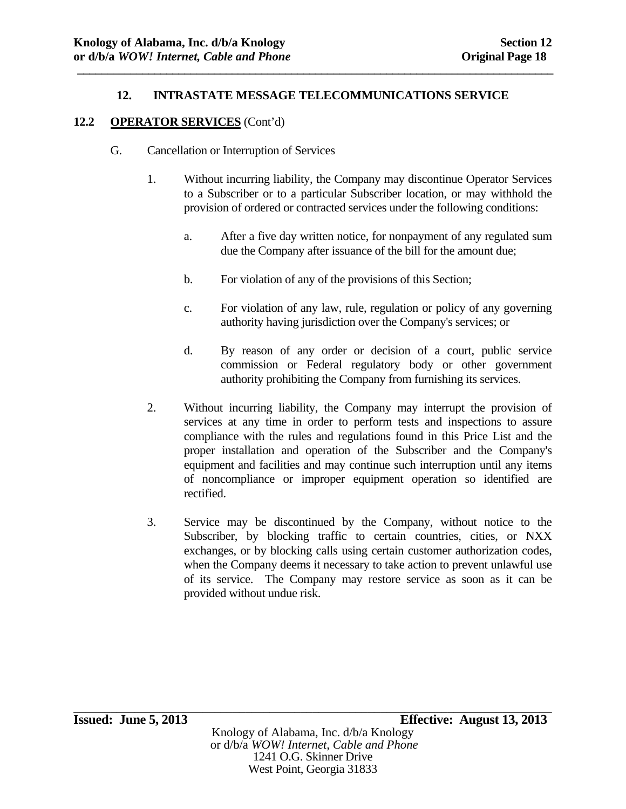**\_\_\_\_\_\_\_\_\_\_\_\_\_\_\_\_\_\_\_\_\_\_\_\_\_\_\_\_\_\_\_\_\_\_\_\_\_\_\_\_\_\_\_\_\_\_\_\_\_\_\_\_\_\_\_\_\_\_\_\_\_\_\_\_\_\_\_\_\_\_\_\_\_\_\_\_\_\_\_\_** 

### **12.2 OPERATOR SERVICES** (Cont'd)

- G. Cancellation or Interruption of Services
	- 1. Without incurring liability, the Company may discontinue Operator Services to a Subscriber or to a particular Subscriber location, or may withhold the provision of ordered or contracted services under the following conditions:
		- a. After a five day written notice, for nonpayment of any regulated sum due the Company after issuance of the bill for the amount due;
		- b. For violation of any of the provisions of this Section;
		- c. For violation of any law, rule, regulation or policy of any governing authority having jurisdiction over the Company's services; or
		- d. By reason of any order or decision of a court, public service commission or Federal regulatory body or other government authority prohibiting the Company from furnishing its services.
	- 2. Without incurring liability, the Company may interrupt the provision of services at any time in order to perform tests and inspections to assure compliance with the rules and regulations found in this Price List and the proper installation and operation of the Subscriber and the Company's equipment and facilities and may continue such interruption until any items of noncompliance or improper equipment operation so identified are rectified.
	- 3. Service may be discontinued by the Company, without notice to the Subscriber, by blocking traffic to certain countries, cities, or NXX exchanges, or by blocking calls using certain customer authorization codes, when the Company deems it necessary to take action to prevent unlawful use of its service. The Company may restore service as soon as it can be provided without undue risk.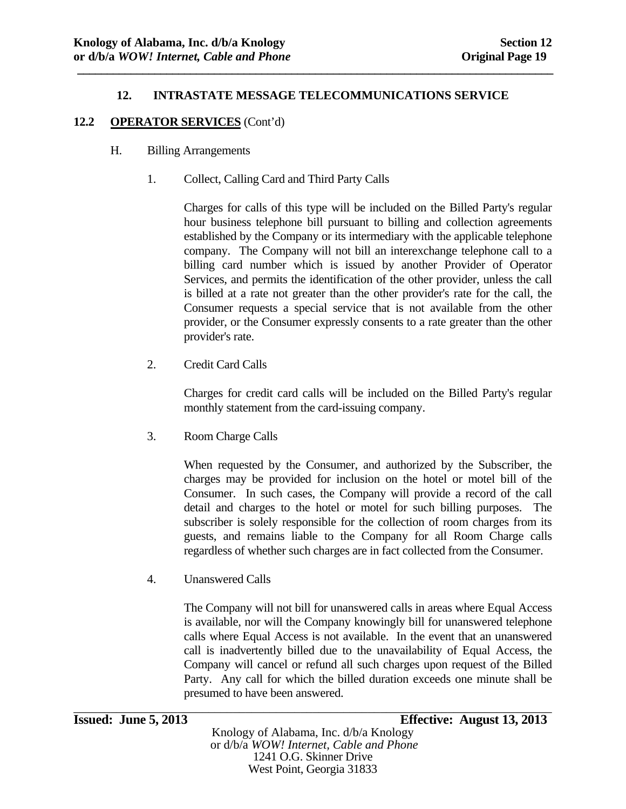**\_\_\_\_\_\_\_\_\_\_\_\_\_\_\_\_\_\_\_\_\_\_\_\_\_\_\_\_\_\_\_\_\_\_\_\_\_\_\_\_\_\_\_\_\_\_\_\_\_\_\_\_\_\_\_\_\_\_\_\_\_\_\_\_\_\_\_\_\_\_\_\_\_\_\_\_\_\_\_\_** 

### **12.2 OPERATOR SERVICES** (Cont'd)

- H. Billing Arrangements
	- 1. Collect, Calling Card and Third Party Calls

Charges for calls of this type will be included on the Billed Party's regular hour business telephone bill pursuant to billing and collection agreements established by the Company or its intermediary with the applicable telephone company. The Company will not bill an interexchange telephone call to a billing card number which is issued by another Provider of Operator Services, and permits the identification of the other provider, unless the call is billed at a rate not greater than the other provider's rate for the call, the Consumer requests a special service that is not available from the other provider, or the Consumer expressly consents to a rate greater than the other provider's rate.

2. Credit Card Calls

Charges for credit card calls will be included on the Billed Party's regular monthly statement from the card-issuing company.

3. Room Charge Calls

When requested by the Consumer, and authorized by the Subscriber, the charges may be provided for inclusion on the hotel or motel bill of the Consumer. In such cases, the Company will provide a record of the call detail and charges to the hotel or motel for such billing purposes. The subscriber is solely responsible for the collection of room charges from its guests, and remains liable to the Company for all Room Charge calls regardless of whether such charges are in fact collected from the Consumer.

4. Unanswered Calls

The Company will not bill for unanswered calls in areas where Equal Access is available, nor will the Company knowingly bill for unanswered telephone calls where Equal Access is not available. In the event that an unanswered call is inadvertently billed due to the unavailability of Equal Access, the Company will cancel or refund all such charges upon request of the Billed Party. Any call for which the billed duration exceeds one minute shall be presumed to have been answered.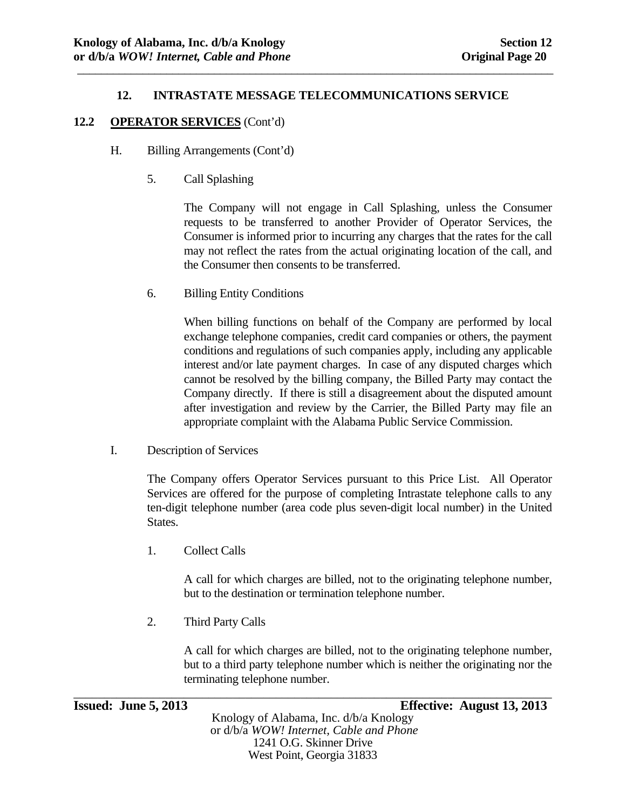\_\_\_\_\_\_\_\_\_\_\_\_\_\_\_\_\_\_\_\_\_\_\_\_\_\_\_\_\_\_\_\_\_\_\_\_\_\_\_\_\_\_\_\_\_\_\_\_\_\_\_\_\_\_\_\_\_\_\_\_\_\_\_\_\_\_\_\_\_\_\_\_\_\_\_\_\_\_\_\_

#### **12.2 OPERATOR SERVICES** (Cont'd)

- H. Billing Arrangements (Cont'd)
	- 5. Call Splashing

The Company will not engage in Call Splashing, unless the Consumer requests to be transferred to another Provider of Operator Services, the Consumer is informed prior to incurring any charges that the rates for the call may not reflect the rates from the actual originating location of the call, and the Consumer then consents to be transferred.

6. Billing Entity Conditions

When billing functions on behalf of the Company are performed by local exchange telephone companies, credit card companies or others, the payment conditions and regulations of such companies apply, including any applicable interest and/or late payment charges. In case of any disputed charges which cannot be resolved by the billing company, the Billed Party may contact the Company directly. If there is still a disagreement about the disputed amount after investigation and review by the Carrier, the Billed Party may file an appropriate complaint with the Alabama Public Service Commission.

I. Description of Services

The Company offers Operator Services pursuant to this Price List. All Operator Services are offered for the purpose of completing Intrastate telephone calls to any ten-digit telephone number (area code plus seven-digit local number) in the United States.

1. Collect Calls

A call for which charges are billed, not to the originating telephone number, but to the destination or termination telephone number.

2. Third Party Calls

A call for which charges are billed, not to the originating telephone number, but to a third party telephone number which is neither the originating nor the terminating telephone number.

\_\_\_\_\_\_\_\_\_\_\_\_\_\_\_\_\_\_\_\_\_\_\_\_\_\_\_\_\_\_\_\_\_\_\_\_\_\_\_\_\_\_\_\_\_\_\_\_\_\_\_\_\_\_\_\_\_\_\_\_\_\_\_\_\_\_\_\_\_\_\_\_\_\_\_\_\_\_ **Issued: June 5, 2013 Effective: August 13, 2013** 

Knology of Alabama, Inc. d/b/a Knology or d/b/a *WOW! Internet, Cable and Phone* 1241 O.G. Skinner Drive West Point, Georgia 31833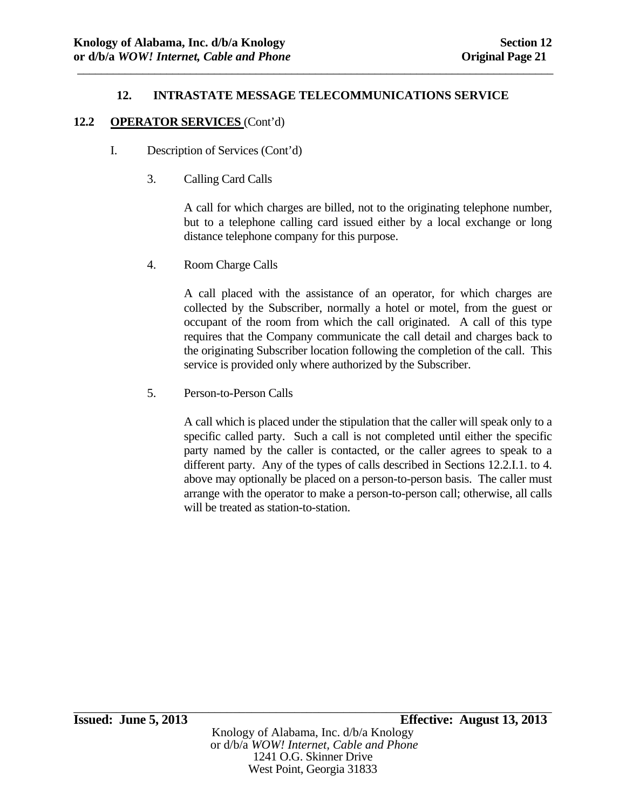\_\_\_\_\_\_\_\_\_\_\_\_\_\_\_\_\_\_\_\_\_\_\_\_\_\_\_\_\_\_\_\_\_\_\_\_\_\_\_\_\_\_\_\_\_\_\_\_\_\_\_\_\_\_\_\_\_\_\_\_\_\_\_\_\_\_\_\_\_\_\_\_\_\_\_\_\_\_\_\_

### **12.2 OPERATOR SERVICES** (Cont'd)

- I. Description of Services (Cont'd)
	- 3. Calling Card Calls

A call for which charges are billed, not to the originating telephone number, but to a telephone calling card issued either by a local exchange or long distance telephone company for this purpose.

4. Room Charge Calls

A call placed with the assistance of an operator, for which charges are collected by the Subscriber, normally a hotel or motel, from the guest or occupant of the room from which the call originated. A call of this type requires that the Company communicate the call detail and charges back to the originating Subscriber location following the completion of the call. This service is provided only where authorized by the Subscriber.

5. Person-to-Person Calls

A call which is placed under the stipulation that the caller will speak only to a specific called party. Such a call is not completed until either the specific party named by the caller is contacted, or the caller agrees to speak to a different party. Any of the types of calls described in Sections 12.2.I.1. to 4. above may optionally be placed on a person-to-person basis. The caller must arrange with the operator to make a person-to-person call; otherwise, all calls will be treated as station-to-station.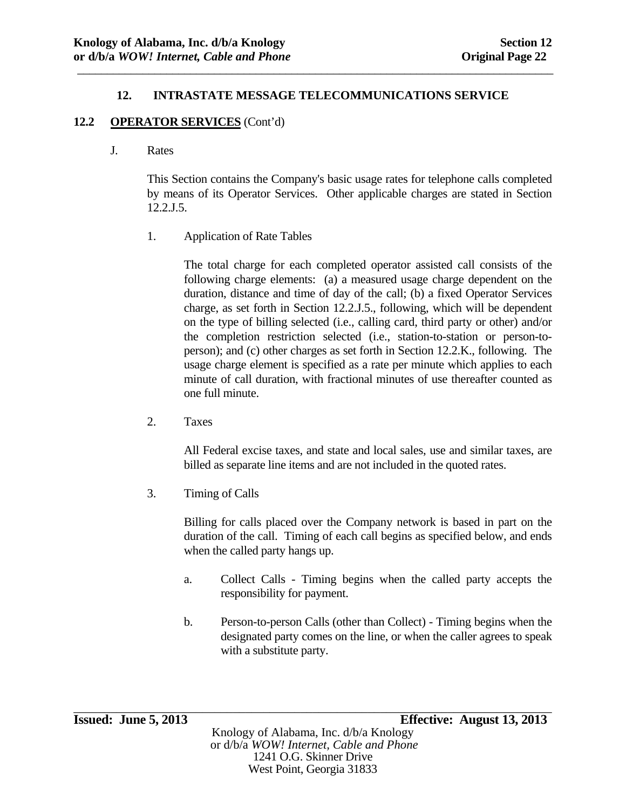\_\_\_\_\_\_\_\_\_\_\_\_\_\_\_\_\_\_\_\_\_\_\_\_\_\_\_\_\_\_\_\_\_\_\_\_\_\_\_\_\_\_\_\_\_\_\_\_\_\_\_\_\_\_\_\_\_\_\_\_\_\_\_\_\_\_\_\_\_\_\_\_\_\_\_\_\_\_\_\_

### **12.2 OPERATOR SERVICES** (Cont'd)

### J. Rates

This Section contains the Company's basic usage rates for telephone calls completed by means of its Operator Services. Other applicable charges are stated in Section 12.2.J.5.

1. Application of Rate Tables

The total charge for each completed operator assisted call consists of the following charge elements: (a) a measured usage charge dependent on the duration, distance and time of day of the call; (b) a fixed Operator Services charge, as set forth in Section 12.2.J.5., following, which will be dependent on the type of billing selected (i.e., calling card, third party or other) and/or the completion restriction selected (i.e., station-to-station or person-toperson); and (c) other charges as set forth in Section 12.2.K., following. The usage charge element is specified as a rate per minute which applies to each minute of call duration, with fractional minutes of use thereafter counted as one full minute.

2. Taxes

All Federal excise taxes, and state and local sales, use and similar taxes, are billed as separate line items and are not included in the quoted rates.

3. Timing of Calls

Billing for calls placed over the Company network is based in part on the duration of the call. Timing of each call begins as specified below, and ends when the called party hangs up.

- a. Collect Calls Timing begins when the called party accepts the responsibility for payment.
- b. Person-to-person Calls (other than Collect) Timing begins when the designated party comes on the line, or when the caller agrees to speak with a substitute party.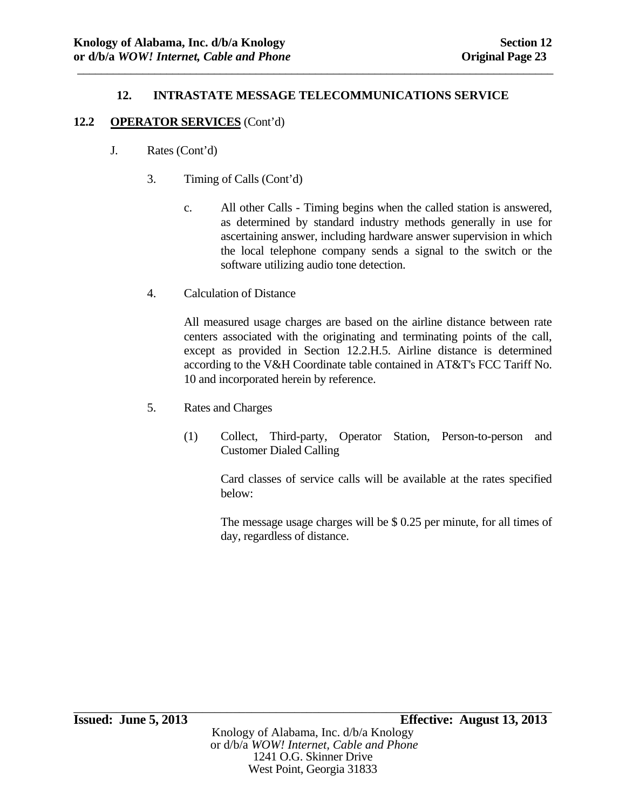\_\_\_\_\_\_\_\_\_\_\_\_\_\_\_\_\_\_\_\_\_\_\_\_\_\_\_\_\_\_\_\_\_\_\_\_\_\_\_\_\_\_\_\_\_\_\_\_\_\_\_\_\_\_\_\_\_\_\_\_\_\_\_\_\_\_\_\_\_\_\_\_\_\_\_\_\_\_\_\_

### **12.2 OPERATOR SERVICES** (Cont'd)

- J. Rates (Cont'd)
	- 3. Timing of Calls (Cont'd)
		- c. All other Calls Timing begins when the called station is answered, as determined by standard industry methods generally in use for ascertaining answer, including hardware answer supervision in which the local telephone company sends a signal to the switch or the software utilizing audio tone detection.
	- 4. Calculation of Distance

All measured usage charges are based on the airline distance between rate centers associated with the originating and terminating points of the call, except as provided in Section 12.2.H.5. Airline distance is determined according to the V&H Coordinate table contained in AT&T's FCC Tariff No. 10 and incorporated herein by reference.

- 5. Rates and Charges
	- (1) Collect, Third-party, Operator Station, Person-to-person and Customer Dialed Calling

Card classes of service calls will be available at the rates specified below:

The message usage charges will be \$ 0.25 per minute, for all times of day, regardless of distance.